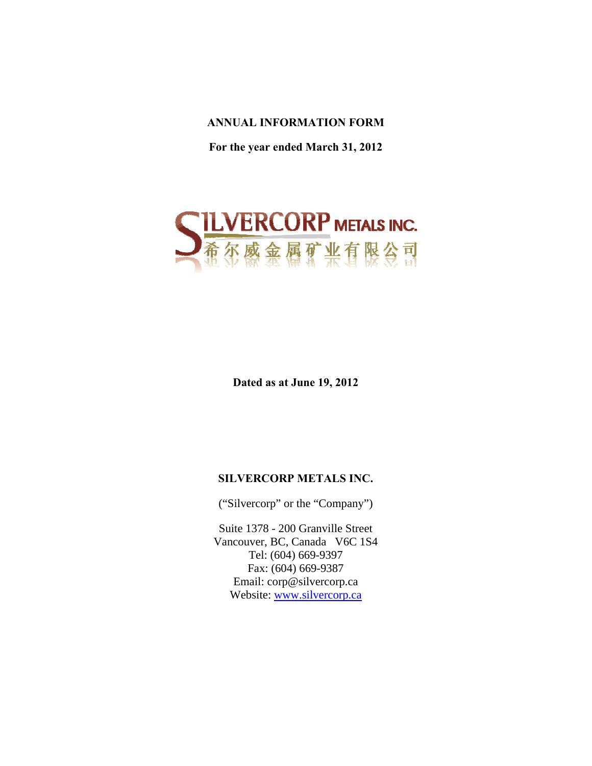# **ANNUAL INFORMATION FORM**

**For the year ended March 31, 2012** 



**Dated as at June 19, 2012** 

# **SILVERCORP METALS INC.**

("Silvercorp" or the "Company")

Suite 1378 - 200 Granville Street Vancouver, BC, Canada V6C 1S4 Tel: (604) 669-9397 Fax: (604) 669-9387 Email: corp@silvercorp.ca Website: www.silvercorp.ca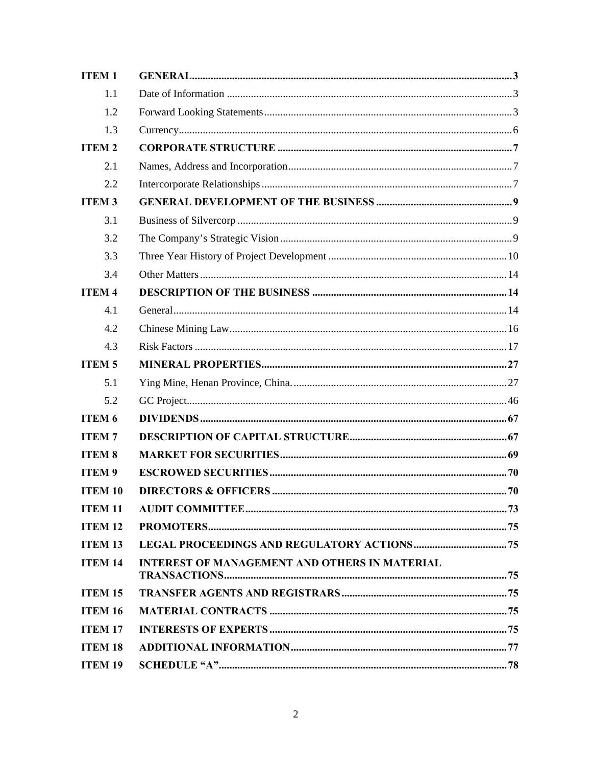| <b>ITEM1</b>   |                                                      |  |
|----------------|------------------------------------------------------|--|
| 1.1            |                                                      |  |
| 1.2            |                                                      |  |
| 1.3            |                                                      |  |
| <b>ITEM2</b>   |                                                      |  |
| 2.1            |                                                      |  |
| 2.2            |                                                      |  |
| <b>ITEM3</b>   |                                                      |  |
| 3.1            |                                                      |  |
| 3.2            |                                                      |  |
| 3.3            |                                                      |  |
| 3.4            |                                                      |  |
| <b>ITEM4</b>   |                                                      |  |
| 4.1            |                                                      |  |
| 4.2            |                                                      |  |
| 4.3            |                                                      |  |
| <b>ITEM5</b>   |                                                      |  |
| 5.1            |                                                      |  |
| 5.2            |                                                      |  |
| <b>ITEM 6</b>  |                                                      |  |
| <b>ITEM7</b>   |                                                      |  |
| <b>ITEM 8</b>  |                                                      |  |
| <b>ITEM9</b>   |                                                      |  |
| <b>ITEM 10</b> |                                                      |  |
| <b>ITEM 11</b> |                                                      |  |
| <b>ITEM 12</b> |                                                      |  |
| <b>ITEM 13</b> |                                                      |  |
| <b>ITEM 14</b> | <b>INTEREST OF MANAGEMENT AND OTHERS IN MATERIAL</b> |  |
| <b>ITEM 15</b> |                                                      |  |
| <b>ITEM 16</b> |                                                      |  |
| <b>ITEM 17</b> |                                                      |  |
| <b>ITEM 18</b> |                                                      |  |
| <b>ITEM 19</b> |                                                      |  |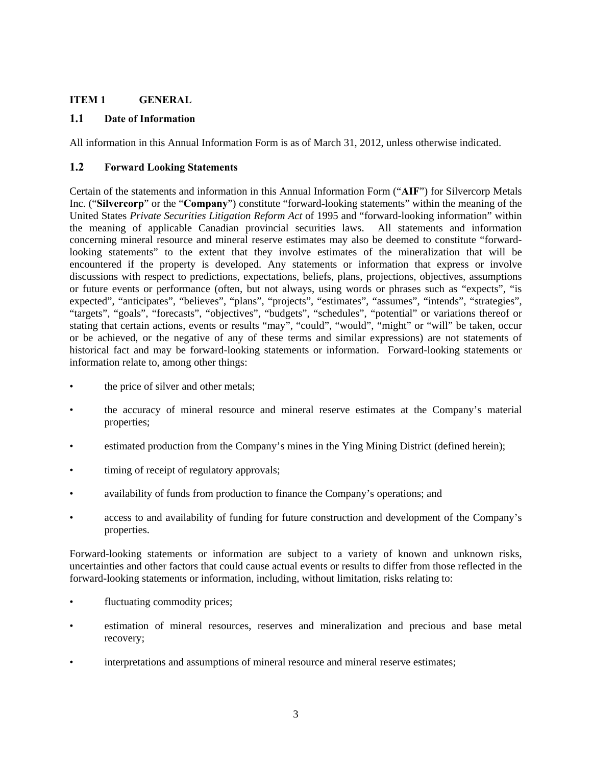## **ITEM 1 GENERAL**

## **1.1 Date of Information**

All information in this Annual Information Form is as of March 31, 2012, unless otherwise indicated.

## **1.2 Forward Looking Statements**

Certain of the statements and information in this Annual Information Form ("**AIF**") for Silvercorp Metals Inc. ("**Silvercorp**" or the "**Company**") constitute "forward-looking statements" within the meaning of the United States *Private Securities Litigation Reform Act* of 1995 and "forward-looking information" within the meaning of applicable Canadian provincial securities laws. All statements and information concerning mineral resource and mineral reserve estimates may also be deemed to constitute "forwardlooking statements" to the extent that they involve estimates of the mineralization that will be encountered if the property is developed. Any statements or information that express or involve discussions with respect to predictions, expectations, beliefs, plans, projections, objectives, assumptions or future events or performance (often, but not always, using words or phrases such as "expects", "is expected", "anticipates", "believes", "plans", "projects", "estimates", "assumes", "intends", "strategies", "targets", "goals", "forecasts", "objectives", "budgets", "schedules", "potential" or variations thereof or stating that certain actions, events or results "may", "could", "would", "might" or "will" be taken, occur or be achieved, or the negative of any of these terms and similar expressions) are not statements of historical fact and may be forward-looking statements or information. Forward-looking statements or information relate to, among other things:

- the price of silver and other metals;
- the accuracy of mineral resource and mineral reserve estimates at the Company's material properties;
- estimated production from the Company's mines in the Ying Mining District (defined herein);
- timing of receipt of regulatory approvals;
- availability of funds from production to finance the Company's operations; and
- access to and availability of funding for future construction and development of the Company's properties.

Forward-looking statements or information are subject to a variety of known and unknown risks, uncertainties and other factors that could cause actual events or results to differ from those reflected in the forward-looking statements or information, including, without limitation, risks relating to:

- fluctuating commodity prices;
- estimation of mineral resources, reserves and mineralization and precious and base metal recovery;
- interpretations and assumptions of mineral resource and mineral reserve estimates;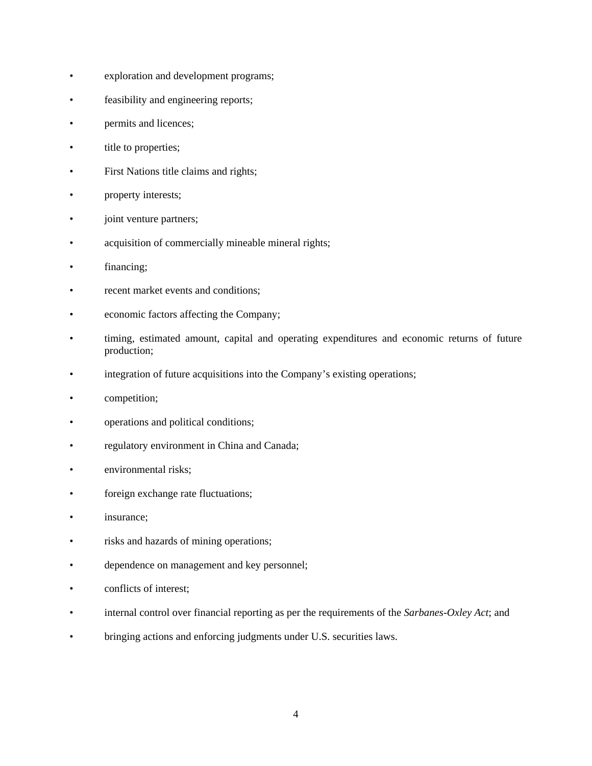- exploration and development programs;
- feasibility and engineering reports;
- permits and licences;
- title to properties;
- First Nations title claims and rights;
- property interests;
- joint venture partners;
- acquisition of commercially mineable mineral rights;
- financing;
- recent market events and conditions;
- economic factors affecting the Company;
- timing, estimated amount, capital and operating expenditures and economic returns of future production;
- integration of future acquisitions into the Company's existing operations;
- competition;
- operations and political conditions;
- regulatory environment in China and Canada;
- environmental risks:
- foreign exchange rate fluctuations;
- insurance;
- risks and hazards of mining operations;
- dependence on management and key personnel;
- conflicts of interest;
- internal control over financial reporting as per the requirements of the *Sarbanes-Oxley Act*; and
- bringing actions and enforcing judgments under U.S. securities laws.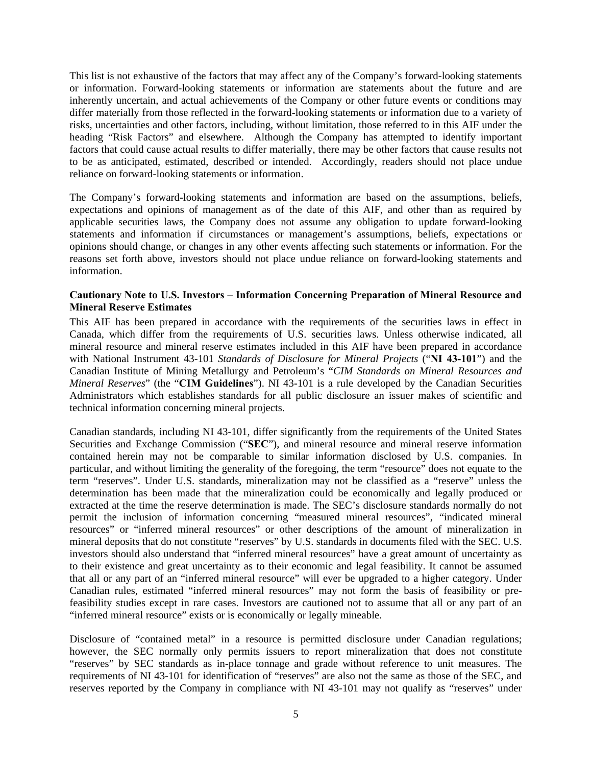This list is not exhaustive of the factors that may affect any of the Company's forward-looking statements or information. Forward-looking statements or information are statements about the future and are inherently uncertain, and actual achievements of the Company or other future events or conditions may differ materially from those reflected in the forward-looking statements or information due to a variety of risks, uncertainties and other factors, including, without limitation, those referred to in this AIF under the heading "Risk Factors" and elsewhere. Although the Company has attempted to identify important factors that could cause actual results to differ materially, there may be other factors that cause results not to be as anticipated, estimated, described or intended. Accordingly, readers should not place undue reliance on forward-looking statements or information.

The Company's forward-looking statements and information are based on the assumptions, beliefs, expectations and opinions of management as of the date of this AIF, and other than as required by applicable securities laws, the Company does not assume any obligation to update forward-looking statements and information if circumstances or management's assumptions, beliefs, expectations or opinions should change, or changes in any other events affecting such statements or information. For the reasons set forth above, investors should not place undue reliance on forward-looking statements and information.

## **Cautionary Note to U.S. Investors – Information Concerning Preparation of Mineral Resource and Mineral Reserve Estimates**

This AIF has been prepared in accordance with the requirements of the securities laws in effect in Canada, which differ from the requirements of U.S. securities laws. Unless otherwise indicated, all mineral resource and mineral reserve estimates included in this AIF have been prepared in accordance with National Instrument 43-101 *Standards of Disclosure for Mineral Projects* ("**NI 43-101**") and the Canadian Institute of Mining Metallurgy and Petroleum's "*CIM Standards on Mineral Resources and Mineral Reserves*" (the "**CIM Guidelines**"). NI 43-101 is a rule developed by the Canadian Securities Administrators which establishes standards for all public disclosure an issuer makes of scientific and technical information concerning mineral projects.

Canadian standards, including NI 43-101, differ significantly from the requirements of the United States Securities and Exchange Commission ("**SEC**"), and mineral resource and mineral reserve information contained herein may not be comparable to similar information disclosed by U.S. companies. In particular, and without limiting the generality of the foregoing, the term "resource" does not equate to the term "reserves". Under U.S. standards, mineralization may not be classified as a "reserve" unless the determination has been made that the mineralization could be economically and legally produced or extracted at the time the reserve determination is made. The SEC's disclosure standards normally do not permit the inclusion of information concerning "measured mineral resources", "indicated mineral resources" or "inferred mineral resources" or other descriptions of the amount of mineralization in mineral deposits that do not constitute "reserves" by U.S. standards in documents filed with the SEC. U.S. investors should also understand that "inferred mineral resources" have a great amount of uncertainty as to their existence and great uncertainty as to their economic and legal feasibility. It cannot be assumed that all or any part of an "inferred mineral resource" will ever be upgraded to a higher category. Under Canadian rules, estimated "inferred mineral resources" may not form the basis of feasibility or prefeasibility studies except in rare cases. Investors are cautioned not to assume that all or any part of an "inferred mineral resource" exists or is economically or legally mineable.

Disclosure of "contained metal" in a resource is permitted disclosure under Canadian regulations; however, the SEC normally only permits issuers to report mineralization that does not constitute "reserves" by SEC standards as in-place tonnage and grade without reference to unit measures. The requirements of NI 43-101 for identification of "reserves" are also not the same as those of the SEC, and reserves reported by the Company in compliance with NI 43-101 may not qualify as "reserves" under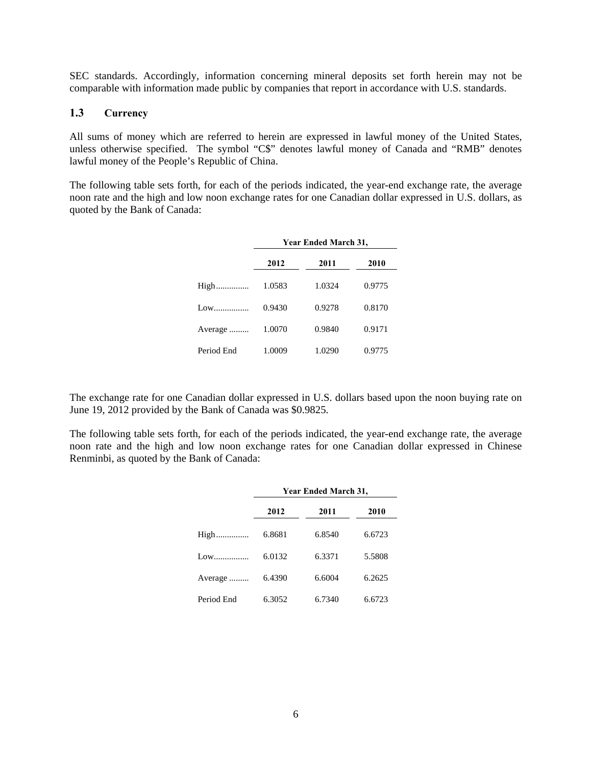SEC standards. Accordingly, information concerning mineral deposits set forth herein may not be comparable with information made public by companies that report in accordance with U.S. standards.

## **1.3 Currency**

All sums of money which are referred to herein are expressed in lawful money of the United States, unless otherwise specified. The symbol "C\$" denotes lawful money of Canada and "RMB" denotes lawful money of the People's Republic of China.

The following table sets forth, for each of the periods indicated, the year-end exchange rate, the average noon rate and the high and low noon exchange rates for one Canadian dollar expressed in U.S. dollars, as quoted by the Bank of Canada:

|            |        | Year Ended March 31, |        |  |
|------------|--------|----------------------|--------|--|
|            | 2012   | 2011                 | 2010   |  |
| High       | 1.0583 | 1.0324               | 0.9775 |  |
| Low        | 0.9430 | 0.9278               | 0.8170 |  |
| Average    | 1.0070 | 0.9840               | 0.9171 |  |
| Period End | 1.0009 | 1.0290               | 0.9775 |  |

The exchange rate for one Canadian dollar expressed in U.S. dollars based upon the noon buying rate on June 19, 2012 provided by the Bank of Canada was \$0.9825.

The following table sets forth, for each of the periods indicated, the year-end exchange rate, the average noon rate and the high and low noon exchange rates for one Canadian dollar expressed in Chinese Renminbi, as quoted by the Bank of Canada:

|            | Year Ended March 31, |        |        |  |  |  |  |
|------------|----------------------|--------|--------|--|--|--|--|
|            | 2012                 | 2011   | 2010   |  |  |  |  |
| High       | 6.8681               | 6.8540 | 6.6723 |  |  |  |  |
| Low        | 6.0132               | 6.3371 | 5.5808 |  |  |  |  |
| Average    | 6.4390               | 6.6004 | 6.2625 |  |  |  |  |
| Period End | 6.3052               | 6.7340 | 6.6723 |  |  |  |  |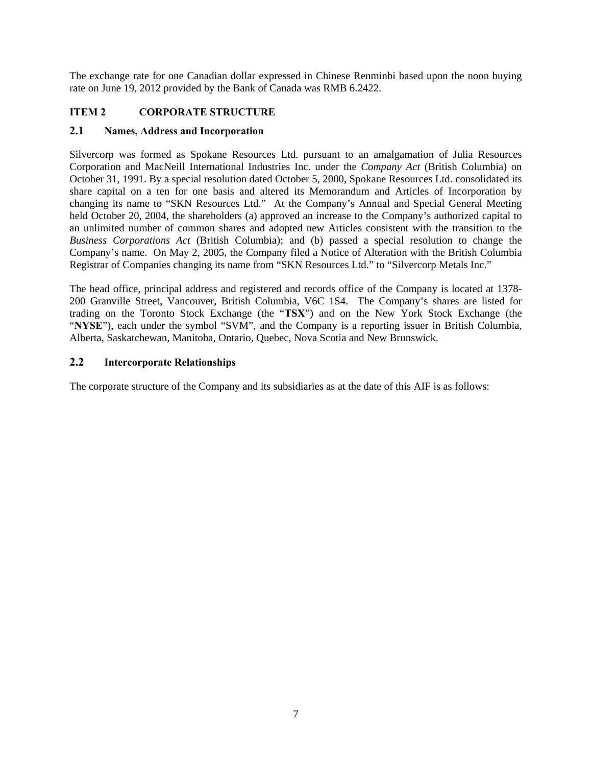The exchange rate for one Canadian dollar expressed in Chinese Renminbi based upon the noon buying rate on June 19, 2012 provided by the Bank of Canada was RMB 6.2422.

# **ITEM 2 CORPORATE STRUCTURE**

## **2.1 Names, Address and Incorporation**

Silvercorp was formed as Spokane Resources Ltd. pursuant to an amalgamation of Julia Resources Corporation and MacNeill International Industries Inc. under the *Company Act* (British Columbia) on October 31, 1991. By a special resolution dated October 5, 2000, Spokane Resources Ltd. consolidated its share capital on a ten for one basis and altered its Memorandum and Articles of Incorporation by changing its name to "SKN Resources Ltd." At the Company's Annual and Special General Meeting held October 20, 2004, the shareholders (a) approved an increase to the Company's authorized capital to an unlimited number of common shares and adopted new Articles consistent with the transition to the *Business Corporations Act* (British Columbia); and (b) passed a special resolution to change the Company's name. On May 2, 2005, the Company filed a Notice of Alteration with the British Columbia Registrar of Companies changing its name from "SKN Resources Ltd." to "Silvercorp Metals Inc."

The head office, principal address and registered and records office of the Company is located at 1378- 200 Granville Street, Vancouver, British Columbia, V6C 1S4. The Company's shares are listed for trading on the Toronto Stock Exchange (the "**TSX**") and on the New York Stock Exchange (the "**NYSE**"), each under the symbol "SVM", and the Company is a reporting issuer in British Columbia, Alberta, Saskatchewan, Manitoba, Ontario, Quebec, Nova Scotia and New Brunswick.

## **2.2 Intercorporate Relationships**

The corporate structure of the Company and its subsidiaries as at the date of this AIF is as follows: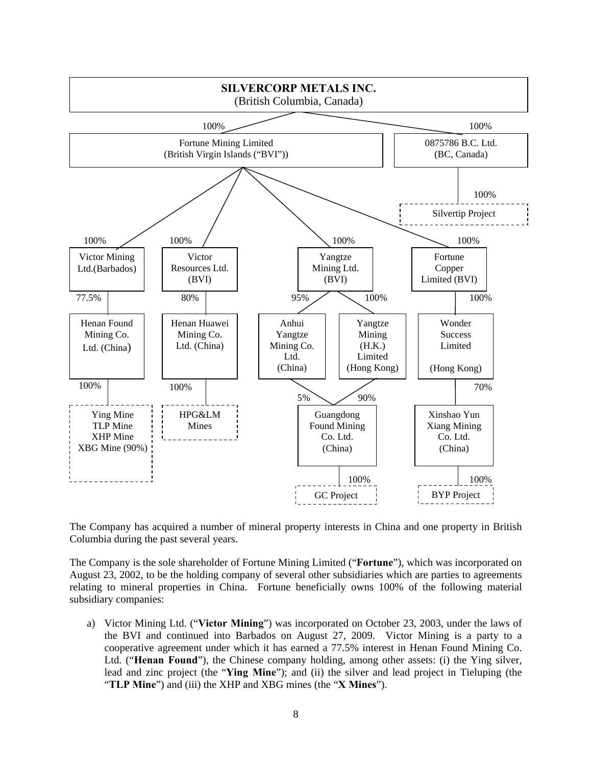

The Company has acquired a number of mineral property interests in China and one property in British Columbia during the past several years.

The Company is the sole shareholder of Fortune Mining Limited ("**Fortune**"), which was incorporated on August 23, 2002, to be the holding company of several other subsidiaries which are parties to agreements relating to mineral properties in China. Fortune beneficially owns 100% of the following material subsidiary companies:

a) Victor Mining Ltd. ("**Victor Mining**") was incorporated on October 23, 2003, under the laws of the BVI and continued into Barbados on August 27, 2009. Victor Mining is a party to a cooperative agreement under which it has earned a 77.5% interest in Henan Found Mining Co. Ltd. ("**Henan Found**"), the Chinese company holding, among other assets: (i) the Ying silver, lead and zinc project (the "**Ying Mine**"); and (ii) the silver and lead project in Tieluping (the "**TLP Mine**") and (iii) the XHP and XBG mines (the "**X Mines**").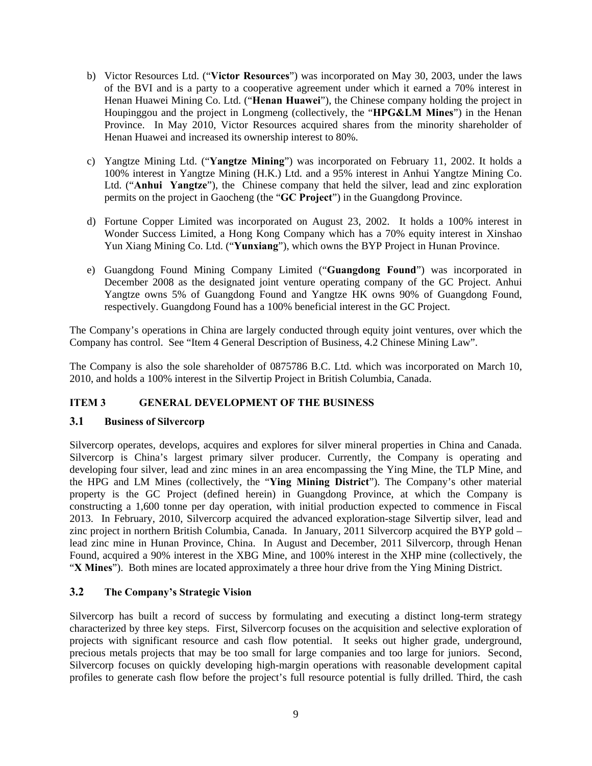- b) Victor Resources Ltd. ("**Victor Resources**") was incorporated on May 30, 2003, under the laws of the BVI and is a party to a cooperative agreement under which it earned a 70% interest in Henan Huawei Mining Co. Ltd. ("**Henan Huawei**"), the Chinese company holding the project in Houpinggou and the project in Longmeng (collectively, the "**HPG&LM Mines**") in the Henan Province. In May 2010, Victor Resources acquired shares from the minority shareholder of Henan Huawei and increased its ownership interest to 80%.
- c) Yangtze Mining Ltd. ("**Yangtze Mining**") was incorporated on February 11, 2002. It holds a 100% interest in Yangtze Mining (H.K.) Ltd. and a 95% interest in Anhui Yangtze Mining Co. Ltd. ("**Anhui Yangtze**"), the Chinese company that held the silver, lead and zinc exploration permits on the project in Gaocheng (the "**GC Project**") in the Guangdong Province.
- d) Fortune Copper Limited was incorporated on August 23, 2002. It holds a 100% interest in Wonder Success Limited, a Hong Kong Company which has a 70% equity interest in Xinshao Yun Xiang Mining Co. Ltd. ("**Yunxiang**"), which owns the BYP Project in Hunan Province.
- e) Guangdong Found Mining Company Limited ("**Guangdong Found**") was incorporated in December 2008 as the designated joint venture operating company of the GC Project. Anhui Yangtze owns 5% of Guangdong Found and Yangtze HK owns 90% of Guangdong Found, respectively. Guangdong Found has a 100% beneficial interest in the GC Project.

The Company's operations in China are largely conducted through equity joint ventures, over which the Company has control. See "Item 4 General Description of Business, 4.2 Chinese Mining Law".

The Company is also the sole shareholder of 0875786 B.C. Ltd. which was incorporated on March 10, 2010, and holds a 100% interest in the Silvertip Project in British Columbia, Canada.

## **ITEM 3 GENERAL DEVELOPMENT OF THE BUSINESS**

## **3.1 Business of Silvercorp**

Silvercorp operates, develops, acquires and explores for silver mineral properties in China and Canada. Silvercorp is China's largest primary silver producer. Currently, the Company is operating and developing four silver, lead and zinc mines in an area encompassing the Ying Mine, the TLP Mine, and the HPG and LM Mines (collectively, the "**Ying Mining District**"). The Company's other material property is the GC Project (defined herein) in Guangdong Province, at which the Company is constructing a 1,600 tonne per day operation, with initial production expected to commence in Fiscal 2013. In February, 2010, Silvercorp acquired the advanced exploration-stage Silvertip silver, lead and zinc project in northern British Columbia, Canada. In January, 2011 Silvercorp acquired the BYP gold – lead zinc mine in Hunan Province, China. In August and December, 2011 Silvercorp, through Henan Found, acquired a 90% interest in the XBG Mine, and 100% interest in the XHP mine (collectively, the "**X Mines**"). Both mines are located approximately a three hour drive from the Ying Mining District.

# **3.2 The Company's Strategic Vision**

Silvercorp has built a record of success by formulating and executing a distinct long-term strategy characterized by three key steps. First, Silvercorp focuses on the acquisition and selective exploration of projects with significant resource and cash flow potential. It seeks out higher grade, underground, precious metals projects that may be too small for large companies and too large for juniors. Second, Silvercorp focuses on quickly developing high-margin operations with reasonable development capital profiles to generate cash flow before the project's full resource potential is fully drilled. Third, the cash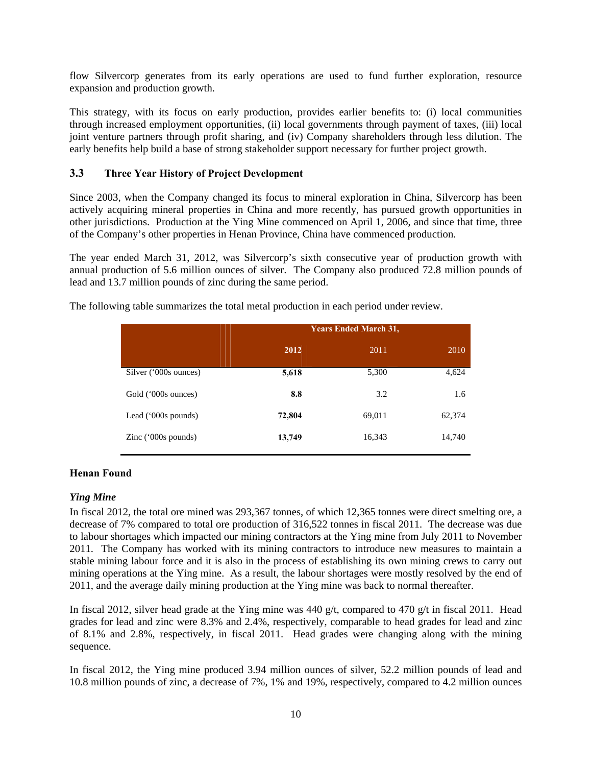flow Silvercorp generates from its early operations are used to fund further exploration, resource expansion and production growth.

This strategy, with its focus on early production, provides earlier benefits to: (i) local communities through increased employment opportunities, (ii) local governments through payment of taxes, (iii) local joint venture partners through profit sharing, and (iv) Company shareholders through less dilution. The early benefits help build a base of strong stakeholder support necessary for further project growth.

## **3.3 Three Year History of Project Development**

Since 2003, when the Company changed its focus to mineral exploration in China, Silvercorp has been actively acquiring mineral properties in China and more recently, has pursued growth opportunities in other jurisdictions. Production at the Ying Mine commenced on April 1, 2006, and since that time, three of the Company's other properties in Henan Province, China have commenced production.

The year ended March 31, 2012, was Silvercorp's sixth consecutive year of production growth with annual production of 5.6 million ounces of silver. The Company also produced 72.8 million pounds of lead and 13.7 million pounds of zinc during the same period.

|                       | <b>Years Ended March 31,</b> |        |        |  |  |  |  |  |
|-----------------------|------------------------------|--------|--------|--|--|--|--|--|
|                       | 2012                         | 2011   | 2010   |  |  |  |  |  |
| Silver ('000s ounces) | 5,618                        | 5,300  | 4,624  |  |  |  |  |  |
| Gold ('000s ounces)   | 8.8                          | 3.2    | 1.6    |  |  |  |  |  |
| Lead $(000s$ pounds)  | 72,804                       | 69,011 | 62,374 |  |  |  |  |  |
| Zinc $('000s pounds)$ | 13,749                       | 16,343 | 14,740 |  |  |  |  |  |

The following table summarizes the total metal production in each period under review.

# **Henan Found**

## *Ying Mine*

In fiscal 2012, the total ore mined was 293,367 tonnes, of which 12,365 tonnes were direct smelting ore, a decrease of 7% compared to total ore production of 316,522 tonnes in fiscal 2011. The decrease was due to labour shortages which impacted our mining contractors at the Ying mine from July 2011 to November 2011. The Company has worked with its mining contractors to introduce new measures to maintain a stable mining labour force and it is also in the process of establishing its own mining crews to carry out mining operations at the Ying mine. As a result, the labour shortages were mostly resolved by the end of 2011, and the average daily mining production at the Ying mine was back to normal thereafter.

In fiscal 2012, silver head grade at the Ying mine was 440 g/t, compared to 470 g/t in fiscal 2011. Head grades for lead and zinc were 8.3% and 2.4%, respectively, comparable to head grades for lead and zinc of 8.1% and 2.8%, respectively, in fiscal 2011. Head grades were changing along with the mining sequence.

In fiscal 2012, the Ying mine produced 3.94 million ounces of silver, 52.2 million pounds of lead and 10.8 million pounds of zinc, a decrease of 7%, 1% and 19%, respectively, compared to 4.2 million ounces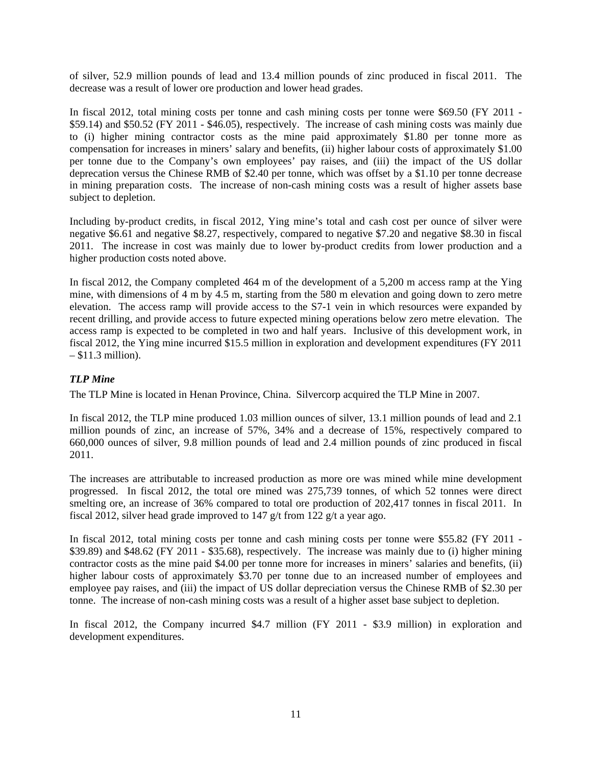of silver, 52.9 million pounds of lead and 13.4 million pounds of zinc produced in fiscal 2011. The decrease was a result of lower ore production and lower head grades.

In fiscal 2012, total mining costs per tonne and cash mining costs per tonne were \$69.50 (FY 2011 - \$59.14) and \$50.52 (FY 2011 - \$46.05), respectively. The increase of cash mining costs was mainly due to (i) higher mining contractor costs as the mine paid approximately \$1.80 per tonne more as compensation for increases in miners' salary and benefits, (ii) higher labour costs of approximately \$1.00 per tonne due to the Company's own employees' pay raises, and (iii) the impact of the US dollar deprecation versus the Chinese RMB of \$2.40 per tonne, which was offset by a \$1.10 per tonne decrease in mining preparation costs. The increase of non-cash mining costs was a result of higher assets base subject to depletion.

Including by-product credits, in fiscal 2012, Ying mine's total and cash cost per ounce of silver were negative \$6.61 and negative \$8.27, respectively, compared to negative \$7.20 and negative \$8.30 in fiscal 2011. The increase in cost was mainly due to lower by-product credits from lower production and a higher production costs noted above.

In fiscal 2012, the Company completed 464 m of the development of a 5,200 m access ramp at the Ying mine, with dimensions of 4 m by 4.5 m, starting from the 580 m elevation and going down to zero metre elevation. The access ramp will provide access to the S7-1 vein in which resources were expanded by recent drilling, and provide access to future expected mining operations below zero metre elevation. The access ramp is expected to be completed in two and half years. Inclusive of this development work, in fiscal 2012, the Ying mine incurred \$15.5 million in exploration and development expenditures (FY 2011 – \$11.3 million).

# *TLP Mine*

The TLP Mine is located in Henan Province, China. Silvercorp acquired the TLP Mine in 2007.

In fiscal 2012, the TLP mine produced 1.03 million ounces of silver, 13.1 million pounds of lead and 2.1 million pounds of zinc, an increase of 57%, 34% and a decrease of 15%, respectively compared to 660,000 ounces of silver, 9.8 million pounds of lead and 2.4 million pounds of zinc produced in fiscal 2011.

The increases are attributable to increased production as more ore was mined while mine development progressed. In fiscal 2012, the total ore mined was 275,739 tonnes, of which 52 tonnes were direct smelting ore, an increase of 36% compared to total ore production of 202,417 tonnes in fiscal 2011. In fiscal 2012, silver head grade improved to 147 g/t from 122 g/t a year ago.

In fiscal 2012, total mining costs per tonne and cash mining costs per tonne were \$55.82 (FY 2011 - \$39.89) and \$48.62 (FY 2011 - \$35.68), respectively. The increase was mainly due to (i) higher mining contractor costs as the mine paid \$4.00 per tonne more for increases in miners' salaries and benefits, (ii) higher labour costs of approximately \$3.70 per tonne due to an increased number of employees and employee pay raises, and (iii) the impact of US dollar depreciation versus the Chinese RMB of \$2.30 per tonne. The increase of non-cash mining costs was a result of a higher asset base subject to depletion.

In fiscal 2012, the Company incurred \$4.7 million (FY 2011 - \$3.9 million) in exploration and development expenditures.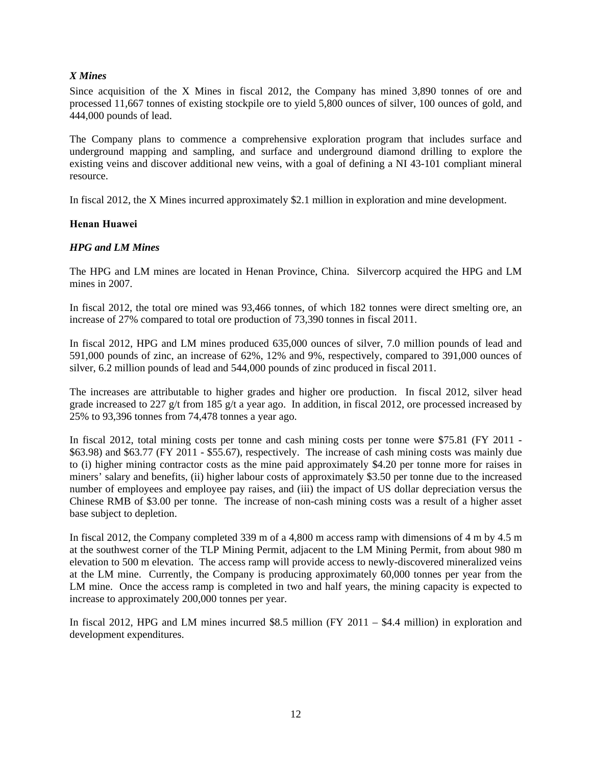## *X Mines*

Since acquisition of the X Mines in fiscal 2012, the Company has mined 3,890 tonnes of ore and processed 11,667 tonnes of existing stockpile ore to yield 5,800 ounces of silver, 100 ounces of gold, and 444,000 pounds of lead.

The Company plans to commence a comprehensive exploration program that includes surface and underground mapping and sampling, and surface and underground diamond drilling to explore the existing veins and discover additional new veins, with a goal of defining a NI 43-101 compliant mineral resource.

In fiscal 2012, the X Mines incurred approximately \$2.1 million in exploration and mine development.

## **Henan Huawei**

## *HPG and LM Mines*

The HPG and LM mines are located in Henan Province, China. Silvercorp acquired the HPG and LM mines in 2007.

In fiscal 2012, the total ore mined was 93,466 tonnes, of which 182 tonnes were direct smelting ore, an increase of 27% compared to total ore production of 73,390 tonnes in fiscal 2011.

In fiscal 2012, HPG and LM mines produced 635,000 ounces of silver, 7.0 million pounds of lead and 591,000 pounds of zinc, an increase of 62%, 12% and 9%, respectively, compared to 391,000 ounces of silver, 6.2 million pounds of lead and 544,000 pounds of zinc produced in fiscal 2011.

The increases are attributable to higher grades and higher ore production. In fiscal 2012, silver head grade increased to 227 g/t from 185 g/t a year ago. In addition, in fiscal 2012, ore processed increased by 25% to 93,396 tonnes from 74,478 tonnes a year ago.

In fiscal 2012, total mining costs per tonne and cash mining costs per tonne were \$75.81 (FY 2011 - \$63.98) and \$63.77 (FY 2011 - \$55.67), respectively. The increase of cash mining costs was mainly due to (i) higher mining contractor costs as the mine paid approximately \$4.20 per tonne more for raises in miners' salary and benefits, (ii) higher labour costs of approximately \$3.50 per tonne due to the increased number of employees and employee pay raises, and (iii) the impact of US dollar depreciation versus the Chinese RMB of \$3.00 per tonne. The increase of non-cash mining costs was a result of a higher asset base subject to depletion.

In fiscal 2012, the Company completed 339 m of a 4,800 m access ramp with dimensions of 4 m by 4.5 m at the southwest corner of the TLP Mining Permit, adjacent to the LM Mining Permit, from about 980 m elevation to 500 m elevation. The access ramp will provide access to newly-discovered mineralized veins at the LM mine. Currently, the Company is producing approximately 60,000 tonnes per year from the LM mine. Once the access ramp is completed in two and half years, the mining capacity is expected to increase to approximately 200,000 tonnes per year.

In fiscal 2012, HPG and LM mines incurred \$8.5 million (FY 2011 – \$4.4 million) in exploration and development expenditures.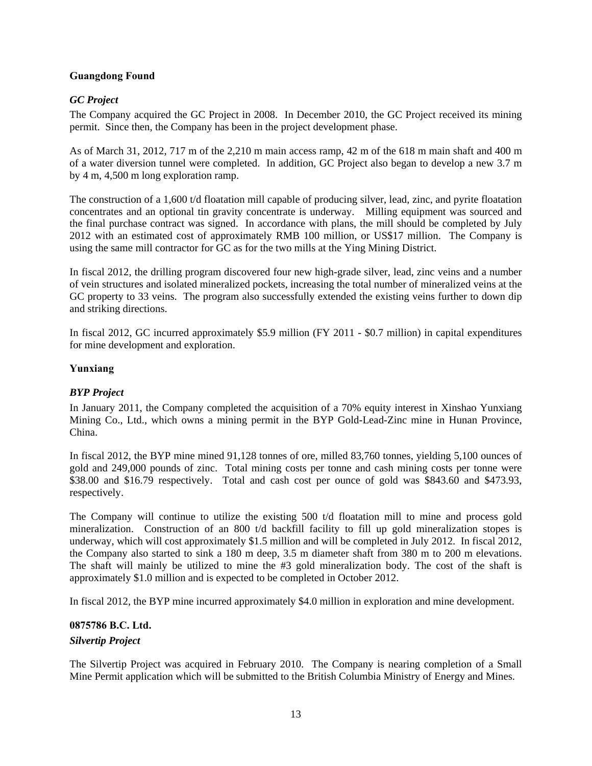## **Guangdong Found**

## *GC Project*

The Company acquired the GC Project in 2008. In December 2010, the GC Project received its mining permit. Since then, the Company has been in the project development phase.

As of March 31, 2012, 717 m of the 2,210 m main access ramp, 42 m of the 618 m main shaft and 400 m of a water diversion tunnel were completed. In addition, GC Project also began to develop a new 3.7 m by 4 m, 4,500 m long exploration ramp.

The construction of a 1,600 t/d floatation mill capable of producing silver, lead, zinc, and pyrite floatation concentrates and an optional tin gravity concentrate is underway. Milling equipment was sourced and the final purchase contract was signed. In accordance with plans, the mill should be completed by July 2012 with an estimated cost of approximately RMB 100 million, or US\$17 million. The Company is using the same mill contractor for GC as for the two mills at the Ying Mining District.

In fiscal 2012, the drilling program discovered four new high-grade silver, lead, zinc veins and a number of vein structures and isolated mineralized pockets, increasing the total number of mineralized veins at the GC property to 33 veins. The program also successfully extended the existing veins further to down dip and striking directions.

In fiscal 2012, GC incurred approximately \$5.9 million (FY 2011 - \$0.7 million) in capital expenditures for mine development and exploration.

## **Yunxiang**

## *BYP Project*

In January 2011, the Company completed the acquisition of a 70% equity interest in Xinshao Yunxiang Mining Co., Ltd., which owns a mining permit in the BYP Gold-Lead-Zinc mine in Hunan Province, China.

In fiscal 2012, the BYP mine mined 91,128 tonnes of ore, milled 83,760 tonnes, yielding 5,100 ounces of gold and 249,000 pounds of zinc. Total mining costs per tonne and cash mining costs per tonne were \$38.00 and \$16.79 respectively. Total and cash cost per ounce of gold was \$843.60 and \$473.93, respectively.

The Company will continue to utilize the existing 500 t/d floatation mill to mine and process gold mineralization. Construction of an 800 t/d backfill facility to fill up gold mineralization stopes is underway, which will cost approximately \$1.5 million and will be completed in July 2012. In fiscal 2012, the Company also started to sink a 180 m deep, 3.5 m diameter shaft from 380 m to 200 m elevations. The shaft will mainly be utilized to mine the #3 gold mineralization body. The cost of the shaft is approximately \$1.0 million and is expected to be completed in October 2012.

In fiscal 2012, the BYP mine incurred approximately \$4.0 million in exploration and mine development.

# **0875786 B.C. Ltd.**  *Silvertip Project*

The Silvertip Project was acquired in February 2010. The Company is nearing completion of a Small Mine Permit application which will be submitted to the British Columbia Ministry of Energy and Mines.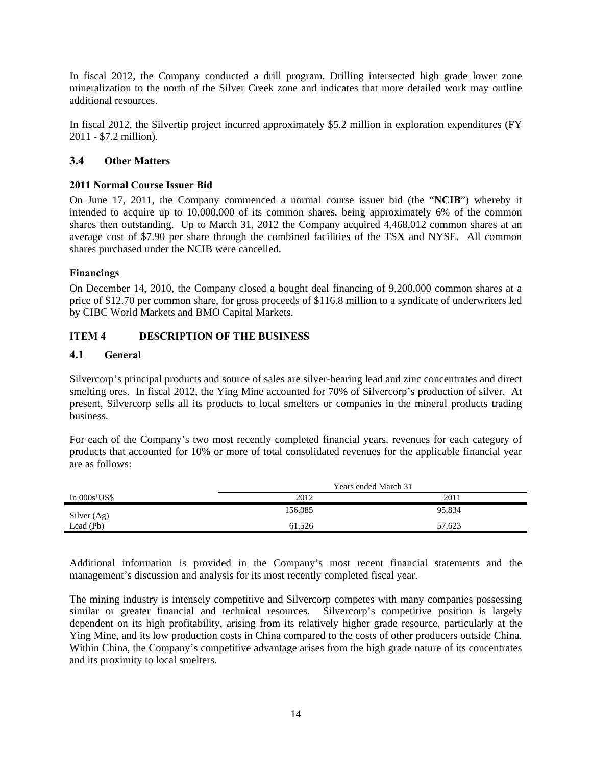In fiscal 2012, the Company conducted a drill program. Drilling intersected high grade lower zone mineralization to the north of the Silver Creek zone and indicates that more detailed work may outline additional resources.

In fiscal 2012, the Silvertip project incurred approximately \$5.2 million in exploration expenditures (FY 2011 - \$7.2 million).

## **3.4 Other Matters**

## **2011 Normal Course Issuer Bid**

On June 17, 2011, the Company commenced a normal course issuer bid (the "**NCIB**") whereby it intended to acquire up to 10,000,000 of its common shares, being approximately 6% of the common shares then outstanding. Up to March 31, 2012 the Company acquired 4,468,012 common shares at an average cost of \$7.90 per share through the combined facilities of the TSX and NYSE. All common shares purchased under the NCIB were cancelled.

### **Financings**

On December 14, 2010, the Company closed a bought deal financing of 9,200,000 common shares at a price of \$12.70 per common share, for gross proceeds of \$116.8 million to a syndicate of underwriters led by CIBC World Markets and BMO Capital Markets.

## **ITEM 4 DESCRIPTION OF THE BUSINESS**

### **4.1 General**

Silvercorp's principal products and source of sales are silver-bearing lead and zinc concentrates and direct smelting ores. In fiscal 2012, the Ying Mine accounted for 70% of Silvercorp's production of silver. At present, Silvercorp sells all its products to local smelters or companies in the mineral products trading business.

For each of the Company's two most recently completed financial years, revenues for each category of products that accounted for 10% or more of total consolidated revenues for the applicable financial year are as follows:

|               | Years ended March 31 |        |  |  |  |
|---------------|----------------------|--------|--|--|--|
| In $000s'USS$ | 2012                 | 2011   |  |  |  |
| Silver (Ag)   | 156,085              | 95,834 |  |  |  |
| Lead (Pb)     | 61.526               | 57,623 |  |  |  |

Additional information is provided in the Company's most recent financial statements and the management's discussion and analysis for its most recently completed fiscal year.

The mining industry is intensely competitive and Silvercorp competes with many companies possessing similar or greater financial and technical resources. Silvercorp's competitive position is largely dependent on its high profitability, arising from its relatively higher grade resource, particularly at the Ying Mine, and its low production costs in China compared to the costs of other producers outside China. Within China, the Company's competitive advantage arises from the high grade nature of its concentrates and its proximity to local smelters.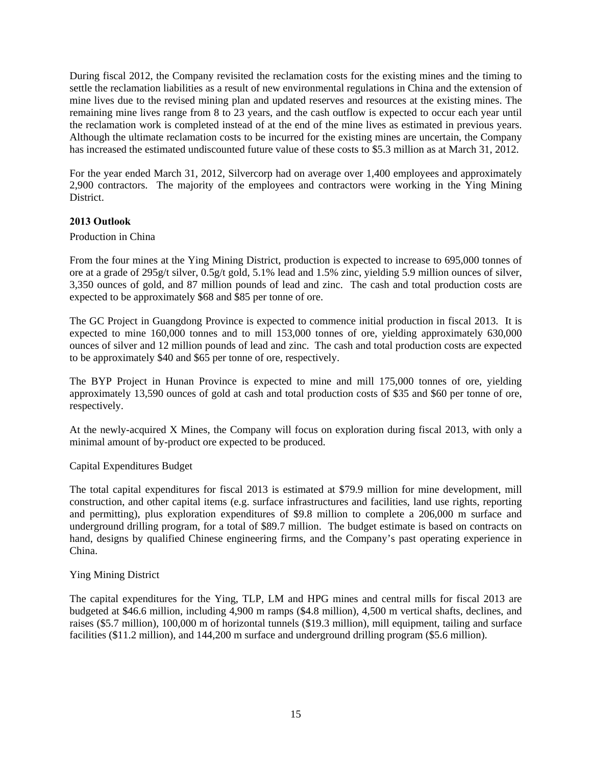During fiscal 2012, the Company revisited the reclamation costs for the existing mines and the timing to settle the reclamation liabilities as a result of new environmental regulations in China and the extension of mine lives due to the revised mining plan and updated reserves and resources at the existing mines. The remaining mine lives range from 8 to 23 years, and the cash outflow is expected to occur each year until the reclamation work is completed instead of at the end of the mine lives as estimated in previous years. Although the ultimate reclamation costs to be incurred for the existing mines are uncertain, the Company has increased the estimated undiscounted future value of these costs to \$5.3 million as at March 31, 2012.

For the year ended March 31, 2012, Silvercorp had on average over 1,400 employees and approximately 2,900 contractors. The majority of the employees and contractors were working in the Ying Mining District.

## **2013 Outlook**

### Production in China

From the four mines at the Ying Mining District, production is expected to increase to 695,000 tonnes of ore at a grade of 295g/t silver, 0.5g/t gold, 5.1% lead and 1.5% zinc, yielding 5.9 million ounces of silver, 3,350 ounces of gold, and 87 million pounds of lead and zinc. The cash and total production costs are expected to be approximately \$68 and \$85 per tonne of ore.

The GC Project in Guangdong Province is expected to commence initial production in fiscal 2013. It is expected to mine 160,000 tonnes and to mill 153,000 tonnes of ore, yielding approximately 630,000 ounces of silver and 12 million pounds of lead and zinc. The cash and total production costs are expected to be approximately \$40 and \$65 per tonne of ore, respectively.

The BYP Project in Hunan Province is expected to mine and mill 175,000 tonnes of ore, yielding approximately 13,590 ounces of gold at cash and total production costs of \$35 and \$60 per tonne of ore, respectively.

At the newly-acquired X Mines, the Company will focus on exploration during fiscal 2013, with only a minimal amount of by-product ore expected to be produced.

Capital Expenditures Budget

The total capital expenditures for fiscal 2013 is estimated at \$79.9 million for mine development, mill construction, and other capital items (e.g. surface infrastructures and facilities, land use rights, reporting and permitting), plus exploration expenditures of \$9.8 million to complete a 206,000 m surface and underground drilling program, for a total of \$89.7 million. The budget estimate is based on contracts on hand, designs by qualified Chinese engineering firms, and the Company's past operating experience in China.

## Ying Mining District

The capital expenditures for the Ying, TLP, LM and HPG mines and central mills for fiscal 2013 are budgeted at \$46.6 million, including 4,900 m ramps (\$4.8 million), 4,500 m vertical shafts, declines, and raises (\$5.7 million), 100,000 m of horizontal tunnels (\$19.3 million), mill equipment, tailing and surface facilities (\$11.2 million), and 144,200 m surface and underground drilling program (\$5.6 million).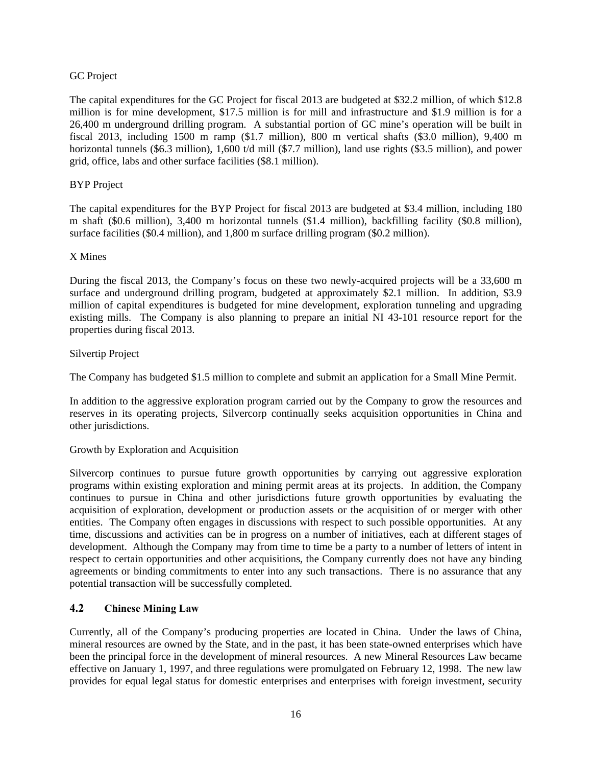## GC Project

The capital expenditures for the GC Project for fiscal 2013 are budgeted at \$32.2 million, of which \$12.8 million is for mine development, \$17.5 million is for mill and infrastructure and \$1.9 million is for a 26,400 m underground drilling program. A substantial portion of GC mine's operation will be built in fiscal 2013, including 1500 m ramp (\$1.7 million), 800 m vertical shafts (\$3.0 million), 9,400 m horizontal tunnels (\$6.3 million), 1,600 t/d mill (\$7.7 million), land use rights (\$3.5 million), and power grid, office, labs and other surface facilities (\$8.1 million).

## BYP Project

The capital expenditures for the BYP Project for fiscal 2013 are budgeted at \$3.4 million, including 180 m shaft (\$0.6 million), 3,400 m horizontal tunnels (\$1.4 million), backfilling facility (\$0.8 million), surface facilities (\$0.4 million), and 1,800 m surface drilling program (\$0.2 million).

## X Mines

During the fiscal 2013, the Company's focus on these two newly-acquired projects will be a 33,600 m surface and underground drilling program, budgeted at approximately \$2.1 million. In addition, \$3.9 million of capital expenditures is budgeted for mine development, exploration tunneling and upgrading existing mills. The Company is also planning to prepare an initial NI 43-101 resource report for the properties during fiscal 2013.

## Silvertip Project

The Company has budgeted \$1.5 million to complete and submit an application for a Small Mine Permit.

In addition to the aggressive exploration program carried out by the Company to grow the resources and reserves in its operating projects, Silvercorp continually seeks acquisition opportunities in China and other jurisdictions.

# Growth by Exploration and Acquisition

Silvercorp continues to pursue future growth opportunities by carrying out aggressive exploration programs within existing exploration and mining permit areas at its projects. In addition, the Company continues to pursue in China and other jurisdictions future growth opportunities by evaluating the acquisition of exploration, development or production assets or the acquisition of or merger with other entities. The Company often engages in discussions with respect to such possible opportunities. At any time, discussions and activities can be in progress on a number of initiatives, each at different stages of development. Although the Company may from time to time be a party to a number of letters of intent in respect to certain opportunities and other acquisitions, the Company currently does not have any binding agreements or binding commitments to enter into any such transactions. There is no assurance that any potential transaction will be successfully completed.

# **4.2 Chinese Mining Law**

Currently, all of the Company's producing properties are located in China. Under the laws of China, mineral resources are owned by the State, and in the past, it has been state-owned enterprises which have been the principal force in the development of mineral resources. A new Mineral Resources Law became effective on January 1, 1997, and three regulations were promulgated on February 12, 1998. The new law provides for equal legal status for domestic enterprises and enterprises with foreign investment, security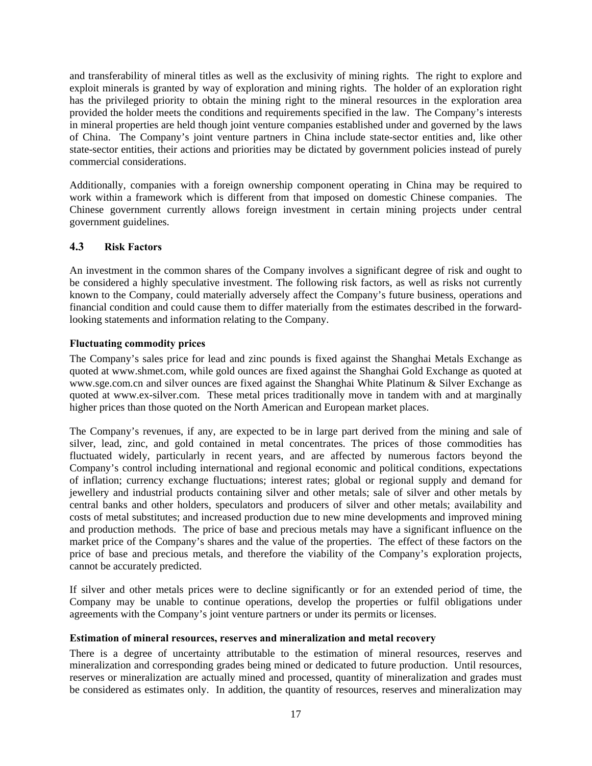and transferability of mineral titles as well as the exclusivity of mining rights. The right to explore and exploit minerals is granted by way of exploration and mining rights. The holder of an exploration right has the privileged priority to obtain the mining right to the mineral resources in the exploration area provided the holder meets the conditions and requirements specified in the law. The Company's interests in mineral properties are held though joint venture companies established under and governed by the laws of China. The Company's joint venture partners in China include state-sector entities and, like other state-sector entities, their actions and priorities may be dictated by government policies instead of purely commercial considerations.

Additionally, companies with a foreign ownership component operating in China may be required to work within a framework which is different from that imposed on domestic Chinese companies. The Chinese government currently allows foreign investment in certain mining projects under central government guidelines.

# **4.3 Risk Factors**

An investment in the common shares of the Company involves a significant degree of risk and ought to be considered a highly speculative investment. The following risk factors, as well as risks not currently known to the Company, could materially adversely affect the Company's future business, operations and financial condition and could cause them to differ materially from the estimates described in the forwardlooking statements and information relating to the Company.

## **Fluctuating commodity prices**

The Company's sales price for lead and zinc pounds is fixed against the Shanghai Metals Exchange as quoted at www.shmet.com, while gold ounces are fixed against the Shanghai Gold Exchange as quoted at www.sge.com.cn and silver ounces are fixed against the Shanghai White Platinum & Silver Exchange as quoted at www.ex-silver.com. These metal prices traditionally move in tandem with and at marginally higher prices than those quoted on the North American and European market places.

The Company's revenues, if any, are expected to be in large part derived from the mining and sale of silver, lead, zinc, and gold contained in metal concentrates. The prices of those commodities has fluctuated widely, particularly in recent years, and are affected by numerous factors beyond the Company's control including international and regional economic and political conditions, expectations of inflation; currency exchange fluctuations; interest rates; global or regional supply and demand for jewellery and industrial products containing silver and other metals; sale of silver and other metals by central banks and other holders, speculators and producers of silver and other metals; availability and costs of metal substitutes; and increased production due to new mine developments and improved mining and production methods. The price of base and precious metals may have a significant influence on the market price of the Company's shares and the value of the properties. The effect of these factors on the price of base and precious metals, and therefore the viability of the Company's exploration projects, cannot be accurately predicted.

If silver and other metals prices were to decline significantly or for an extended period of time, the Company may be unable to continue operations, develop the properties or fulfil obligations under agreements with the Company's joint venture partners or under its permits or licenses.

## **Estimation of mineral resources, reserves and mineralization and metal recovery**

There is a degree of uncertainty attributable to the estimation of mineral resources, reserves and mineralization and corresponding grades being mined or dedicated to future production. Until resources, reserves or mineralization are actually mined and processed, quantity of mineralization and grades must be considered as estimates only. In addition, the quantity of resources, reserves and mineralization may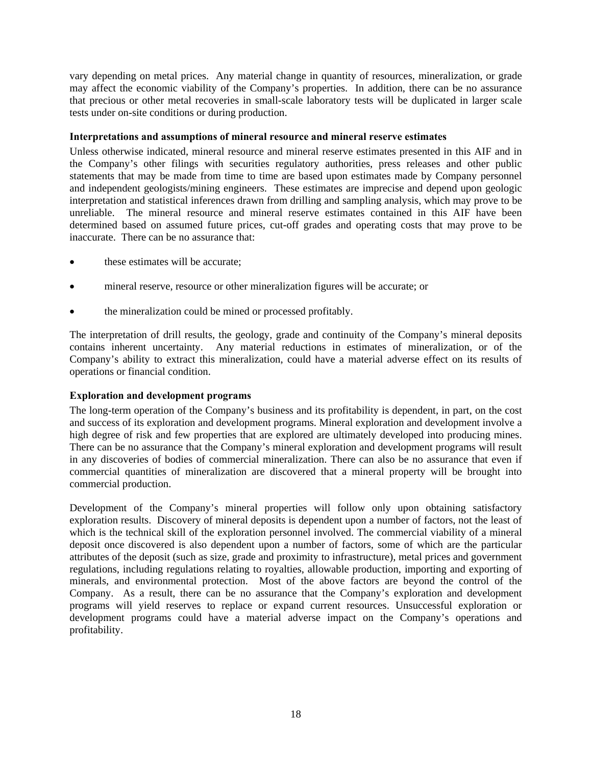vary depending on metal prices. Any material change in quantity of resources, mineralization, or grade may affect the economic viability of the Company's properties. In addition, there can be no assurance that precious or other metal recoveries in small-scale laboratory tests will be duplicated in larger scale tests under on-site conditions or during production.

## **Interpretations and assumptions of mineral resource and mineral reserve estimates**

Unless otherwise indicated, mineral resource and mineral reserve estimates presented in this AIF and in the Company's other filings with securities regulatory authorities, press releases and other public statements that may be made from time to time are based upon estimates made by Company personnel and independent geologists/mining engineers. These estimates are imprecise and depend upon geologic interpretation and statistical inferences drawn from drilling and sampling analysis, which may prove to be unreliable. The mineral resource and mineral reserve estimates contained in this AIF have been determined based on assumed future prices, cut-off grades and operating costs that may prove to be inaccurate. There can be no assurance that:

- these estimates will be accurate;
- mineral reserve, resource or other mineralization figures will be accurate; or
- the mineralization could be mined or processed profitably.

The interpretation of drill results, the geology, grade and continuity of the Company's mineral deposits contains inherent uncertainty. Any material reductions in estimates of mineralization, or of the Company's ability to extract this mineralization, could have a material adverse effect on its results of operations or financial condition.

#### **Exploration and development programs**

The long-term operation of the Company's business and its profitability is dependent, in part, on the cost and success of its exploration and development programs. Mineral exploration and development involve a high degree of risk and few properties that are explored are ultimately developed into producing mines. There can be no assurance that the Company's mineral exploration and development programs will result in any discoveries of bodies of commercial mineralization. There can also be no assurance that even if commercial quantities of mineralization are discovered that a mineral property will be brought into commercial production.

Development of the Company's mineral properties will follow only upon obtaining satisfactory exploration results. Discovery of mineral deposits is dependent upon a number of factors, not the least of which is the technical skill of the exploration personnel involved. The commercial viability of a mineral deposit once discovered is also dependent upon a number of factors, some of which are the particular attributes of the deposit (such as size, grade and proximity to infrastructure), metal prices and government regulations, including regulations relating to royalties, allowable production, importing and exporting of minerals, and environmental protection. Most of the above factors are beyond the control of the Company. As a result, there can be no assurance that the Company's exploration and development programs will yield reserves to replace or expand current resources. Unsuccessful exploration or development programs could have a material adverse impact on the Company's operations and profitability.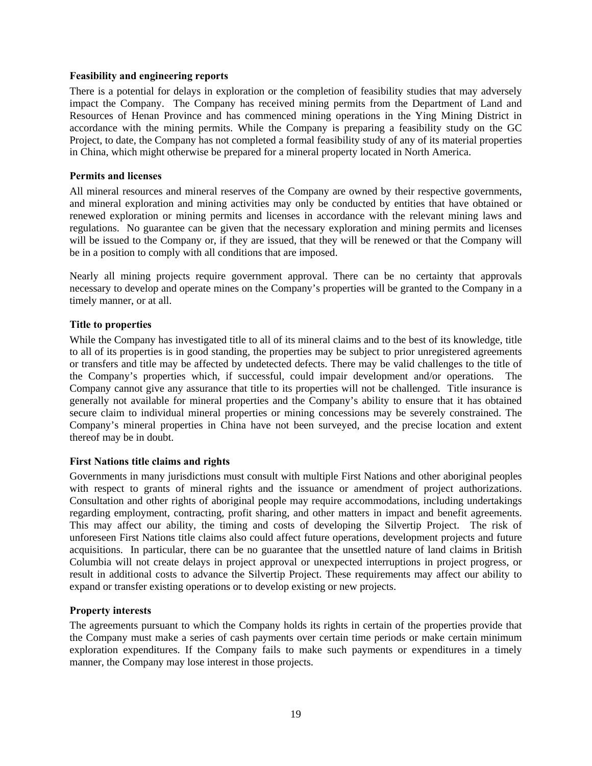### **Feasibility and engineering reports**

There is a potential for delays in exploration or the completion of feasibility studies that may adversely impact the Company. The Company has received mining permits from the Department of Land and Resources of Henan Province and has commenced mining operations in the Ying Mining District in accordance with the mining permits. While the Company is preparing a feasibility study on the GC Project, to date, the Company has not completed a formal feasibility study of any of its material properties in China, which might otherwise be prepared for a mineral property located in North America.

### **Permits and licenses**

All mineral resources and mineral reserves of the Company are owned by their respective governments, and mineral exploration and mining activities may only be conducted by entities that have obtained or renewed exploration or mining permits and licenses in accordance with the relevant mining laws and regulations. No guarantee can be given that the necessary exploration and mining permits and licenses will be issued to the Company or, if they are issued, that they will be renewed or that the Company will be in a position to comply with all conditions that are imposed.

Nearly all mining projects require government approval. There can be no certainty that approvals necessary to develop and operate mines on the Company's properties will be granted to the Company in a timely manner, or at all.

## **Title to properties**

While the Company has investigated title to all of its mineral claims and to the best of its knowledge, title to all of its properties is in good standing, the properties may be subject to prior unregistered agreements or transfers and title may be affected by undetected defects. There may be valid challenges to the title of the Company's properties which, if successful, could impair development and/or operations. The Company cannot give any assurance that title to its properties will not be challenged. Title insurance is generally not available for mineral properties and the Company's ability to ensure that it has obtained secure claim to individual mineral properties or mining concessions may be severely constrained. The Company's mineral properties in China have not been surveyed, and the precise location and extent thereof may be in doubt.

## **First Nations title claims and rights**

Governments in many jurisdictions must consult with multiple First Nations and other aboriginal peoples with respect to grants of mineral rights and the issuance or amendment of project authorizations. Consultation and other rights of aboriginal people may require accommodations, including undertakings regarding employment, contracting, profit sharing, and other matters in impact and benefit agreements. This may affect our ability, the timing and costs of developing the Silvertip Project. The risk of unforeseen First Nations title claims also could affect future operations, development projects and future acquisitions. In particular, there can be no guarantee that the unsettled nature of land claims in British Columbia will not create delays in project approval or unexpected interruptions in project progress, or result in additional costs to advance the Silvertip Project. These requirements may affect our ability to expand or transfer existing operations or to develop existing or new projects.

#### **Property interests**

The agreements pursuant to which the Company holds its rights in certain of the properties provide that the Company must make a series of cash payments over certain time periods or make certain minimum exploration expenditures. If the Company fails to make such payments or expenditures in a timely manner, the Company may lose interest in those projects.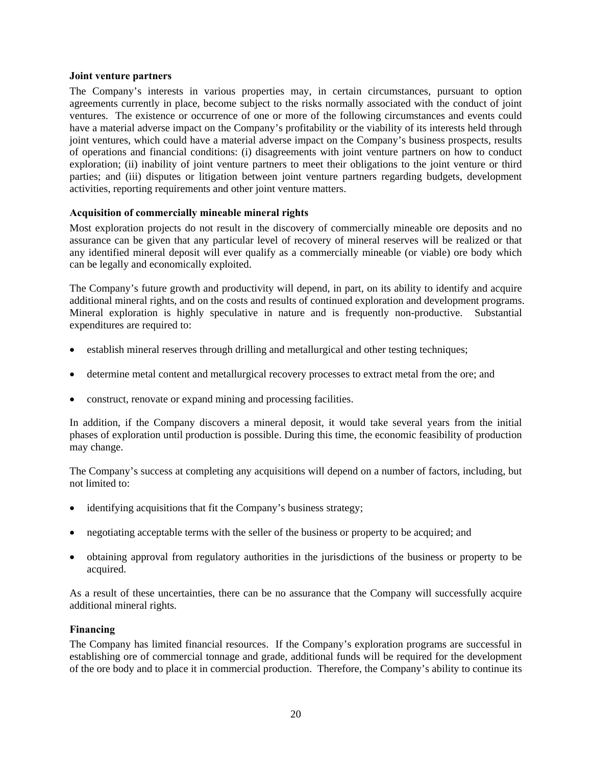#### **Joint venture partners**

The Company's interests in various properties may, in certain circumstances, pursuant to option agreements currently in place, become subject to the risks normally associated with the conduct of joint ventures. The existence or occurrence of one or more of the following circumstances and events could have a material adverse impact on the Company's profitability or the viability of its interests held through joint ventures, which could have a material adverse impact on the Company's business prospects, results of operations and financial conditions: (i) disagreements with joint venture partners on how to conduct exploration; (ii) inability of joint venture partners to meet their obligations to the joint venture or third parties; and (iii) disputes or litigation between joint venture partners regarding budgets, development activities, reporting requirements and other joint venture matters.

## **Acquisition of commercially mineable mineral rights**

Most exploration projects do not result in the discovery of commercially mineable ore deposits and no assurance can be given that any particular level of recovery of mineral reserves will be realized or that any identified mineral deposit will ever qualify as a commercially mineable (or viable) ore body which can be legally and economically exploited.

The Company's future growth and productivity will depend, in part, on its ability to identify and acquire additional mineral rights, and on the costs and results of continued exploration and development programs. Mineral exploration is highly speculative in nature and is frequently non-productive. Substantial expenditures are required to:

- establish mineral reserves through drilling and metallurgical and other testing techniques;
- determine metal content and metallurgical recovery processes to extract metal from the ore; and
- construct, renovate or expand mining and processing facilities.

In addition, if the Company discovers a mineral deposit, it would take several years from the initial phases of exploration until production is possible. During this time, the economic feasibility of production may change.

The Company's success at completing any acquisitions will depend on a number of factors, including, but not limited to:

- identifying acquisitions that fit the Company's business strategy;
- negotiating acceptable terms with the seller of the business or property to be acquired; and
- obtaining approval from regulatory authorities in the jurisdictions of the business or property to be acquired.

As a result of these uncertainties, there can be no assurance that the Company will successfully acquire additional mineral rights.

## **Financing**

The Company has limited financial resources. If the Company's exploration programs are successful in establishing ore of commercial tonnage and grade, additional funds will be required for the development of the ore body and to place it in commercial production. Therefore, the Company's ability to continue its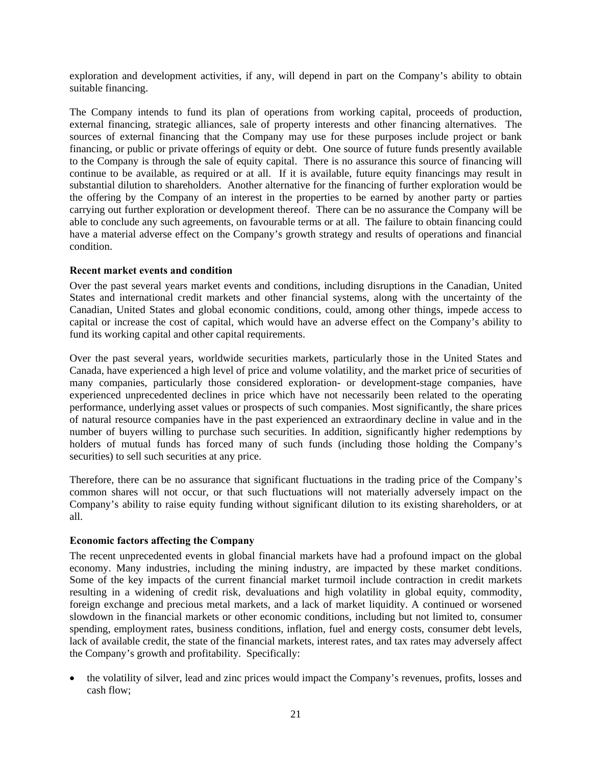exploration and development activities, if any, will depend in part on the Company's ability to obtain suitable financing.

The Company intends to fund its plan of operations from working capital, proceeds of production, external financing, strategic alliances, sale of property interests and other financing alternatives. The sources of external financing that the Company may use for these purposes include project or bank financing, or public or private offerings of equity or debt. One source of future funds presently available to the Company is through the sale of equity capital. There is no assurance this source of financing will continue to be available, as required or at all. If it is available, future equity financings may result in substantial dilution to shareholders. Another alternative for the financing of further exploration would be the offering by the Company of an interest in the properties to be earned by another party or parties carrying out further exploration or development thereof. There can be no assurance the Company will be able to conclude any such agreements, on favourable terms or at all. The failure to obtain financing could have a material adverse effect on the Company's growth strategy and results of operations and financial condition.

### **Recent market events and condition**

Over the past several years market events and conditions, including disruptions in the Canadian, United States and international credit markets and other financial systems, along with the uncertainty of the Canadian, United States and global economic conditions, could, among other things, impede access to capital or increase the cost of capital, which would have an adverse effect on the Company's ability to fund its working capital and other capital requirements.

Over the past several years, worldwide securities markets, particularly those in the United States and Canada, have experienced a high level of price and volume volatility, and the market price of securities of many companies, particularly those considered exploration- or development-stage companies, have experienced unprecedented declines in price which have not necessarily been related to the operating performance, underlying asset values or prospects of such companies. Most significantly, the share prices of natural resource companies have in the past experienced an extraordinary decline in value and in the number of buyers willing to purchase such securities. In addition, significantly higher redemptions by holders of mutual funds has forced many of such funds (including those holding the Company's securities) to sell such securities at any price.

Therefore, there can be no assurance that significant fluctuations in the trading price of the Company's common shares will not occur, or that such fluctuations will not materially adversely impact on the Company's ability to raise equity funding without significant dilution to its existing shareholders, or at all.

## **Economic factors affecting the Company**

The recent unprecedented events in global financial markets have had a profound impact on the global economy. Many industries, including the mining industry, are impacted by these market conditions. Some of the key impacts of the current financial market turmoil include contraction in credit markets resulting in a widening of credit risk, devaluations and high volatility in global equity, commodity, foreign exchange and precious metal markets, and a lack of market liquidity. A continued or worsened slowdown in the financial markets or other economic conditions, including but not limited to, consumer spending, employment rates, business conditions, inflation, fuel and energy costs, consumer debt levels, lack of available credit, the state of the financial markets, interest rates, and tax rates may adversely affect the Company's growth and profitability. Specifically:

 the volatility of silver, lead and zinc prices would impact the Company's revenues, profits, losses and cash flow;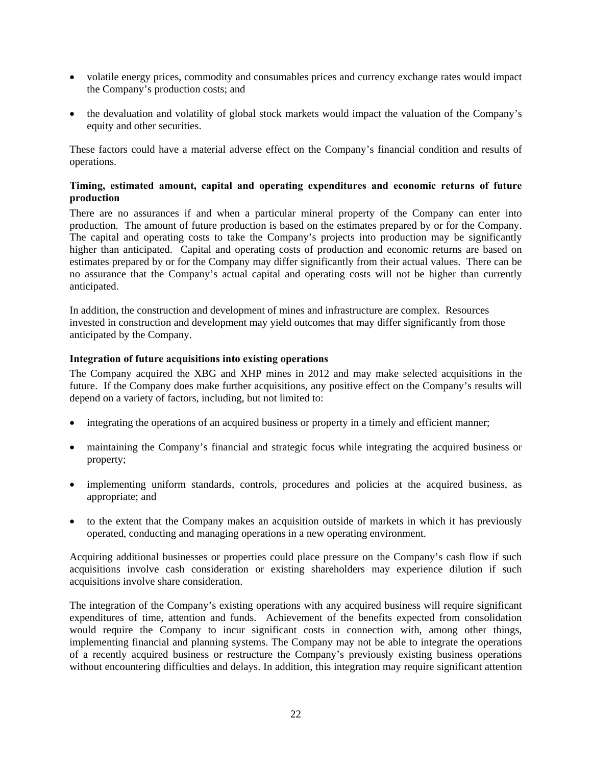- volatile energy prices, commodity and consumables prices and currency exchange rates would impact the Company's production costs; and
- the devaluation and volatility of global stock markets would impact the valuation of the Company's equity and other securities.

These factors could have a material adverse effect on the Company's financial condition and results of operations.

## **Timing, estimated amount, capital and operating expenditures and economic returns of future production**

There are no assurances if and when a particular mineral property of the Company can enter into production. The amount of future production is based on the estimates prepared by or for the Company. The capital and operating costs to take the Company's projects into production may be significantly higher than anticipated. Capital and operating costs of production and economic returns are based on estimates prepared by or for the Company may differ significantly from their actual values. There can be no assurance that the Company's actual capital and operating costs will not be higher than currently anticipated.

In addition, the construction and development of mines and infrastructure are complex. Resources invested in construction and development may yield outcomes that may differ significantly from those anticipated by the Company.

### **Integration of future acquisitions into existing operations**

The Company acquired the XBG and XHP mines in 2012 and may make selected acquisitions in the future. If the Company does make further acquisitions, any positive effect on the Company's results will depend on a variety of factors, including, but not limited to:

- integrating the operations of an acquired business or property in a timely and efficient manner;
- maintaining the Company's financial and strategic focus while integrating the acquired business or property;
- implementing uniform standards, controls, procedures and policies at the acquired business, as appropriate; and
- to the extent that the Company makes an acquisition outside of markets in which it has previously operated, conducting and managing operations in a new operating environment.

Acquiring additional businesses or properties could place pressure on the Company's cash flow if such acquisitions involve cash consideration or existing shareholders may experience dilution if such acquisitions involve share consideration.

The integration of the Company's existing operations with any acquired business will require significant expenditures of time, attention and funds. Achievement of the benefits expected from consolidation would require the Company to incur significant costs in connection with, among other things, implementing financial and planning systems. The Company may not be able to integrate the operations of a recently acquired business or restructure the Company's previously existing business operations without encountering difficulties and delays. In addition, this integration may require significant attention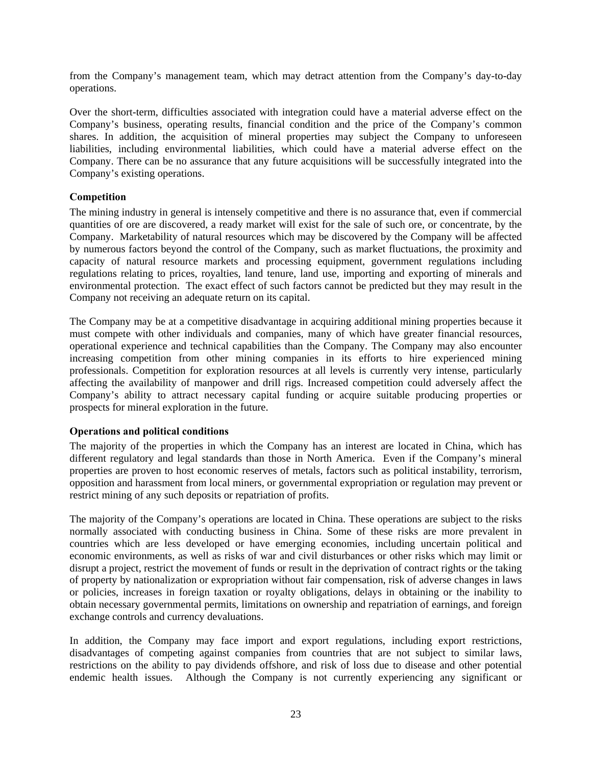from the Company's management team, which may detract attention from the Company's day-to-day operations.

Over the short-term, difficulties associated with integration could have a material adverse effect on the Company's business, operating results, financial condition and the price of the Company's common shares. In addition, the acquisition of mineral properties may subject the Company to unforeseen liabilities, including environmental liabilities, which could have a material adverse effect on the Company. There can be no assurance that any future acquisitions will be successfully integrated into the Company's existing operations.

## **Competition**

The mining industry in general is intensely competitive and there is no assurance that, even if commercial quantities of ore are discovered, a ready market will exist for the sale of such ore, or concentrate, by the Company. Marketability of natural resources which may be discovered by the Company will be affected by numerous factors beyond the control of the Company, such as market fluctuations, the proximity and capacity of natural resource markets and processing equipment, government regulations including regulations relating to prices, royalties, land tenure, land use, importing and exporting of minerals and environmental protection. The exact effect of such factors cannot be predicted but they may result in the Company not receiving an adequate return on its capital.

The Company may be at a competitive disadvantage in acquiring additional mining properties because it must compete with other individuals and companies, many of which have greater financial resources, operational experience and technical capabilities than the Company. The Company may also encounter increasing competition from other mining companies in its efforts to hire experienced mining professionals. Competition for exploration resources at all levels is currently very intense, particularly affecting the availability of manpower and drill rigs. Increased competition could adversely affect the Company's ability to attract necessary capital funding or acquire suitable producing properties or prospects for mineral exploration in the future.

## **Operations and political conditions**

The majority of the properties in which the Company has an interest are located in China, which has different regulatory and legal standards than those in North America. Even if the Company's mineral properties are proven to host economic reserves of metals, factors such as political instability, terrorism, opposition and harassment from local miners, or governmental expropriation or regulation may prevent or restrict mining of any such deposits or repatriation of profits.

The majority of the Company's operations are located in China. These operations are subject to the risks normally associated with conducting business in China. Some of these risks are more prevalent in countries which are less developed or have emerging economies, including uncertain political and economic environments, as well as risks of war and civil disturbances or other risks which may limit or disrupt a project, restrict the movement of funds or result in the deprivation of contract rights or the taking of property by nationalization or expropriation without fair compensation, risk of adverse changes in laws or policies, increases in foreign taxation or royalty obligations, delays in obtaining or the inability to obtain necessary governmental permits, limitations on ownership and repatriation of earnings, and foreign exchange controls and currency devaluations.

In addition, the Company may face import and export regulations, including export restrictions, disadvantages of competing against companies from countries that are not subject to similar laws, restrictions on the ability to pay dividends offshore, and risk of loss due to disease and other potential endemic health issues. Although the Company is not currently experiencing any significant or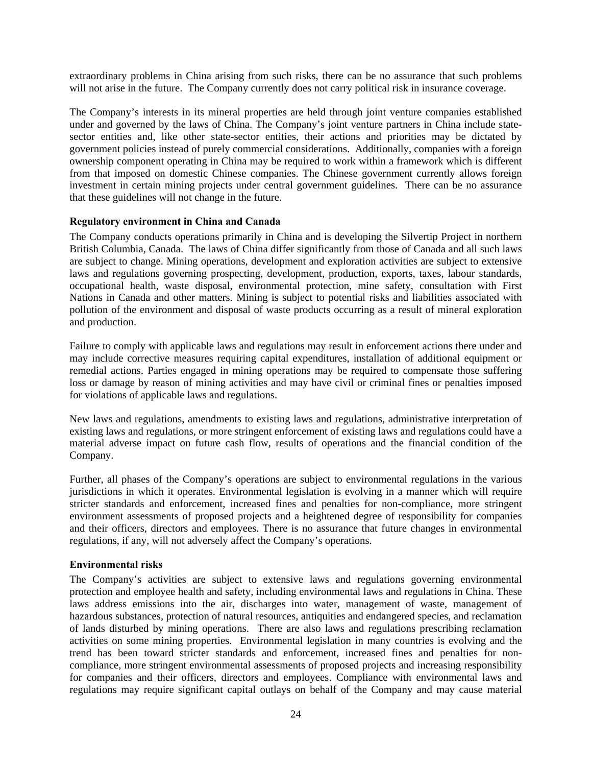extraordinary problems in China arising from such risks, there can be no assurance that such problems will not arise in the future. The Company currently does not carry political risk in insurance coverage.

The Company's interests in its mineral properties are held through joint venture companies established under and governed by the laws of China. The Company's joint venture partners in China include statesector entities and, like other state-sector entities, their actions and priorities may be dictated by government policies instead of purely commercial considerations. Additionally, companies with a foreign ownership component operating in China may be required to work within a framework which is different from that imposed on domestic Chinese companies. The Chinese government currently allows foreign investment in certain mining projects under central government guidelines. There can be no assurance that these guidelines will not change in the future.

### **Regulatory environment in China and Canada**

The Company conducts operations primarily in China and is developing the Silvertip Project in northern British Columbia, Canada. The laws of China differ significantly from those of Canada and all such laws are subject to change. Mining operations, development and exploration activities are subject to extensive laws and regulations governing prospecting, development, production, exports, taxes, labour standards, occupational health, waste disposal, environmental protection, mine safety, consultation with First Nations in Canada and other matters. Mining is subject to potential risks and liabilities associated with pollution of the environment and disposal of waste products occurring as a result of mineral exploration and production.

Failure to comply with applicable laws and regulations may result in enforcement actions there under and may include corrective measures requiring capital expenditures, installation of additional equipment or remedial actions. Parties engaged in mining operations may be required to compensate those suffering loss or damage by reason of mining activities and may have civil or criminal fines or penalties imposed for violations of applicable laws and regulations.

New laws and regulations, amendments to existing laws and regulations, administrative interpretation of existing laws and regulations, or more stringent enforcement of existing laws and regulations could have a material adverse impact on future cash flow, results of operations and the financial condition of the Company.

Further, all phases of the Company's operations are subject to environmental regulations in the various jurisdictions in which it operates. Environmental legislation is evolving in a manner which will require stricter standards and enforcement, increased fines and penalties for non-compliance, more stringent environment assessments of proposed projects and a heightened degree of responsibility for companies and their officers, directors and employees. There is no assurance that future changes in environmental regulations, if any, will not adversely affect the Company's operations.

## **Environmental risks**

The Company's activities are subject to extensive laws and regulations governing environmental protection and employee health and safety, including environmental laws and regulations in China. These laws address emissions into the air, discharges into water, management of waste, management of hazardous substances, protection of natural resources, antiquities and endangered species, and reclamation of lands disturbed by mining operations. There are also laws and regulations prescribing reclamation activities on some mining properties. Environmental legislation in many countries is evolving and the trend has been toward stricter standards and enforcement, increased fines and penalties for noncompliance, more stringent environmental assessments of proposed projects and increasing responsibility for companies and their officers, directors and employees. Compliance with environmental laws and regulations may require significant capital outlays on behalf of the Company and may cause material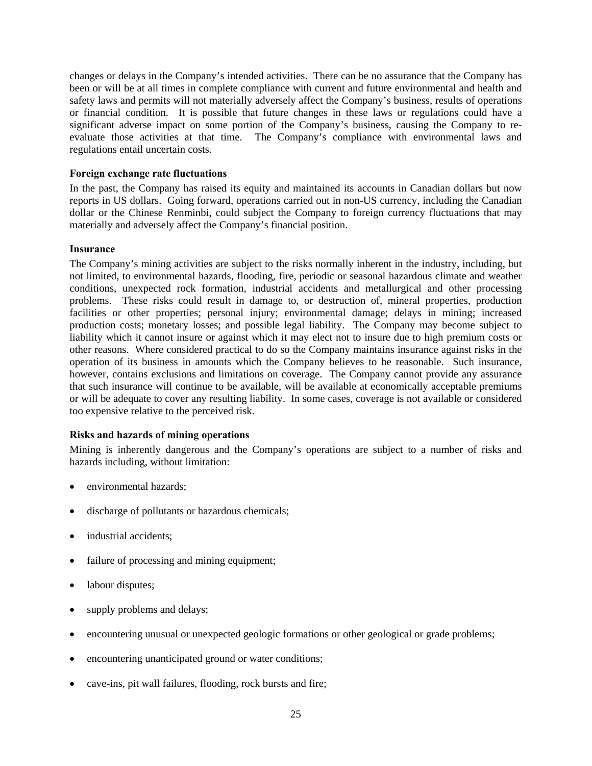changes or delays in the Company's intended activities. There can be no assurance that the Company has been or will be at all times in complete compliance with current and future environmental and health and safety laws and permits will not materially adversely affect the Company's business, results of operations or financial condition. It is possible that future changes in these laws or regulations could have a significant adverse impact on some portion of the Company's business, causing the Company to reevaluate those activities at that time. The Company's compliance with environmental laws and regulations entail uncertain costs.

### **Foreign exchange rate fluctuations**

In the past, the Company has raised its equity and maintained its accounts in Canadian dollars but now reports in US dollars. Going forward, operations carried out in non-US currency, including the Canadian dollar or the Chinese Renminbi, could subject the Company to foreign currency fluctuations that may materially and adversely affect the Company's financial position.

#### **Insurance**

The Company's mining activities are subject to the risks normally inherent in the industry, including, but not limited, to environmental hazards, flooding, fire, periodic or seasonal hazardous climate and weather conditions, unexpected rock formation, industrial accidents and metallurgical and other processing problems. These risks could result in damage to, or destruction of, mineral properties, production facilities or other properties; personal injury; environmental damage; delays in mining; increased production costs; monetary losses; and possible legal liability. The Company may become subject to liability which it cannot insure or against which it may elect not to insure due to high premium costs or other reasons. Where considered practical to do so the Company maintains insurance against risks in the operation of its business in amounts which the Company believes to be reasonable. Such insurance, however, contains exclusions and limitations on coverage. The Company cannot provide any assurance that such insurance will continue to be available, will be available at economically acceptable premiums or will be adequate to cover any resulting liability. In some cases, coverage is not available or considered too expensive relative to the perceived risk.

## **Risks and hazards of mining operations**

Mining is inherently dangerous and the Company's operations are subject to a number of risks and hazards including, without limitation:

- environmental hazards;
- discharge of pollutants or hazardous chemicals;
- industrial accidents;
- failure of processing and mining equipment;
- labour disputes;
- supply problems and delays;
- encountering unusual or unexpected geologic formations or other geological or grade problems;
- encountering unanticipated ground or water conditions;
- cave-ins, pit wall failures, flooding, rock bursts and fire;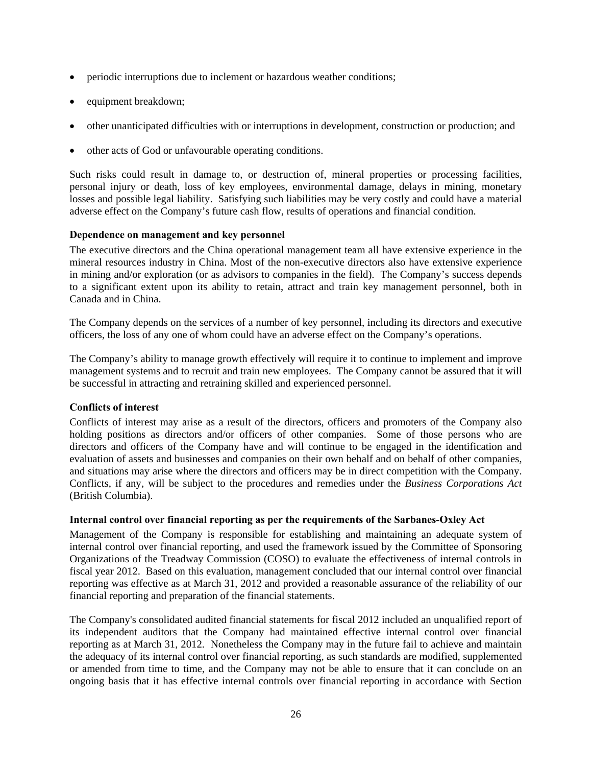- periodic interruptions due to inclement or hazardous weather conditions;
- equipment breakdown;
- other unanticipated difficulties with or interruptions in development, construction or production; and
- other acts of God or unfavourable operating conditions.

Such risks could result in damage to, or destruction of, mineral properties or processing facilities, personal injury or death, loss of key employees, environmental damage, delays in mining, monetary losses and possible legal liability. Satisfying such liabilities may be very costly and could have a material adverse effect on the Company's future cash flow, results of operations and financial condition.

## **Dependence on management and key personnel**

The executive directors and the China operational management team all have extensive experience in the mineral resources industry in China. Most of the non-executive directors also have extensive experience in mining and/or exploration (or as advisors to companies in the field). The Company's success depends to a significant extent upon its ability to retain, attract and train key management personnel, both in Canada and in China.

The Company depends on the services of a number of key personnel, including its directors and executive officers, the loss of any one of whom could have an adverse effect on the Company's operations.

The Company's ability to manage growth effectively will require it to continue to implement and improve management systems and to recruit and train new employees. The Company cannot be assured that it will be successful in attracting and retraining skilled and experienced personnel.

## **Conflicts of interest**

Conflicts of interest may arise as a result of the directors, officers and promoters of the Company also holding positions as directors and/or officers of other companies. Some of those persons who are directors and officers of the Company have and will continue to be engaged in the identification and evaluation of assets and businesses and companies on their own behalf and on behalf of other companies, and situations may arise where the directors and officers may be in direct competition with the Company. Conflicts, if any, will be subject to the procedures and remedies under the *Business Corporations Act* (British Columbia).

#### **Internal control over financial reporting as per the requirements of the Sarbanes-Oxley Act**

Management of the Company is responsible for establishing and maintaining an adequate system of internal control over financial reporting, and used the framework issued by the Committee of Sponsoring Organizations of the Treadway Commission (COSO) to evaluate the effectiveness of internal controls in fiscal year 2012. Based on this evaluation, management concluded that our internal control over financial reporting was effective as at March 31, 2012 and provided a reasonable assurance of the reliability of our financial reporting and preparation of the financial statements.

The Company's consolidated audited financial statements for fiscal 2012 included an unqualified report of its independent auditors that the Company had maintained effective internal control over financial reporting as at March 31, 2012. Nonetheless the Company may in the future fail to achieve and maintain the adequacy of its internal control over financial reporting, as such standards are modified, supplemented or amended from time to time, and the Company may not be able to ensure that it can conclude on an ongoing basis that it has effective internal controls over financial reporting in accordance with Section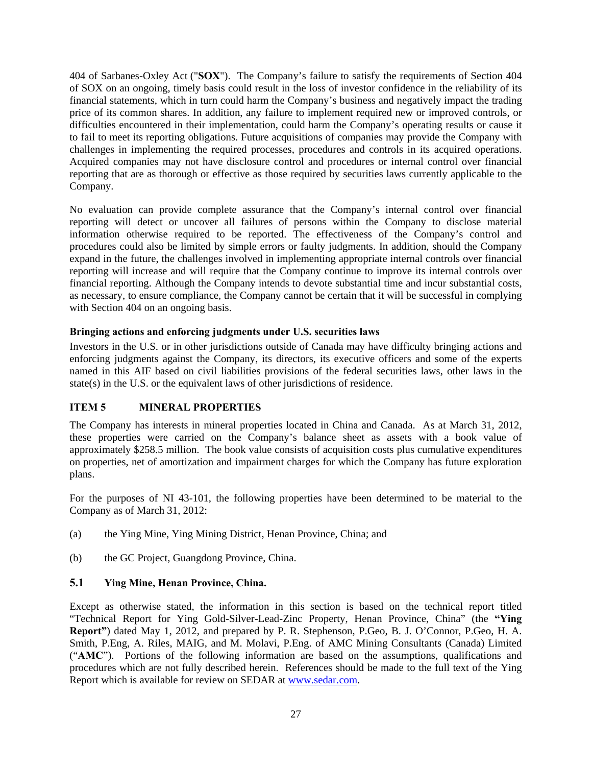404 of Sarbanes-Oxley Act ("**SOX**"). The Company's failure to satisfy the requirements of Section 404 of SOX on an ongoing, timely basis could result in the loss of investor confidence in the reliability of its financial statements, which in turn could harm the Company's business and negatively impact the trading price of its common shares. In addition, any failure to implement required new or improved controls, or difficulties encountered in their implementation, could harm the Company's operating results or cause it to fail to meet its reporting obligations. Future acquisitions of companies may provide the Company with challenges in implementing the required processes, procedures and controls in its acquired operations. Acquired companies may not have disclosure control and procedures or internal control over financial reporting that are as thorough or effective as those required by securities laws currently applicable to the Company.

No evaluation can provide complete assurance that the Company's internal control over financial reporting will detect or uncover all failures of persons within the Company to disclose material information otherwise required to be reported. The effectiveness of the Company's control and procedures could also be limited by simple errors or faulty judgments. In addition, should the Company expand in the future, the challenges involved in implementing appropriate internal controls over financial reporting will increase and will require that the Company continue to improve its internal controls over financial reporting. Although the Company intends to devote substantial time and incur substantial costs, as necessary, to ensure compliance, the Company cannot be certain that it will be successful in complying with Section 404 on an ongoing basis.

## **Bringing actions and enforcing judgments under U.S. securities laws**

Investors in the U.S. or in other jurisdictions outside of Canada may have difficulty bringing actions and enforcing judgments against the Company, its directors, its executive officers and some of the experts named in this AIF based on civil liabilities provisions of the federal securities laws, other laws in the state(s) in the U.S. or the equivalent laws of other jurisdictions of residence.

# **ITEM 5 MINERAL PROPERTIES**

The Company has interests in mineral properties located in China and Canada. As at March 31, 2012, these properties were carried on the Company's balance sheet as assets with a book value of approximately \$258.5 million. The book value consists of acquisition costs plus cumulative expenditures on properties, net of amortization and impairment charges for which the Company has future exploration plans.

For the purposes of NI 43-101, the following properties have been determined to be material to the Company as of March 31, 2012:

- (a) the Ying Mine, Ying Mining District, Henan Province, China; and
- (b) the GC Project, Guangdong Province, China.

# **5.1 Ying Mine, Henan Province, China.**

Except as otherwise stated, the information in this section is based on the technical report titled "Technical Report for Ying Gold-Silver-Lead-Zinc Property, Henan Province, China" (the **"Ying Report"**) dated May 1, 2012, and prepared by P. R. Stephenson, P.Geo, B. J. O'Connor, P.Geo, H. A. Smith, P.Eng, A. Riles, MAIG, and M. Molavi, P.Eng. of AMC Mining Consultants (Canada) Limited ("**AMC**"). Portions of the following information are based on the assumptions, qualifications and procedures which are not fully described herein. References should be made to the full text of the Ying Report which is available for review on SEDAR at www.sedar.com.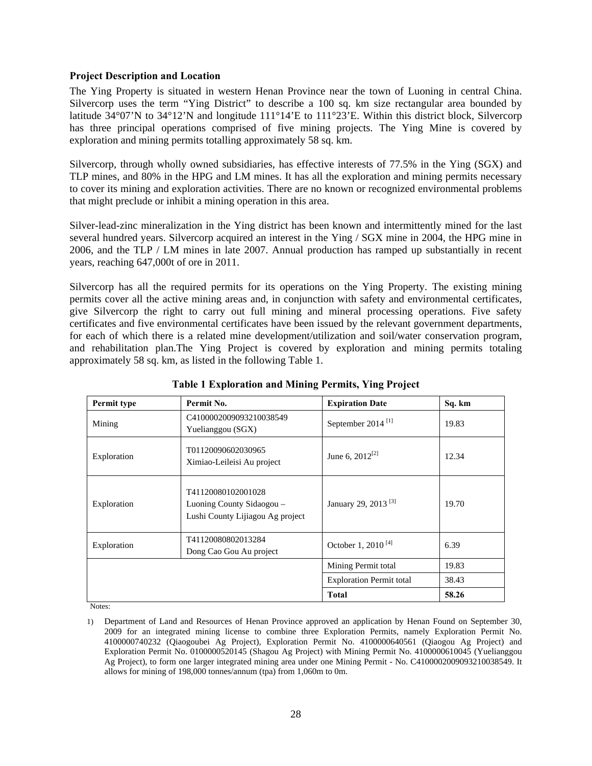#### **Project Description and Location**

The Ying Property is situated in western Henan Province near the town of Luoning in central China. Silvercorp uses the term "Ying District" to describe a 100 sq. km size rectangular area bounded by latitude 34°07'N to 34°12'N and longitude 111°14'E to 111°23'E. Within this district block, Silvercorp has three principal operations comprised of five mining projects. The Ying Mine is covered by exploration and mining permits totalling approximately 58 sq. km.

Silvercorp, through wholly owned subsidiaries, has effective interests of 77.5% in the Ying (SGX) and TLP mines, and 80% in the HPG and LM mines. It has all the exploration and mining permits necessary to cover its mining and exploration activities. There are no known or recognized environmental problems that might preclude or inhibit a mining operation in this area.

Silver-lead-zinc mineralization in the Ying district has been known and intermittently mined for the last several hundred years. Silvercorp acquired an interest in the Ying / SGX mine in 2004, the HPG mine in 2006, and the TLP / LM mines in late 2007. Annual production has ramped up substantially in recent years, reaching 647,000t of ore in 2011.

Silvercorp has all the required permits for its operations on the Ying Property. The existing mining permits cover all the active mining areas and, in conjunction with safety and environmental certificates, give Silvercorp the right to carry out full mining and mineral processing operations. Five safety certificates and five environmental certificates have been issued by the relevant government departments, for each of which there is a related mine development/utilization and soil/water conservation program, and rehabilitation plan.The Ying Project is covered by exploration and mining permits totaling approximately 58 sq. km, as listed in the following Table 1.

| Permit type | Permit No.                                                                          | <b>Expiration Date</b>          | Sq. km |
|-------------|-------------------------------------------------------------------------------------|---------------------------------|--------|
| Mining      | C4100002009093210038549<br>Yuelianggou (SGX)                                        | September 2014 <sup>[1]</sup>   | 19.83  |
| Exploration | T01120090602030965<br>Ximiao-Leileisi Au project                                    | June 6, $2012^{[2]}$            | 12.34  |
| Exploration | T41120080102001028<br>Luoning County Sidaogou -<br>Lushi County Lijiagou Ag project | January 29, 2013 <sup>[3]</sup> | 19.70  |
| Exploration | T41120080802013284<br>Dong Cao Gou Au project                                       | October 1, 2010 <sup>[4]</sup>  | 6.39   |
|             |                                                                                     | Mining Permit total             | 19.83  |
|             |                                                                                     | <b>Exploration Permit total</b> | 38.43  |
|             |                                                                                     | <b>Total</b>                    | 58.26  |

**Table 1 Exploration and Mining Permits, Ying Project** 

Notes:

<sup>1)</sup> Department of Land and Resources of Henan Province approved an application by Henan Found on September 30, 2009 for an integrated mining license to combine three Exploration Permits, namely Exploration Permit No. 4100000740232 (Qiaogoubei Ag Project), Exploration Permit No. 4100000640561 (Qiaogou Ag Project) and Exploration Permit No. 0100000520145 (Shagou Ag Project) with Mining Permit No. 4100000610045 (Yuelianggou Ag Project), to form one larger integrated mining area under one Mining Permit - No. C4100002009093210038549. It allows for mining of 198,000 tonnes/annum (tpa) from 1,060m to 0m.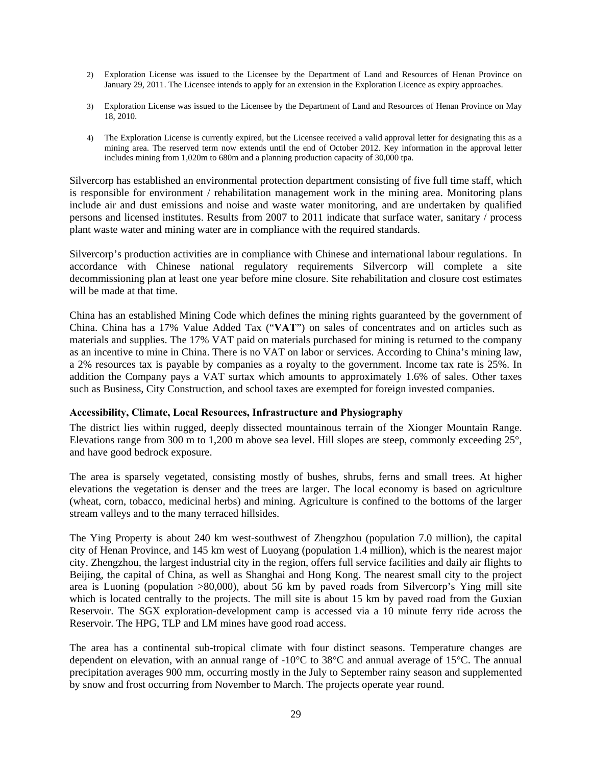- 2) Exploration License was issued to the Licensee by the Department of Land and Resources of Henan Province on January 29, 2011. The Licensee intends to apply for an extension in the Exploration Licence as expiry approaches.
- 3) Exploration License was issued to the Licensee by the Department of Land and Resources of Henan Province on May 18, 2010.
- 4) The Exploration License is currently expired, but the Licensee received a valid approval letter for designating this as a mining area. The reserved term now extends until the end of October 2012. Key information in the approval letter includes mining from 1,020m to 680m and a planning production capacity of 30,000 tpa.

Silvercorp has established an environmental protection department consisting of five full time staff, which is responsible for environment / rehabilitation management work in the mining area. Monitoring plans include air and dust emissions and noise and waste water monitoring, and are undertaken by qualified persons and licensed institutes. Results from 2007 to 2011 indicate that surface water, sanitary / process plant waste water and mining water are in compliance with the required standards.

Silvercorp's production activities are in compliance with Chinese and international labour regulations. In accordance with Chinese national regulatory requirements Silvercorp will complete a site decommissioning plan at least one year before mine closure. Site rehabilitation and closure cost estimates will be made at that time.

China has an established Mining Code which defines the mining rights guaranteed by the government of China. China has a 17% Value Added Tax ("**VAT**") on sales of concentrates and on articles such as materials and supplies. The 17% VAT paid on materials purchased for mining is returned to the company as an incentive to mine in China. There is no VAT on labor or services. According to China's mining law, a 2% resources tax is payable by companies as a royalty to the government. Income tax rate is 25%. In addition the Company pays a VAT surtax which amounts to approximately 1.6% of sales. Other taxes such as Business, City Construction, and school taxes are exempted for foreign invested companies.

## **Accessibility, Climate, Local Resources, Infrastructure and Physiography**

The district lies within rugged, deeply dissected mountainous terrain of the Xionger Mountain Range. Elevations range from 300 m to 1,200 m above sea level. Hill slopes are steep, commonly exceeding 25°, and have good bedrock exposure.

The area is sparsely vegetated, consisting mostly of bushes, shrubs, ferns and small trees. At higher elevations the vegetation is denser and the trees are larger. The local economy is based on agriculture (wheat, corn, tobacco, medicinal herbs) and mining. Agriculture is confined to the bottoms of the larger stream valleys and to the many terraced hillsides.

The Ying Property is about 240 km west-southwest of Zhengzhou (population 7.0 million), the capital city of Henan Province, and 145 km west of Luoyang (population 1.4 million), which is the nearest major city. Zhengzhou, the largest industrial city in the region, offers full service facilities and daily air flights to Beijing, the capital of China, as well as Shanghai and Hong Kong. The nearest small city to the project area is Luoning (population >80,000), about 56 km by paved roads from Silvercorp's Ying mill site which is located centrally to the projects. The mill site is about 15 km by paved road from the Guxian Reservoir. The SGX exploration-development camp is accessed via a 10 minute ferry ride across the Reservoir. The HPG, TLP and LM mines have good road access.

The area has a continental sub-tropical climate with four distinct seasons. Temperature changes are dependent on elevation, with an annual range of -10°C to 38°C and annual average of 15°C. The annual precipitation averages 900 mm, occurring mostly in the July to September rainy season and supplemented by snow and frost occurring from November to March. The projects operate year round.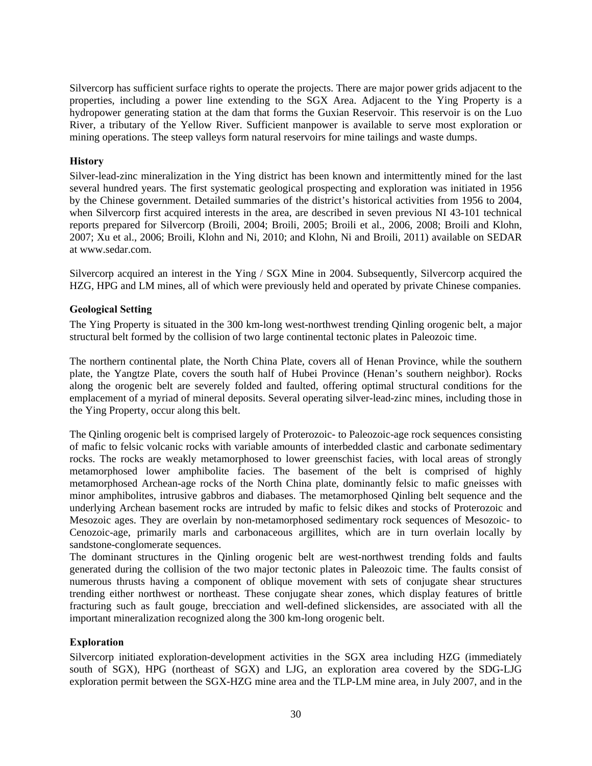Silvercorp has sufficient surface rights to operate the projects. There are major power grids adjacent to the properties, including a power line extending to the SGX Area. Adjacent to the Ying Property is a hydropower generating station at the dam that forms the Guxian Reservoir. This reservoir is on the Luo River, a tributary of the Yellow River. Sufficient manpower is available to serve most exploration or mining operations. The steep valleys form natural reservoirs for mine tailings and waste dumps.

## **History**

Silver-lead-zinc mineralization in the Ying district has been known and intermittently mined for the last several hundred years. The first systematic geological prospecting and exploration was initiated in 1956 by the Chinese government. Detailed summaries of the district's historical activities from 1956 to 2004, when Silvercorp first acquired interests in the area, are described in seven previous NI 43-101 technical reports prepared for Silvercorp (Broili, 2004; Broili, 2005; Broili et al., 2006, 2008; Broili and Klohn, 2007; Xu et al., 2006; Broili, Klohn and Ni, 2010; and Klohn, Ni and Broili, 2011) available on SEDAR at www.sedar.com.

Silvercorp acquired an interest in the Ying / SGX Mine in 2004. Subsequently, Silvercorp acquired the HZG, HPG and LM mines, all of which were previously held and operated by private Chinese companies.

## **Geological Setting**

The Ying Property is situated in the 300 km-long west-northwest trending Qinling orogenic belt, a major structural belt formed by the collision of two large continental tectonic plates in Paleozoic time.

The northern continental plate, the North China Plate, covers all of Henan Province, while the southern plate, the Yangtze Plate, covers the south half of Hubei Province (Henan's southern neighbor). Rocks along the orogenic belt are severely folded and faulted, offering optimal structural conditions for the emplacement of a myriad of mineral deposits. Several operating silver-lead-zinc mines, including those in the Ying Property, occur along this belt.

The Qinling orogenic belt is comprised largely of Proterozoic- to Paleozoic-age rock sequences consisting of mafic to felsic volcanic rocks with variable amounts of interbedded clastic and carbonate sedimentary rocks. The rocks are weakly metamorphosed to lower greenschist facies, with local areas of strongly metamorphosed lower amphibolite facies. The basement of the belt is comprised of highly metamorphosed Archean-age rocks of the North China plate, dominantly felsic to mafic gneisses with minor amphibolites, intrusive gabbros and diabases. The metamorphosed Qinling belt sequence and the underlying Archean basement rocks are intruded by mafic to felsic dikes and stocks of Proterozoic and Mesozoic ages. They are overlain by non-metamorphosed sedimentary rock sequences of Mesozoic- to Cenozoic-age, primarily marls and carbonaceous argillites, which are in turn overlain locally by sandstone-conglomerate sequences.

The dominant structures in the Qinling orogenic belt are west-northwest trending folds and faults generated during the collision of the two major tectonic plates in Paleozoic time. The faults consist of numerous thrusts having a component of oblique movement with sets of conjugate shear structures trending either northwest or northeast. These conjugate shear zones, which display features of brittle fracturing such as fault gouge, brecciation and well-defined slickensides, are associated with all the important mineralization recognized along the 300 km-long orogenic belt.

## **Exploration**

Silvercorp initiated exploration-development activities in the SGX area including HZG (immediately south of SGX), HPG (northeast of SGX) and LJG, an exploration area covered by the SDG-LJG exploration permit between the SGX-HZG mine area and the TLP-LM mine area, in July 2007, and in the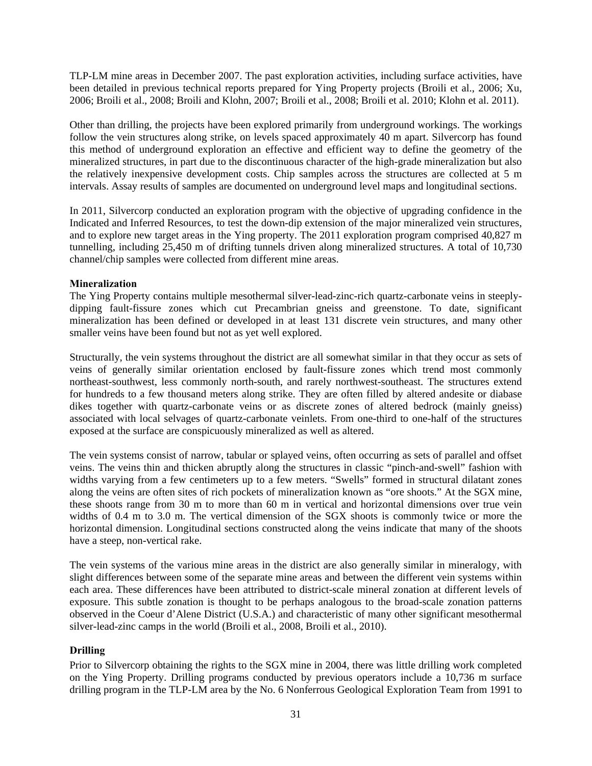TLP-LM mine areas in December 2007. The past exploration activities, including surface activities, have been detailed in previous technical reports prepared for Ying Property projects (Broili et al., 2006; Xu, 2006; Broili et al., 2008; Broili and Klohn, 2007; Broili et al., 2008; Broili et al. 2010; Klohn et al. 2011).

Other than drilling, the projects have been explored primarily from underground workings. The workings follow the vein structures along strike, on levels spaced approximately 40 m apart. Silvercorp has found this method of underground exploration an effective and efficient way to define the geometry of the mineralized structures, in part due to the discontinuous character of the high-grade mineralization but also the relatively inexpensive development costs. Chip samples across the structures are collected at 5 m intervals. Assay results of samples are documented on underground level maps and longitudinal sections.

In 2011, Silvercorp conducted an exploration program with the objective of upgrading confidence in the Indicated and Inferred Resources, to test the down-dip extension of the major mineralized vein structures, and to explore new target areas in the Ying property. The 2011 exploration program comprised 40,827 m tunnelling, including 25,450 m of drifting tunnels driven along mineralized structures. A total of 10,730 channel/chip samples were collected from different mine areas.

## **Mineralization**

The Ying Property contains multiple mesothermal silver-lead-zinc-rich quartz-carbonate veins in steeplydipping fault-fissure zones which cut Precambrian gneiss and greenstone. To date, significant mineralization has been defined or developed in at least 131 discrete vein structures, and many other smaller veins have been found but not as yet well explored.

Structurally, the vein systems throughout the district are all somewhat similar in that they occur as sets of veins of generally similar orientation enclosed by fault-fissure zones which trend most commonly northeast-southwest, less commonly north-south, and rarely northwest-southeast. The structures extend for hundreds to a few thousand meters along strike. They are often filled by altered andesite or diabase dikes together with quartz-carbonate veins or as discrete zones of altered bedrock (mainly gneiss) associated with local selvages of quartz-carbonate veinlets. From one-third to one-half of the structures exposed at the surface are conspicuously mineralized as well as altered.

The vein systems consist of narrow, tabular or splayed veins, often occurring as sets of parallel and offset veins. The veins thin and thicken abruptly along the structures in classic "pinch-and-swell" fashion with widths varying from a few centimeters up to a few meters. "Swells" formed in structural dilatant zones along the veins are often sites of rich pockets of mineralization known as "ore shoots." At the SGX mine, these shoots range from 30 m to more than 60 m in vertical and horizontal dimensions over true vein widths of 0.4 m to 3.0 m. The vertical dimension of the SGX shoots is commonly twice or more the horizontal dimension. Longitudinal sections constructed along the veins indicate that many of the shoots have a steep, non-vertical rake.

The vein systems of the various mine areas in the district are also generally similar in mineralogy, with slight differences between some of the separate mine areas and between the different vein systems within each area. These differences have been attributed to district-scale mineral zonation at different levels of exposure. This subtle zonation is thought to be perhaps analogous to the broad-scale zonation patterns observed in the Coeur d'Alene District (U.S.A.) and characteristic of many other significant mesothermal silver-lead-zinc camps in the world (Broili et al., 2008, Broili et al., 2010).

## **Drilling**

Prior to Silvercorp obtaining the rights to the SGX mine in 2004, there was little drilling work completed on the Ying Property. Drilling programs conducted by previous operators include a 10,736 m surface drilling program in the TLP-LM area by the No. 6 Nonferrous Geological Exploration Team from 1991 to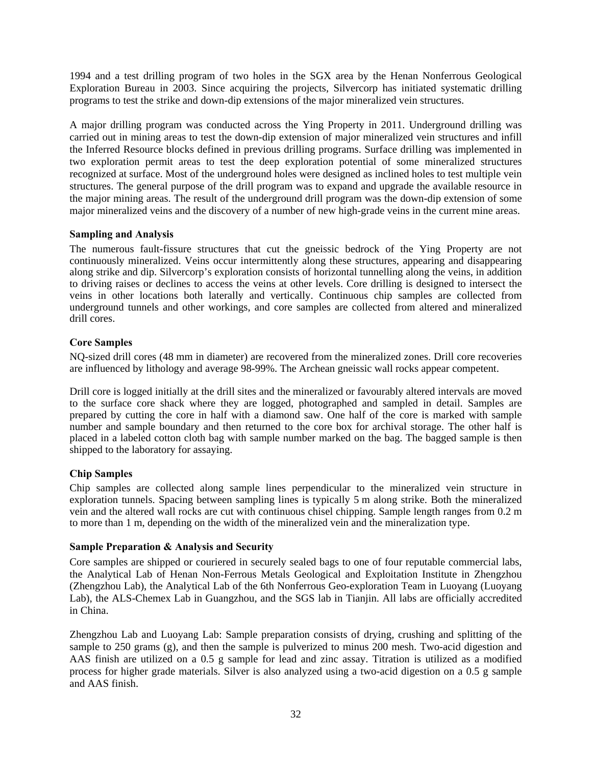1994 and a test drilling program of two holes in the SGX area by the Henan Nonferrous Geological Exploration Bureau in 2003. Since acquiring the projects, Silvercorp has initiated systematic drilling programs to test the strike and down-dip extensions of the major mineralized vein structures.

A major drilling program was conducted across the Ying Property in 2011. Underground drilling was carried out in mining areas to test the down-dip extension of major mineralized vein structures and infill the Inferred Resource blocks defined in previous drilling programs. Surface drilling was implemented in two exploration permit areas to test the deep exploration potential of some mineralized structures recognized at surface. Most of the underground holes were designed as inclined holes to test multiple vein structures. The general purpose of the drill program was to expand and upgrade the available resource in the major mining areas. The result of the underground drill program was the down-dip extension of some major mineralized veins and the discovery of a number of new high-grade veins in the current mine areas.

## **Sampling and Analysis**

The numerous fault-fissure structures that cut the gneissic bedrock of the Ying Property are not continuously mineralized. Veins occur intermittently along these structures, appearing and disappearing along strike and dip. Silvercorp's exploration consists of horizontal tunnelling along the veins, in addition to driving raises or declines to access the veins at other levels. Core drilling is designed to intersect the veins in other locations both laterally and vertically. Continuous chip samples are collected from underground tunnels and other workings, and core samples are collected from altered and mineralized drill cores.

## **Core Samples**

NQ-sized drill cores (48 mm in diameter) are recovered from the mineralized zones. Drill core recoveries are influenced by lithology and average 98-99%. The Archean gneissic wall rocks appear competent.

Drill core is logged initially at the drill sites and the mineralized or favourably altered intervals are moved to the surface core shack where they are logged, photographed and sampled in detail. Samples are prepared by cutting the core in half with a diamond saw. One half of the core is marked with sample number and sample boundary and then returned to the core box for archival storage. The other half is placed in a labeled cotton cloth bag with sample number marked on the bag. The bagged sample is then shipped to the laboratory for assaying.

# **Chip Samples**

Chip samples are collected along sample lines perpendicular to the mineralized vein structure in exploration tunnels. Spacing between sampling lines is typically 5 m along strike. Both the mineralized vein and the altered wall rocks are cut with continuous chisel chipping. Sample length ranges from 0.2 m to more than 1 m, depending on the width of the mineralized vein and the mineralization type.

## **Sample Preparation & Analysis and Security**

Core samples are shipped or couriered in securely sealed bags to one of four reputable commercial labs, the Analytical Lab of Henan Non-Ferrous Metals Geological and Exploitation Institute in Zhengzhou (Zhengzhou Lab), the Analytical Lab of the 6th Nonferrous Geo-exploration Team in Luoyang (Luoyang Lab), the ALS-Chemex Lab in Guangzhou, and the SGS lab in Tianjin. All labs are officially accredited in China.

Zhengzhou Lab and Luoyang Lab: Sample preparation consists of drying, crushing and splitting of the sample to 250 grams (g), and then the sample is pulverized to minus 200 mesh. Two-acid digestion and AAS finish are utilized on a 0.5 g sample for lead and zinc assay. Titration is utilized as a modified process for higher grade materials. Silver is also analyzed using a two-acid digestion on a 0.5 g sample and AAS finish.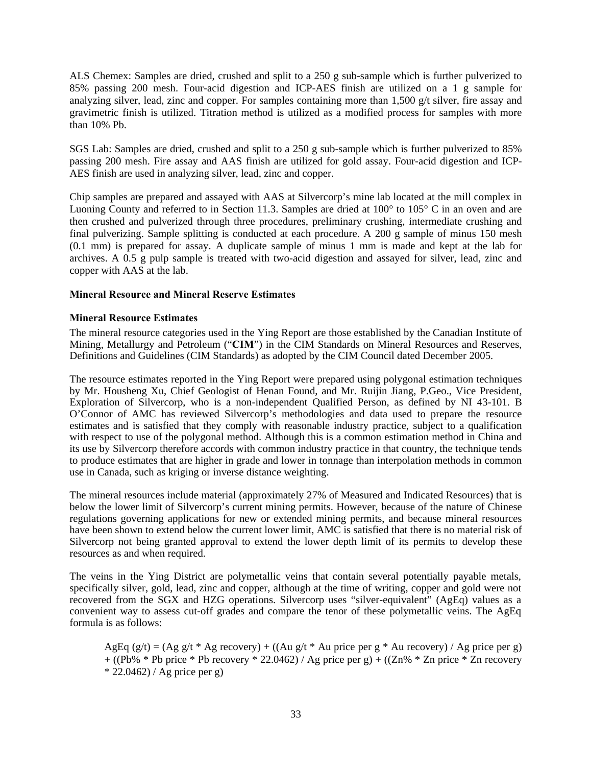ALS Chemex: Samples are dried, crushed and split to a 250 g sub-sample which is further pulverized to 85% passing 200 mesh. Four-acid digestion and ICP-AES finish are utilized on a 1 g sample for analyzing silver, lead, zinc and copper. For samples containing more than 1,500 g/t silver, fire assay and gravimetric finish is utilized. Titration method is utilized as a modified process for samples with more than 10% Pb.

SGS Lab: Samples are dried, crushed and split to a 250 g sub-sample which is further pulverized to 85% passing 200 mesh. Fire assay and AAS finish are utilized for gold assay. Four-acid digestion and ICP-AES finish are used in analyzing silver, lead, zinc and copper.

Chip samples are prepared and assayed with AAS at Silvercorp's mine lab located at the mill complex in Luoning County and referred to in Section 11.3. Samples are dried at 100° to 105° C in an oven and are then crushed and pulverized through three procedures, preliminary crushing, intermediate crushing and final pulverizing. Sample splitting is conducted at each procedure. A 200 g sample of minus 150 mesh (0.1 mm) is prepared for assay. A duplicate sample of minus 1 mm is made and kept at the lab for archives. A 0.5 g pulp sample is treated with two-acid digestion and assayed for silver, lead, zinc and copper with AAS at the lab.

### **Mineral Resource and Mineral Reserve Estimates**

#### **Mineral Resource Estimates**

The mineral resource categories used in the Ying Report are those established by the Canadian Institute of Mining, Metallurgy and Petroleum ("**CIM**") in the CIM Standards on Mineral Resources and Reserves, Definitions and Guidelines (CIM Standards) as adopted by the CIM Council dated December 2005.

The resource estimates reported in the Ying Report were prepared using polygonal estimation techniques by Mr. Housheng Xu, Chief Geologist of Henan Found, and Mr. Ruijin Jiang, P.Geo., Vice President, Exploration of Silvercorp, who is a non-independent Qualified Person, as defined by NI 43-101. B O'Connor of AMC has reviewed Silvercorp's methodologies and data used to prepare the resource estimates and is satisfied that they comply with reasonable industry practice, subject to a qualification with respect to use of the polygonal method. Although this is a common estimation method in China and its use by Silvercorp therefore accords with common industry practice in that country, the technique tends to produce estimates that are higher in grade and lower in tonnage than interpolation methods in common use in Canada, such as kriging or inverse distance weighting.

The mineral resources include material (approximately 27% of Measured and Indicated Resources) that is below the lower limit of Silvercorp's current mining permits. However, because of the nature of Chinese regulations governing applications for new or extended mining permits, and because mineral resources have been shown to extend below the current lower limit, AMC is satisfied that there is no material risk of Silvercorp not being granted approval to extend the lower depth limit of its permits to develop these resources as and when required.

The veins in the Ying District are polymetallic veins that contain several potentially payable metals, specifically silver, gold, lead, zinc and copper, although at the time of writing, copper and gold were not recovered from the SGX and HZG operations. Silvercorp uses "silver-equivalent" (AgEq) values as a convenient way to assess cut-off grades and compare the tenor of these polymetallic veins. The AgEq formula is as follows:

AgEq (g/t) = (Ag g/t \* Ag recovery) + ((Au g/t \* Au price per g \* Au recovery) / Ag price per g)  $+ ((Pb% * Pb price * Pb recovery * 22.0462) / Ag price per g) + ((Zn% * Zn price * Zn recovery$  $*$  22.0462) / Ag price per g)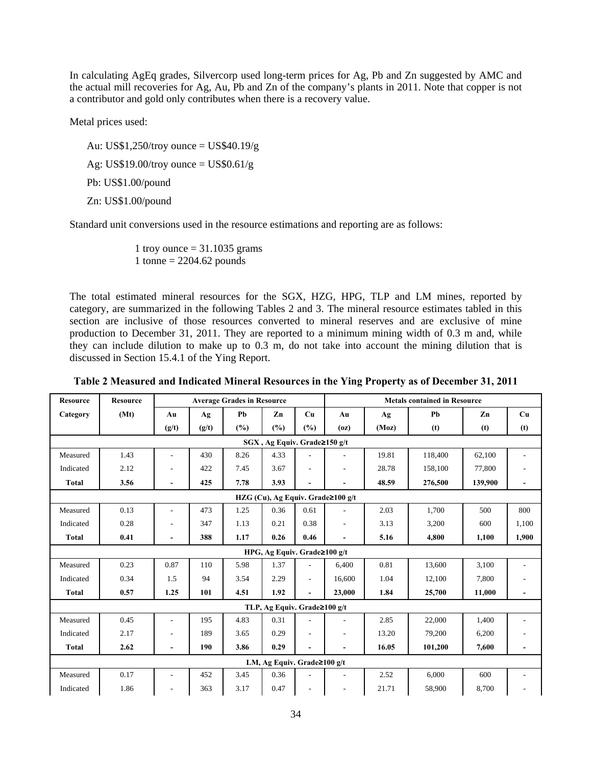In calculating AgEq grades, Silvercorp used long-term prices for Ag, Pb and Zn suggested by AMC and the actual mill recoveries for Ag, Au, Pb and Zn of the company's plants in 2011. Note that copper is not a contributor and gold only contributes when there is a recovery value.

Metal prices used:

Au: US\$1,250/troy ounce = US\$40.19/g

Ag: US\$19.00/troy ounce  $=$  US\$0.61/g

Pb: US\$1.00/pound

Zn: US\$1.00/pound

Standard unit conversions used in the resource estimations and reporting are as follows:

1 troy ounce  $= 31.1035$  grams 1 tonne =  $2204.62$  pounds

The total estimated mineral resources for the SGX, HZG, HPG, TLP and LM mines, reported by category, are summarized in the following Tables 2 and 3. The mineral resource estimates tabled in this section are inclusive of those resources converted to mineral reserves and are exclusive of mine production to December 31, 2011. They are reported to a minimum mining width of 0.3 m and, while they can include dilution to make up to 0.3 m, do not take into account the mining dilution that is discussed in Section 15.4.1 of the Ying Report.

| <b>Resource</b> | <b>Resource</b> |                          |       | <b>Average Grades in Resource</b> |                                     |                          | <b>Metals contained in Resource</b> |       |         |         |                          |
|-----------------|-----------------|--------------------------|-------|-----------------------------------|-------------------------------------|--------------------------|-------------------------------------|-------|---------|---------|--------------------------|
| Category        | (Mt)            | Au                       | Ag    | Pb                                | Zn                                  | Cu                       | Au                                  | Ag    | Pb      | Zn      | Cu                       |
|                 |                 | (g/t)                    | (g/t) | (%)                               | (%)                                 | (%)                      | (oz)                                | (Moz) | (t)     | (t)     | (t)                      |
|                 |                 |                          |       |                                   | SGX, Ag Equiv. Grade≥150 g/t        |                          |                                     |       |         |         |                          |
| Measured        | 1.43            | ٠                        | 430   | 8.26                              | 4.33                                |                          |                                     | 19.81 | 118,400 | 62,100  |                          |
| Indicated       | 2.12            | $\overline{\phantom{a}}$ | 422   | 7.45                              | 3.67                                | ٠                        | $\overline{\phantom{a}}$            | 28.78 | 158,100 | 77,800  |                          |
| <b>Total</b>    | 3.56            | $\blacksquare$           | 425   | 7.78                              | 3.93                                | ٠                        |                                     | 48.59 | 276,500 | 139,900 |                          |
|                 |                 |                          |       |                                   |                                     |                          | HZG (Cu), Ag Equiv. Grade≥100 g/t   |       |         |         |                          |
| Measured        | 0.13            | ٠                        | 473   | 1.25                              | 0.36                                | 0.61                     |                                     | 2.03  | 1,700   | 500     | 800                      |
| Indicated       | 0.28            |                          | 347   | 1.13                              | 0.21                                | 0.38                     | ٠                                   | 3.13  | 3,200   | 600     | 1,100                    |
| <b>Total</b>    | 0.41            | $\blacksquare$           | 388   | 1.17                              | 0.26                                | 0.46                     | $\blacksquare$                      | 5.16  | 4.800   | 1.100   | 1.900                    |
|                 |                 |                          |       |                                   | HPG, Ag Equiv. Grade $\geq 100$ g/t |                          |                                     |       |         |         |                          |
| Measured        | 0.23            | 0.87                     | 110   | 5.98                              | 1.37                                | ٠                        | 6,400                               | 0.81  | 13,600  | 3,100   |                          |
| Indicated       | 0.34            | 1.5                      | 94    | 3.54                              | 2.29                                | $\overline{\phantom{a}}$ | 16.600                              | 1.04  | 12,100  | 7,800   |                          |
| <b>Total</b>    | 0.57            | 1.25                     | 101   | 4.51                              | 1.92                                | $\blacksquare$           | 23,000                              | 1.84  | 25,700  | 11,000  |                          |
|                 |                 |                          |       |                                   | TLP, Ag Equiv. Grade≥100 g/t        |                          |                                     |       |         |         |                          |
| Measured        | 0.45            | $\overline{\phantom{a}}$ | 195   | 4.83                              | 0.31                                |                          |                                     | 2.85  | 22,000  | 1,400   |                          |
| Indicated       | 2.17            |                          | 189   | 3.65                              | 0.29                                |                          |                                     | 13.20 | 79,200  | 6,200   |                          |
| <b>Total</b>    | 2.62            | $\overline{\phantom{a}}$ | 190   | 3.86                              | 0.29                                | $\overline{\phantom{a}}$ | ٠                                   | 16.05 | 101,200 | 7,600   | $\overline{\phantom{0}}$ |
|                 |                 |                          |       |                                   | LM, Ag Equiv. Grade≥100 g/t         |                          |                                     |       |         |         |                          |
| Measured        | 0.17            | ٠                        | 452   | 3.45                              | 0.36                                |                          |                                     | 2.52  | 6,000   | 600     |                          |
| Indicated       | 1.86            | $\overline{a}$           | 363   | 3.17                              | 0.47                                |                          |                                     | 21.71 | 58,900  | 8,700   |                          |

**Table 2 Measured and Indicated Mineral Resources in the Ying Property as of December 31, 2011**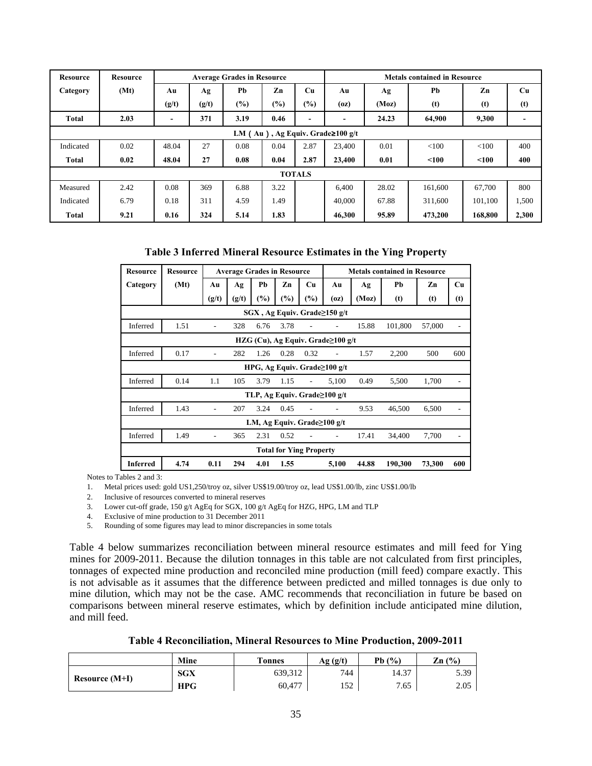| <b>Resource</b> | <b>Resource</b>                            |       | <b>Average Grades in Resource</b> |        |      |                          |        | <b>Metals contained in Resource</b> |         |         |       |  |
|-----------------|--------------------------------------------|-------|-----------------------------------|--------|------|--------------------------|--------|-------------------------------------|---------|---------|-------|--|
| Category        | (Mt)                                       | Au    | Ag                                | Pb     | Zn   | Cu                       | Au     | Ag                                  | Pb      | Zn      | Cu    |  |
|                 |                                            | (g/t) | (g/t)                             | $(\%)$ | (%)  | $(\%)$                   | (oz)   | (Moz)                               | (t)     | (t)     | (t)   |  |
| <b>Total</b>    | 2.03                                       |       | 371                               | 3.19   | 0.46 | $\overline{\phantom{a}}$ |        | 24.23                               | 64,900  | 9,300   |       |  |
|                 | LM $(Au)$ , Ag Equiv. Grade $\geq 100$ g/t |       |                                   |        |      |                          |        |                                     |         |         |       |  |
| Indicated       | 0.02                                       | 48.04 | 27                                | 0.08   | 0.04 | 2.87                     | 23,400 | 0.01                                | < 100   | < 100   | 400   |  |
| Total           | 0.02                                       | 48.04 | 27                                | 0.08   | 0.04 | 2.87                     | 23,400 | 0.01                                | < 100   | < 100   | 400   |  |
|                 |                                            |       |                                   |        |      | <b>TOTALS</b>            |        |                                     |         |         |       |  |
| Measured        | 2.42                                       | 0.08  | 369                               | 6.88   | 3.22 |                          | 6.400  | 28.02                               | 161,600 | 67.700  | 800   |  |
| Indicated       | 6.79                                       | 0.18  | 311                               | 4.59   | 1.49 |                          | 40,000 | 67.88                               | 311,600 | 101,100 | 1,500 |  |
| Total           | 9.21                                       | 0.16  | 324                               | 5.14   | 1.83 |                          | 46,300 | 95.89                               | 473,200 | 168,800 | 2,300 |  |

**Table 3 Inferred Mineral Resource Estimates in the Ying Property** 

| <b>Resource</b> | <b>Resource</b>                   | <b>Average Grades in Resource</b> |       |        |                                |           | <b>Metals contained in Resource</b> |       |         |        |           |  |  |
|-----------------|-----------------------------------|-----------------------------------|-------|--------|--------------------------------|-----------|-------------------------------------|-------|---------|--------|-----------|--|--|
| Category        | (Mt)                              | Au                                | Ag    | Pb     | Zn                             | <b>Cu</b> | Au                                  | Αg    | Рb      | Zn     | <b>Cu</b> |  |  |
|                 |                                   | (g/t)                             | (g/t) | $(\%)$ | $\frac{9}{0}$                  | $(\%)$    | (oz)                                | (Moz) | (t)     | (t)    | (t)       |  |  |
|                 | SGX, Ag Equiv. Grade≥150 g/t      |                                   |       |        |                                |           |                                     |       |         |        |           |  |  |
| Inferred        | 1.51                              |                                   | 328   | 6.76   | 3.78                           |           |                                     | 15.88 | 101,800 | 57,000 |           |  |  |
|                 | HZG (Cu), Ag Equiv. Grade≥100 g/t |                                   |       |        |                                |           |                                     |       |         |        |           |  |  |
| Inferred        | 0.17                              |                                   | 282   | 1.26   | 0.28                           | 0.32      |                                     | 1.57  | 2,200   | 500    | 600       |  |  |
|                 |                                   |                                   |       |        |                                |           | HPG, Ag Equiv. Grade≥100 g/t        |       |         |        |           |  |  |
| Inferred        | 0.14                              | 1.1                               | 105   | 3.79   | 1.15                           |           | 5,100                               | 0.49  | 5,500   | 1,700  |           |  |  |
|                 |                                   |                                   |       |        |                                |           | TLP, Ag Equiv. Grade≥100 g/t        |       |         |        |           |  |  |
| Inferred        | 1.43                              |                                   | 207   | 3.24   | 0.45                           |           |                                     | 9.53  | 46,500  | 6,500  |           |  |  |
|                 | LM, Ag Equiv. Grade≥100 g/t       |                                   |       |        |                                |           |                                     |       |         |        |           |  |  |
| Inferred        | 1.49                              |                                   | 365   | 2.31   | 0.52                           |           |                                     | 17.41 | 34,400  | 7,700  |           |  |  |
|                 |                                   |                                   |       |        | <b>Total for Ying Property</b> |           |                                     |       |         |        |           |  |  |
| <b>Inferred</b> | 4.74                              | 0.11                              | 294   | 4.01   | 1.55                           |           | 5,100                               | 44.88 | 190,300 | 73,300 | 600       |  |  |

Notes to Tables 2 and 3:

1. Metal prices used: gold US1,250/troy oz, silver US\$19.00/troy oz, lead US\$1.00/lb, zinc US\$1.00/lb

2. Inclusive of resources converted to mineral reserves

3. Lower cut-off grade, 150 g/t AgEq for SGX, 100 g/t AgEq for HZG, HPG, LM and TLP

4. Exclusive of mine production to 31 December 2011

5. Rounding of some figures may lead to minor discrepancies in some totals

Table 4 below summarizes reconciliation between mineral resource estimates and mill feed for Ying mines for 2009-2011. Because the dilution tonnages in this table are not calculated from first principles, tonnages of expected mine production and reconciled mine production (mill feed) compare exactly. This is not advisable as it assumes that the difference between predicted and milled tonnages is due only to mine dilution, which may not be the case. AMC recommends that reconciliation in future be based on comparisons between mineral reserve estimates, which by definition include anticipated mine dilution, and mill feed.

|                  | Mine       | <b>Tonnes</b> | Ag(g/t)      | (%)<br>Pb( | Zn(%) |
|------------------|------------|---------------|--------------|------------|-------|
|                  | <b>SGX</b> | 639,312       | 744          | 14.37      | 5.39  |
| Resource $(M+I)$ | <b>HPG</b> | 60,477        | -50<br>1 J 4 | 7.65       | 2.05  |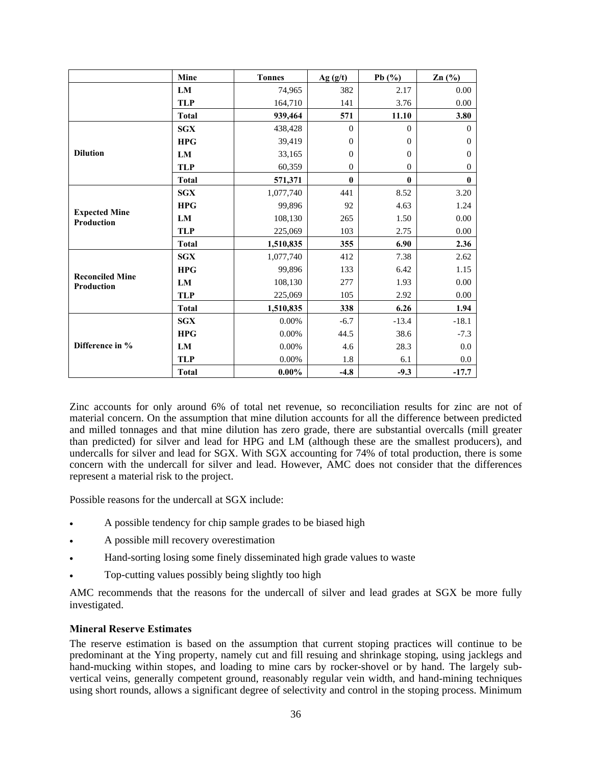|                                    | Mine         | <b>Tonnes</b> | Ag(g/t)      | Pb $(\%)$      | $\text{Zn}$ (%) |
|------------------------------------|--------------|---------------|--------------|----------------|-----------------|
|                                    | LM           | 74,965        | 382          | 2.17           | 0.00            |
|                                    | <b>TLP</b>   | 164,710       | 141          | 3.76           | 0.00            |
|                                    | <b>Total</b> | 939,464       | 571          | 11.10          | 3.80            |
|                                    | SGX          | 438,428       | $\Omega$     | $\Omega$       | $\Omega$        |
|                                    | <b>HPG</b>   | 39,419        | $\theta$     | $\Omega$       | $\Omega$        |
| <b>Dilution</b>                    | LM           | 33,165        | $\mathbf{0}$ | $\Omega$       | $\Omega$        |
|                                    | <b>TLP</b>   | 60,359        | $\theta$     | $\overline{0}$ | $\mathbf{0}$    |
|                                    | <b>Total</b> | 571,371       | $\bf{0}$     | $\bf{0}$       | $\bf{0}$        |
|                                    | <b>SGX</b>   | 1,077,740     | 441          | 8.52           | 3.20            |
|                                    | <b>HPG</b>   | 99,896        | 92           | 4.63           | 1.24            |
| <b>Expected Mine</b><br>Production | LM           | 108,130       | 265          | 1.50           | 0.00            |
|                                    | <b>TLP</b>   | 225,069       | 103          | 2.75           | $0.00\,$        |
|                                    | <b>Total</b> | 1,510,835     | 355          | 6.90           | 2.36            |
|                                    | <b>SGX</b>   | 1,077,740     | 412          | 7.38           | 2.62            |
| <b>Reconciled Mine</b>             | <b>HPG</b>   | 99,896        | 133          | 6.42           | 1.15            |
| Production                         | LM           | 108,130       | 277          | 1.93           | $0.00\,$        |
|                                    | <b>TLP</b>   | 225,069       | 105          | 2.92           | 0.00            |
|                                    | <b>Total</b> | 1,510,835     | 338          | 6.26           | 1.94            |
|                                    | <b>SGX</b>   | 0.00%         | $-6.7$       | $-13.4$        | $-18.1$         |
|                                    | <b>HPG</b>   | 0.00%         | 44.5         | 38.6           | $-7.3$          |
| Difference in %                    | LM           | 0.00%         | 4.6          | 28.3           | 0.0             |
|                                    | <b>TLP</b>   | 0.00%         | 1.8          | 6.1            | 0.0             |
|                                    | <b>Total</b> | $0.00\%$      | $-4.8$       | $-9.3$         | $-17.7$         |

Zinc accounts for only around 6% of total net revenue, so reconciliation results for zinc are not of material concern. On the assumption that mine dilution accounts for all the difference between predicted and milled tonnages and that mine dilution has zero grade, there are substantial overcalls (mill greater than predicted) for silver and lead for HPG and LM (although these are the smallest producers), and undercalls for silver and lead for SGX. With SGX accounting for 74% of total production, there is some concern with the undercall for silver and lead. However, AMC does not consider that the differences represent a material risk to the project.

Possible reasons for the undercall at SGX include:

- A possible tendency for chip sample grades to be biased high
- A possible mill recovery overestimation
- Hand-sorting losing some finely disseminated high grade values to waste
- Top-cutting values possibly being slightly too high

AMC recommends that the reasons for the undercall of silver and lead grades at SGX be more fully investigated.

#### **Mineral Reserve Estimates**

The reserve estimation is based on the assumption that current stoping practices will continue to be predominant at the Ying property, namely cut and fill resuing and shrinkage stoping, using jacklegs and hand-mucking within stopes, and loading to mine cars by rocker-shovel or by hand. The largely subvertical veins, generally competent ground, reasonably regular vein width, and hand-mining techniques using short rounds, allows a significant degree of selectivity and control in the stoping process. Minimum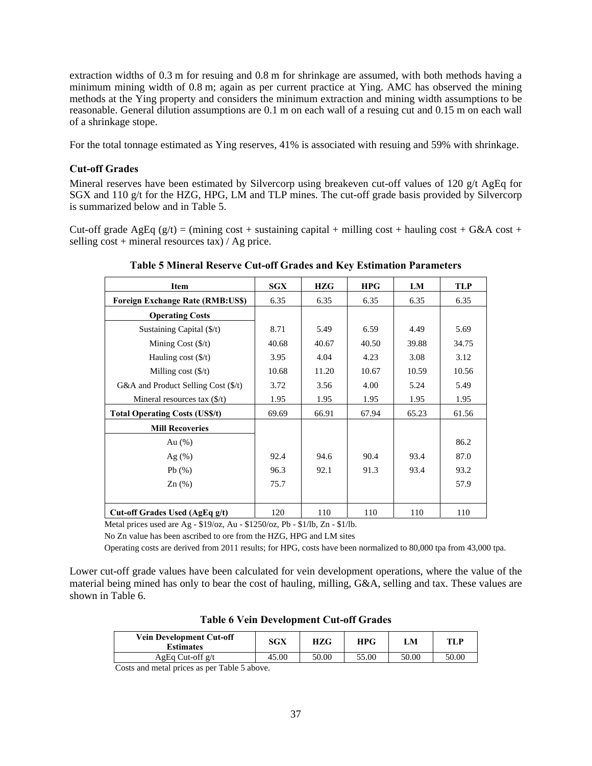extraction widths of 0.3 m for resuing and 0.8 m for shrinkage are assumed, with both methods having a minimum mining width of 0.8 m; again as per current practice at Ying. AMC has observed the mining methods at the Ying property and considers the minimum extraction and mining width assumptions to be reasonable. General dilution assumptions are 0.1 m on each wall of a resuing cut and 0.15 m on each wall of a shrinkage stope.

For the total tonnage estimated as Ying reserves, 41% is associated with resuing and 59% with shrinkage.

### **Cut-off Grades**

Mineral reserves have been estimated by Silvercorp using breakeven cut-off values of 120  $g/t$  AgEq for SGX and 110 g/t for the HZG, HPG, LM and TLP mines. The cut-off grade basis provided by Silvercorp is summarized below and in Table 5.

Cut-off grade AgEq (g/t) = (mining cost + sustaining capital + milling cost + hauling cost + G&A cost + selling  $cost + mineral$  resources tax) / Ag price.

| Item                                         | <b>SGX</b> | <b>HZG</b> | <b>HPG</b> | LM    | <b>TLP</b> |
|----------------------------------------------|------------|------------|------------|-------|------------|
| <b>Foreign Exchange Rate (RMB:US\$)</b>      | 6.35       | 6.35       | 6.35       | 6.35  | 6.35       |
| <b>Operating Costs</b>                       |            |            |            |       |            |
| Sustaining Capital (\$/t)                    | 8.71       | 5.49       | 6.59       | 4.49  | 5.69       |
| Mining Cost $(\frac{f}{f})$                  | 40.68      | 40.67      | 40.50      | 39.88 | 34.75      |
| Hauling cost $(\frac{f}{f})$                 | 3.95       | 4.04       | 4.23       | 3.08  | 3.12       |
| Milling cost $(\frac{5}{t})$                 | 10.68      | 11.20      | 10.67      | 10.59 | 10.56      |
| G&A and Product Selling Cost $(\frac{6}{t})$ | 3.72       | 3.56       | 4.00       | 5.24  | 5.49       |
| Mineral resources tax $(\frac{f}{f})$        | 1.95       | 1.95       | 1.95       | 1.95  | 1.95       |
| <b>Total Operating Costs (US\$/t)</b>        | 69.69      | 66.91      | 67.94      | 65.23 | 61.56      |
| <b>Mill Recoveries</b>                       |            |            |            |       |            |
| Au $(\%)$                                    |            |            |            |       | 86.2       |
| Ag (%)                                       | 92.4       | 94.6       | 90.4       | 93.4  | 87.0       |
| Pb(%)                                        | 96.3       | 92.1       | 91.3       | 93.4  | 93.2       |
| $\text{Zn}(\%)$                              | 75.7       |            |            |       | 57.9       |
|                                              |            |            |            |       |            |
| Cut-off Grades Used (AgEq g/t)               | 120        | 110        | 110        | 110   | 110        |

**Table 5 Mineral Reserve Cut-off Grades and Key Estimation Parameters** 

Metal prices used are Ag - \$19/oz, Au - \$1250/oz, Pb - \$1/lb, Zn - \$1/lb.

No Zn value has been ascribed to ore from the HZG, HPG and LM sites

Operating costs are derived from 2011 results; for HPG, costs have been normalized to 80,000 tpa from 43,000 tpa.

Lower cut-off grade values have been calculated for vein development operations, where the value of the material being mined has only to bear the cost of hauling, milling, G&A, selling and tax. These values are shown in Table 6.

| <b>Vein Development Cut-off</b><br><b>Estimates</b> | SGX   | HZG   | <b>HPG</b> | LM    | TLP   |
|-----------------------------------------------------|-------|-------|------------|-------|-------|
| AgEq Cut-off $g/t$                                  | 45.00 | 50.00 | 55.00      | 50.00 | 50.00 |
| _ _ _ _ _<br>-                                      |       |       |            |       |       |

**Table 6 Vein Development Cut-off Grades** 

Costs and metal prices as per Table 5 above.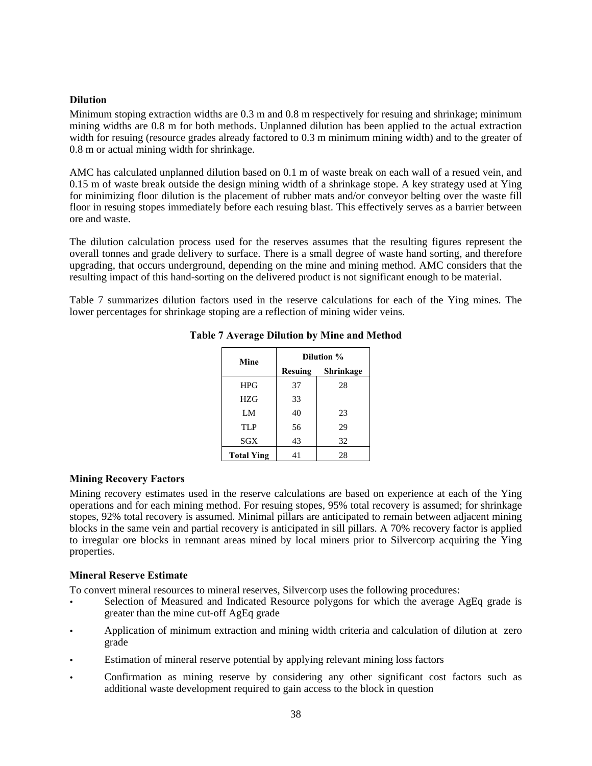#### **Dilution**

Minimum stoping extraction widths are 0.3 m and 0.8 m respectively for resuing and shrinkage; minimum mining widths are 0.8 m for both methods. Unplanned dilution has been applied to the actual extraction width for resuing (resource grades already factored to 0.3 m minimum mining width) and to the greater of 0.8 m or actual mining width for shrinkage.

AMC has calculated unplanned dilution based on 0.1 m of waste break on each wall of a resued vein, and 0.15 m of waste break outside the design mining width of a shrinkage stope. A key strategy used at Ying for minimizing floor dilution is the placement of rubber mats and/or conveyor belting over the waste fill floor in resuing stopes immediately before each resuing blast. This effectively serves as a barrier between ore and waste.

The dilution calculation process used for the reserves assumes that the resulting figures represent the overall tonnes and grade delivery to surface. There is a small degree of waste hand sorting, and therefore upgrading, that occurs underground, depending on the mine and mining method. AMC considers that the resulting impact of this hand-sorting on the delivered product is not significant enough to be material.

Table 7 summarizes dilution factors used in the reserve calculations for each of the Ying mines. The lower percentages for shrinkage stoping are a reflection of mining wider veins.

| Mine              |         | Dilution % |  |  |  |  |  |  |  |
|-------------------|---------|------------|--|--|--|--|--|--|--|
|                   | Resuing | Shrinkage  |  |  |  |  |  |  |  |
| <b>HPG</b>        | 37      | 28         |  |  |  |  |  |  |  |
| HZG               | 33      |            |  |  |  |  |  |  |  |
| LM                | 40      | 23         |  |  |  |  |  |  |  |
| <b>TLP</b>        | 56      | 29         |  |  |  |  |  |  |  |
| SGX               | 43      | 32         |  |  |  |  |  |  |  |
| <b>Total Ying</b> | 41      | 28         |  |  |  |  |  |  |  |

## **Table 7 Average Dilution by Mine and Method**

### **Mining Recovery Factors**

Mining recovery estimates used in the reserve calculations are based on experience at each of the Ying operations and for each mining method. For resuing stopes, 95% total recovery is assumed; for shrinkage stopes, 92% total recovery is assumed. Minimal pillars are anticipated to remain between adjacent mining blocks in the same vein and partial recovery is anticipated in sill pillars. A 70% recovery factor is applied to irregular ore blocks in remnant areas mined by local miners prior to Silvercorp acquiring the Ying properties.

#### **Mineral Reserve Estimate**

To convert mineral resources to mineral reserves, Silvercorp uses the following procedures:

- Selection of Measured and Indicated Resource polygons for which the average AgEq grade is greater than the mine cut-off AgEq grade
- Application of minimum extraction and mining width criteria and calculation of dilution at zero grade
- Estimation of mineral reserve potential by applying relevant mining loss factors
- Confirmation as mining reserve by considering any other significant cost factors such as additional waste development required to gain access to the block in question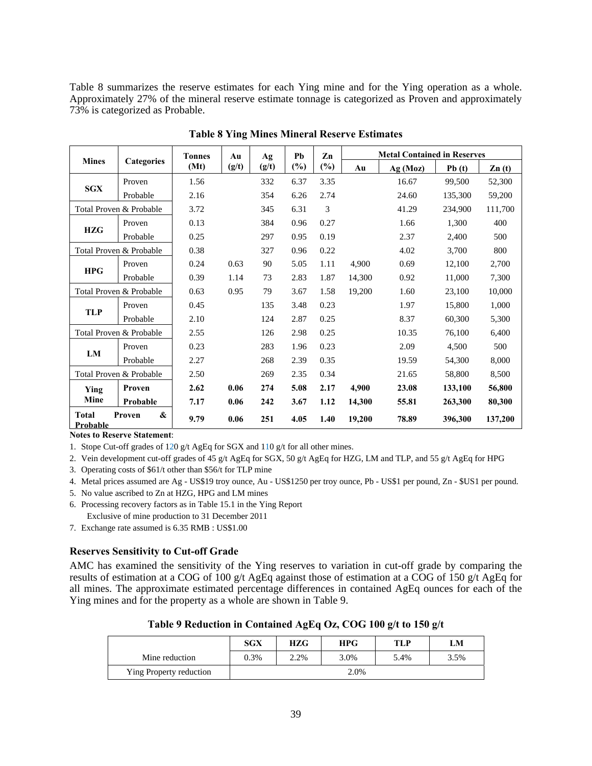Table 8 summarizes the reserve estimates for each Ying mine and for the Ying operation as a whole. Approximately 27% of the mineral reserve estimate tonnage is categorized as Proven and approximately 73% is categorized as Probable.

|                          |                         | <b>Tonnes</b> | Au    | Ag    | Ph     | Zn     |        | <b>Metal Contained in Reserves</b> |         |                   |
|--------------------------|-------------------------|---------------|-------|-------|--------|--------|--------|------------------------------------|---------|-------------------|
| <b>Mines</b>             | <b>Categories</b>       | (Mt)          | (g/t) | (g/t) | $(\%)$ | $(\%)$ | Au     | Ag (Moz)                           | Pb(t)   | $\mathbf{Zn}$ (t) |
|                          | Proven                  | 1.56          |       | 332   | 6.37   | 3.35   |        | 16.67                              | 99,500  | 52,300            |
| <b>SGX</b>               | Probable                | 2.16          |       | 354   | 6.26   | 2.74   |        | 24.60                              | 135,300 | 59,200            |
| Total Proven & Probable  |                         | 3.72          |       | 345   | 6.31   | 3      |        | 41.29                              | 234,900 | 111,700           |
|                          | Proven                  | 0.13          |       | 384   | 0.96   | 0.27   |        | 1.66                               | 1,300   | 400               |
| <b>HZG</b>               | Probable                | 0.25          |       | 297   | 0.95   | 0.19   |        | 2.37                               | 2,400   | 500               |
|                          | Total Proven & Probable | 0.38          |       | 327   | 0.96   | 0.22   |        | 4.02                               | 3,700   | 800               |
|                          | Proven                  | 0.24          | 0.63  | 90    | 5.05   | 1.11   | 4,900  | 0.69                               | 12,100  | 2,700             |
| <b>HPG</b>               | Probable                | 0.39          | 1.14  | 73    | 2.83   | 1.87   | 14,300 | 0.92                               | 11,000  | 7,300             |
|                          | Total Proven & Probable | 0.63          | 0.95  | 79    | 3.67   | 1.58   | 19,200 | 1.60                               | 23,100  | 10,000            |
|                          | Proven                  | 0.45          |       | 135   | 3.48   | 0.23   |        | 1.97                               | 15,800  | 1,000             |
| <b>TLP</b>               | Probable                | 2.10          |       | 124   | 2.87   | 0.25   |        | 8.37                               | 60,300  | 5,300             |
|                          | Total Proven & Probable | 2.55          |       | 126   | 2.98   | 0.25   |        | 10.35                              | 76,100  | 6,400             |
|                          | Proven                  | 0.23          |       | 283   | 1.96   | 0.23   |        | 2.09                               | 4,500   | 500               |
| LM                       | Probable                | 2.27          |       | 268   | 2.39   | 0.35   |        | 19.59                              | 54,300  | 8,000             |
|                          | Total Proven & Probable | 2.50          |       | 269   | 2.35   | 0.34   |        | 21.65                              | 58,800  | 8,500             |
| Ying                     | Proven                  | 2.62          | 0.06  | 274   | 5.08   | 2.17   | 4,900  | 23.08                              | 133,100 | 56,800            |
| Mine                     | Probable                | 7.17          | 0.06  | 242   | 3.67   | 1.12   | 14,300 | 55.81                              | 263,300 | 80,300            |
| <b>Total</b><br>Probable | &<br>Proven             | 9.79          | 0.06  | 251   | 4.05   | 1.40   | 19,200 | 78.89                              | 396,300 | 137,200           |

**Table 8 Ying Mines Mineral Reserve Estimates** 

**Notes to Reserve Statement**:

1. Stope Cut-off grades of 120 g/t AgEq for SGX and 110 g/t for all other mines.

2. Vein development cut-off grades of 45 g/t AgEq for SGX, 50 g/t AgEq for HZG, LM and TLP, and 55 g/t AgEq for HPG

3. Operating costs of \$61/t other than \$56/t for TLP mine

4. Metal prices assumed are Ag - US\$19 troy ounce, Au - US\$1250 per troy ounce, Pb - US\$1 per pound, Zn - \$US1 per pound.

- 5. No value ascribed to Zn at HZG, HPG and LM mines
- 6. Processing recovery factors as in Table 15.1 in the Ying Report
- Exclusive of mine production to 31 December 2011
- 7. Exchange rate assumed is 6.35 RMB : US\$1.00

#### **Reserves Sensitivity to Cut-off Grade**

AMC has examined the sensitivity of the Ying reserves to variation in cut-off grade by comparing the results of estimation at a COG of 100 g/t AgEq against those of estimation at a COG of 150 g/t AgEq for all mines. The approximate estimated percentage differences in contained AgEq ounces for each of the Ying mines and for the property as a whole are shown in Table 9.

|                         | <b>SGX</b> | <b>HZG</b> | HPG  | TLP  | LM   |  |  |  |
|-------------------------|------------|------------|------|------|------|--|--|--|
| Mine reduction          | 0.3%       | 2.2%       | 3.0% | 5.4% | 3.5% |  |  |  |
| Ying Property reduction | 2.0%       |            |      |      |      |  |  |  |

**Table 9 Reduction in Contained AgEq Oz, COG 100 g/t to 150 g/t**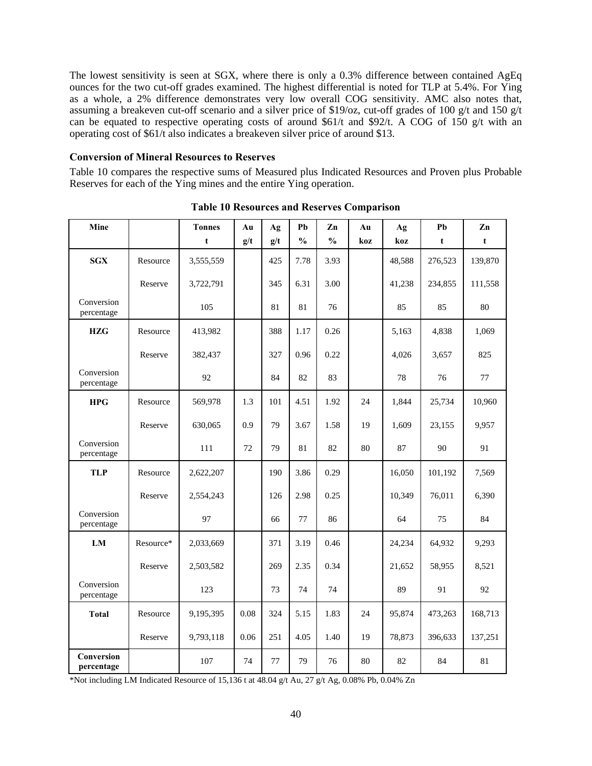The lowest sensitivity is seen at SGX, where there is only a 0.3% difference between contained AgEq ounces for the two cut-off grades examined. The highest differential is noted for TLP at 5.4%. For Ying as a whole, a 2% difference demonstrates very low overall COG sensitivity. AMC also notes that, assuming a breakeven cut-off scenario and a silver price of \$19/oz, cut-off grades of 100 g/t and 150 g/t can be equated to respective operating costs of around \$61/t and \$92/t. A COG of 150 g/t with an operating cost of \$61/t also indicates a breakeven silver price of around \$13.

#### **Conversion of Mineral Resources to Reserves**

Table 10 compares the respective sums of Measured plus Indicated Resources and Proven plus Probable Reserves for each of the Ying mines and the entire Ying operation.

| Mine                     |           | <b>Tonnes</b> | Au   | Ag  | Pb            | Zn            | Au  | Ag     | Pb      | Zn      |
|--------------------------|-----------|---------------|------|-----|---------------|---------------|-----|--------|---------|---------|
|                          |           | t             | g/t  | g/t | $\frac{0}{0}$ | $\frac{0}{0}$ | koz | koz    | t       | t       |
| <b>SGX</b>               | Resource  | 3,555,559     |      | 425 | 7.78          | 3.93          |     | 48,588 | 276,523 | 139,870 |
|                          | Reserve   | 3,722,791     |      | 345 | 6.31          | 3.00          |     | 41,238 | 234,855 | 111,558 |
| Conversion<br>percentage |           | 105           |      | 81  | 81            | 76            |     | 85     | 85      | 80      |
| <b>HZG</b>               | Resource  | 413,982       |      | 388 | 1.17          | 0.26          |     | 5,163  | 4,838   | 1,069   |
|                          | Reserve   | 382,437       |      | 327 | 0.96          | 0.22          |     | 4,026  | 3,657   | 825     |
| Conversion<br>percentage |           | 92            |      | 84  | 82            | 83            |     | 78     | 76      | 77      |
| <b>HPG</b>               | Resource  | 569,978       | 1.3  | 101 | 4.51          | 1.92          | 24  | 1,844  | 25,734  | 10,960  |
|                          | Reserve   | 630,065       | 0.9  | 79  | 3.67          | 1.58          | 19  | 1,609  | 23,155  | 9,957   |
| Conversion<br>percentage |           | 111           | 72   | 79  | 81            | 82            | 80  | 87     | 90      | 91      |
| <b>TLP</b>               | Resource  | 2,622,207     |      | 190 | 3.86          | 0.29          |     | 16,050 | 101,192 | 7,569   |
|                          | Reserve   | 2,554,243     |      | 126 | 2.98          | 0.25          |     | 10,349 | 76,011  | 6,390   |
| Conversion<br>percentage |           | 97            |      | 66  | 77            | 86            |     | 64     | 75      | 84      |
| LM                       | Resource* | 2,033,669     |      | 371 | 3.19          | 0.46          |     | 24,234 | 64,932  | 9,293   |
|                          | Reserve   | 2,503,582     |      | 269 | 2.35          | 0.34          |     | 21,652 | 58,955  | 8,521   |
| Conversion<br>percentage |           | 123           |      | 73  | 74            | 74            |     | 89     | 91      | 92      |
| <b>Total</b>             | Resource  | 9,195,395     | 0.08 | 324 | 5.15          | 1.83          | 24  | 95,874 | 473,263 | 168,713 |
|                          | Reserve   | 9,793,118     | 0.06 | 251 | 4.05          | 1.40          | 19  | 78,873 | 396,633 | 137,251 |
| Conversion<br>percentage |           | 107           | 74   | 77  | 79            | 76            | 80  | 82     | 84      | 81      |

**Table 10 Resources and Reserves Comparison** 

\*Not including LM Indicated Resource of 15,136 t at 48.04 g/t Au, 27 g/t Ag, 0.08% Pb, 0.04% Zn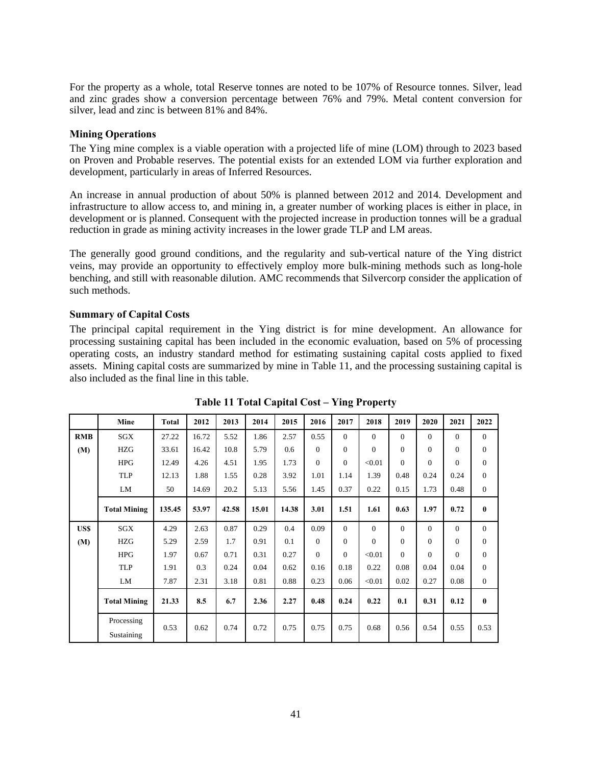For the property as a whole, total Reserve tonnes are noted to be 107% of Resource tonnes. Silver, lead and zinc grades show a conversion percentage between 76% and 79%. Metal content conversion for silver, lead and zinc is between 81% and 84%.

#### **Mining Operations**

The Ying mine complex is a viable operation with a projected life of mine (LOM) through to 2023 based on Proven and Probable reserves. The potential exists for an extended LOM via further exploration and development, particularly in areas of Inferred Resources.

An increase in annual production of about 50% is planned between 2012 and 2014. Development and infrastructure to allow access to, and mining in, a greater number of working places is either in place, in development or is planned. Consequent with the projected increase in production tonnes will be a gradual reduction in grade as mining activity increases in the lower grade TLP and LM areas.

The generally good ground conditions, and the regularity and sub-vertical nature of the Ying district veins, may provide an opportunity to effectively employ more bulk-mining methods such as long-hole benching, and still with reasonable dilution. AMC recommends that Silvercorp consider the application of such methods.

### **Summary of Capital Costs**

The principal capital requirement in the Ying district is for mine development. An allowance for processing sustaining capital has been included in the economic evaluation, based on 5% of processing operating costs, an industry standard method for estimating sustaining capital costs applied to fixed assets. Mining capital costs are summarized by mine in Table 11, and the processing sustaining capital is also included as the final line in this table.

|            | Mine                     | <b>Total</b> | 2012  | 2013  | 2014  | 2015  | 2016     | 2017     | 2018     | 2019     | 2020     | 2021     | 2022           |
|------------|--------------------------|--------------|-------|-------|-------|-------|----------|----------|----------|----------|----------|----------|----------------|
| <b>RMB</b> | SGX                      | 27.22        | 16.72 | 5.52  | 1.86  | 2.57  | 0.55     | $\Omega$ | $\Omega$ | $\Omega$ | $\Omega$ | $\Omega$ | $\overline{0}$ |
| (M)        | <b>HZG</b>               | 33.61        | 16.42 | 10.8  | 5.79  | 0.6   | $\Omega$ | $\theta$ | $\Omega$ | $\Omega$ | $\Omega$ | $\theta$ | $\overline{0}$ |
|            | <b>HPG</b>               | 12.49        | 4.26  | 4.51  | 1.95  | 1.73  | $\Omega$ | $\theta$ | < 0.01   | $\Omega$ | $\Omega$ | $\theta$ | $\overline{0}$ |
|            | <b>TLP</b>               | 12.13        | 1.88  | 1.55  | 0.28  | 3.92  | 1.01     | 1.14     | 1.39     | 0.48     | 0.24     | 0.24     | $\overline{0}$ |
|            | LM                       | 50           | 14.69 | 20.2  | 5.13  | 5.56  | 1.45     | 0.37     | 0.22     | 0.15     | 1.73     | 0.48     | $\overline{0}$ |
|            | <b>Total Mining</b>      | 135.45       | 53.97 | 42.58 | 15.01 | 14.38 | 3.01     | 1.51     | 1.61     | 0.63     | 1.97     | 0.72     | $\bf{0}$       |
| US\$       | <b>SGX</b>               | 4.29         | 2.63  | 0.87  | 0.29  | 0.4   | 0.09     | $\Omega$ | $\Omega$ | $\Omega$ | $\Omega$ | $\Omega$ | $\overline{0}$ |
| (M)        | <b>HZG</b>               | 5.29         | 2.59  | 1.7   | 0.91  | 0.1   | $\Omega$ | $\theta$ | $\Omega$ | $\Omega$ | $\Omega$ | $\theta$ | $\overline{0}$ |
|            | <b>HPG</b>               | 1.97         | 0.67  | 0.71  | 0.31  | 0.27  | $\theta$ | $\Omega$ | < 0.01   | $\Omega$ | $\Omega$ | $\Omega$ | $\overline{0}$ |
|            | <b>TLP</b>               | 1.91         | 0.3   | 0.24  | 0.04  | 0.62  | 0.16     | 0.18     | 0.22     | 0.08     | 0.04     | 0.04     | $\overline{0}$ |
|            | LM                       | 7.87         | 2.31  | 3.18  | 0.81  | 0.88  | 0.23     | 0.06     | < 0.01   | 0.02     | 0.27     | 0.08     | $\overline{0}$ |
|            | <b>Total Mining</b>      | 21.33        | 8.5   | 6.7   | 2.36  | 2.27  | 0.48     | 0.24     | 0.22     | 0.1      | 0.31     | 0.12     | $\bf{0}$       |
|            | Processing<br>Sustaining | 0.53         | 0.62  | 0.74  | 0.72  | 0.75  | 0.75     | 0.75     | 0.68     | 0.56     | 0.54     | 0.55     | 0.53           |

**Table 11 Total Capital Cost – Ying Property**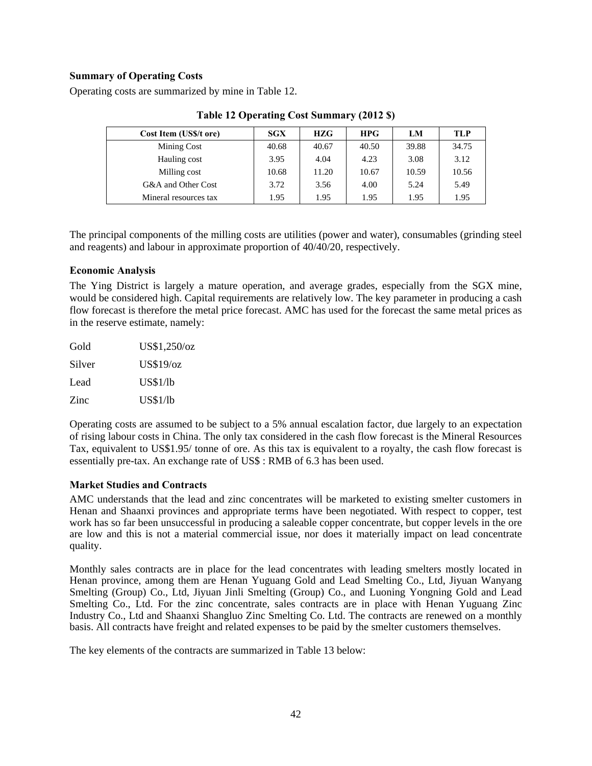### **Summary of Operating Costs**

Operating costs are summarized by mine in Table 12.

| Cost Item (US\$/t ore) | SGX   | HZG   | <b>HPG</b> | LM    | TLP   |
|------------------------|-------|-------|------------|-------|-------|
| Mining Cost            | 40.68 | 40.67 | 40.50      | 39.88 | 34.75 |
| Hauling cost           | 3.95  | 4.04  | 4.23       | 3.08  | 3.12  |
| Milling cost           | 10.68 | 11.20 | 10.67      | 10.59 | 10.56 |
| G&A and Other Cost     | 3.72  | 3.56  | 4.00       | 5.24  | 5.49  |
| Mineral resources tax  | 1.95  | 1.95  | 1.95       | 1.95  | 1.95  |

**Table 12 Operating Cost Summary (2012 \$)** 

The principal components of the milling costs are utilities (power and water), consumables (grinding steel and reagents) and labour in approximate proportion of 40/40/20, respectively.

#### **Economic Analysis**

The Ying District is largely a mature operation, and average grades, especially from the SGX mine, would be considered high. Capital requirements are relatively low. The key parameter in producing a cash flow forecast is therefore the metal price forecast. AMC has used for the forecast the same metal prices as in the reserve estimate, namely:

| Gold   | US\$1,250/oz |
|--------|--------------|
| Silver | US\$19/oz    |
| Lead   | US\$1/lb     |
| Zinc   | US\$1/lb     |

Operating costs are assumed to be subject to a 5% annual escalation factor, due largely to an expectation of rising labour costs in China. The only tax considered in the cash flow forecast is the Mineral Resources Tax, equivalent to US\$1.95/ tonne of ore. As this tax is equivalent to a royalty, the cash flow forecast is essentially pre-tax. An exchange rate of US\$ : RMB of 6.3 has been used.

### **Market Studies and Contracts**

AMC understands that the lead and zinc concentrates will be marketed to existing smelter customers in Henan and Shaanxi provinces and appropriate terms have been negotiated. With respect to copper, test work has so far been unsuccessful in producing a saleable copper concentrate, but copper levels in the ore are low and this is not a material commercial issue, nor does it materially impact on lead concentrate quality.

Monthly sales contracts are in place for the lead concentrates with leading smelters mostly located in Henan province, among them are Henan Yuguang Gold and Lead Smelting Co., Ltd, Jiyuan Wanyang Smelting (Group) Co., Ltd, Jiyuan Jinli Smelting (Group) Co., and Luoning Yongning Gold and Lead Smelting Co., Ltd. For the zinc concentrate, sales contracts are in place with Henan Yuguang Zinc Industry Co., Ltd and Shaanxi Shangluo Zinc Smelting Co. Ltd. The contracts are renewed on a monthly basis. All contracts have freight and related expenses to be paid by the smelter customers themselves.

The key elements of the contracts are summarized in Table 13 below: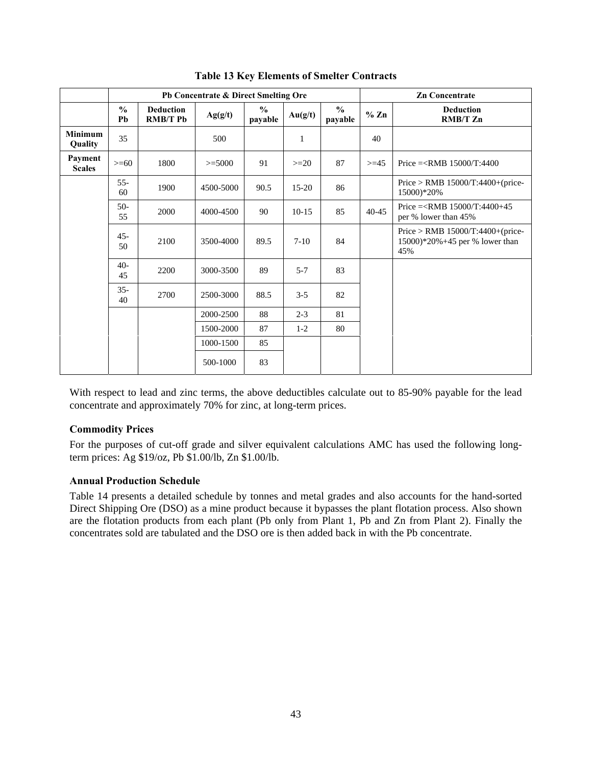|                                  |                     |                                     | Pb Concentrate & Direct Smelting Ore |                           |              |                           |           | <b>Zn Concentrate</b>                                                                        |
|----------------------------------|---------------------|-------------------------------------|--------------------------------------|---------------------------|--------------|---------------------------|-----------|----------------------------------------------------------------------------------------------|
|                                  | $\frac{0}{0}$<br>Pb | <b>Deduction</b><br><b>RMB/T Pb</b> | Ag(g/t)                              | $\frac{6}{10}$<br>payable | Au(g/t)      | $\frac{6}{10}$<br>payable | % Zn      | <b>Deduction</b><br><b>RMB/T Zn</b>                                                          |
| <b>Minimum</b><br><b>Quality</b> | 35                  |                                     | 500                                  |                           | $\mathbf{1}$ |                           | 40        |                                                                                              |
| Payment<br><b>Scales</b>         | $>= 60$             | 1800                                | $>=5000$                             | 91                        | $>=20$       | 87                        | $>=15$    | Price $=\times$ RMB 15000/T:4400                                                             |
|                                  | $55 -$<br>60        | 1900                                | 4500-5000                            | 90.5                      | $15-20$      | 86                        |           | Price > RMB $15000/T:4400+(price$<br>15000)*20%                                              |
|                                  | $50-$<br>55         | 2000                                | 4000-4500                            | 90                        | $10-15$      | 85                        | $40 - 45$ | Price = $\langle$ RMB 15000/T:4400+45<br>per % lower than 45%                                |
|                                  | 45-<br>50           | 2100                                | 3500-4000                            | 89.5                      | $7 - 10$     | 84                        |           | Price > RMB $15000/T:4400+(price-$<br>$15000$ <sup>*</sup> $20\%+45$ per % lower than<br>45% |
|                                  | $40-$<br>45         | 2200                                | 3000-3500                            | 89                        | $5 - 7$      | 83                        |           |                                                                                              |
|                                  | $35 -$<br>40        | 2700                                | 2500-3000                            | 88.5                      | $3 - 5$      | 82                        |           |                                                                                              |
|                                  |                     |                                     | 2000-2500                            | 88                        | $2 - 3$      | 81                        |           |                                                                                              |
|                                  |                     |                                     | 1500-2000                            | 87                        | $1-2$        | 80                        |           |                                                                                              |
|                                  |                     |                                     | 1000-1500                            | 85                        |              |                           |           |                                                                                              |
|                                  |                     |                                     | 500-1000                             | 83                        |              |                           |           |                                                                                              |

**Table 13 Key Elements of Smelter Contracts** 

With respect to lead and zinc terms, the above deductibles calculate out to 85-90% payable for the lead concentrate and approximately 70% for zinc, at long-term prices.

### **Commodity Prices**

For the purposes of cut-off grade and silver equivalent calculations AMC has used the following longterm prices: Ag \$19/oz, Pb \$1.00/lb, Zn \$1.00/lb.

### **Annual Production Schedule**

Table 14 presents a detailed schedule by tonnes and metal grades and also accounts for the hand-sorted Direct Shipping Ore (DSO) as a mine product because it bypasses the plant flotation process. Also shown are the flotation products from each plant (Pb only from Plant 1, Pb and Zn from Plant 2). Finally the concentrates sold are tabulated and the DSO ore is then added back in with the Pb concentrate.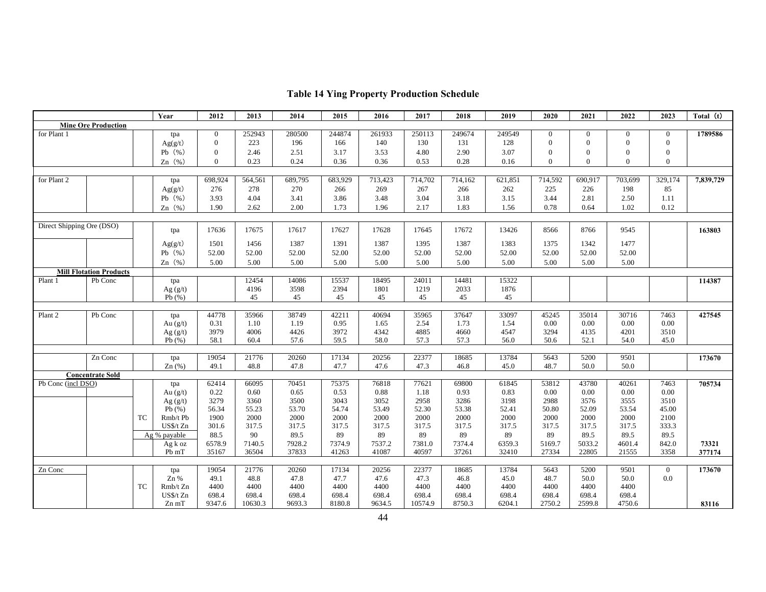|                           |                                |           | Year         | 2012           | 2013          | 2014          | 2015          | 2016          | 2017          | 2018          | 2019          | 2020         | 2021           | 2022         | 2023           | Total (t) |
|---------------------------|--------------------------------|-----------|--------------|----------------|---------------|---------------|---------------|---------------|---------------|---------------|---------------|--------------|----------------|--------------|----------------|-----------|
|                           | <b>Mine Ore Production</b>     |           |              |                |               |               |               |               |               |               |               |              |                |              |                |           |
| for Plant 1               |                                |           | tpa          | $\overline{0}$ | 252943        | 280500        | 244874        | 261933        | 250113        | 249674        | 249549        | $\Omega$     | $\overline{0}$ | $\theta$     | $\overline{0}$ | 1789586   |
|                           |                                |           | Ag(g/t)      | $\mathbf{0}$   | 223           | 196           | 166           | 140           | 130           | 131           | 128           | $\Omega$     | $\theta$       | $\mathbf{0}$ | $\overline{0}$ |           |
|                           |                                |           | Pb $(\% )$   | $\mathbf{0}$   | 2.46          | 2.51          | 3.17          | 3.53          | 4.80          | 2.90          | 3.07          | $\theta$     | $\theta$       | $\mathbf{0}$ | $\theta$       |           |
|                           |                                |           | Zn $(\% )$   | $\theta$       | 0.23          | 0.24          | 0.36          | 0.36          | 0.53          | 0.28          | 0.16          | $\Omega$     | $\theta$       | $\theta$     | $\theta$       |           |
|                           |                                |           |              |                |               |               |               |               |               |               |               |              |                |              |                |           |
| for Plant 2               |                                |           | tpa          | 698,924        | 564,561       | 689,795       | 683,929       | 713,423       | 714,702       | 714,162       | 621,851       | 714,592      | 690,917        | 703,699      | 329,174        | 7,839,729 |
|                           |                                |           | Ag(g/t)      | 276            | 278           | 270           | 266           | 269           | 267           | 266           | 262           | 225          | 226            | 198          | 85             |           |
|                           |                                |           | Pb $(\% )$   | 3.93           | 4.04          | 3.41          | 3.86          | 3.48          | 3.04          | 3.18          | 3.15          | 3.44         | 2.81           | 2.50         | 1.11           |           |
|                           |                                |           | Zn $(\% )$   | 1.90           | 2.62          | 2.00          | 1.73          | 1.96          | 2.17          | 1.83          | 1.56          | 0.78         | 0.64           | 1.02         | 0.12           |           |
|                           |                                |           |              |                |               |               |               |               |               |               |               |              |                |              |                |           |
| Direct Shipping Ore (DSO) |                                |           |              |                |               |               |               |               |               |               |               |              |                |              |                |           |
|                           |                                |           | tpa          | 17636          | 17675         | 17617         | 17627         | 17628         | 17645         | 17672         | 13426         | 8566         | 8766           | 9545         |                | 163803    |
|                           |                                |           | Ag(g/t)      | 1501           | 1456          | 1387          | 1391          | 1387          | 1395          | 1387          | 1383          | 1375         | 1342           | 1477         |                |           |
|                           |                                |           | Pb $(\% )$   | 52.00          | 52.00         | 52.00         | 52.00         | 52.00         | 52.00         | 52.00         | 52.00         | 52.00        | 52.00          | 52.00        |                |           |
|                           |                                |           | Zn $(\% )$   | 5.00           | 5.00          | 5.00          | 5.00          | 5.00          | 5.00          | 5.00          | 5.00          | 5.00         | 5.00           | 5.00         |                |           |
|                           | <b>Mill Flotation Products</b> |           |              |                |               |               |               |               |               |               |               |              |                |              |                |           |
| Plant 1                   | Pb Conc                        |           | tpa          |                | 12454         | 14086         | 15537         | 18495         | 24011         | 14481         | 15322         |              |                |              |                | 114387    |
|                           |                                |           | Ag $(g/t)$   |                | 4196          | 3598          | 2394          | 1801          | 1219          | 2033          | 1876          |              |                |              |                |           |
|                           |                                |           | Pb $(\% )$   |                | 45            | 45            | 45            | 45            | 45            | 45            | 45            |              |                |              |                |           |
|                           |                                |           |              |                |               |               |               |               |               |               |               |              |                |              |                |           |
| Plant 2                   | Pb Conc                        |           | tpa          | 44778          | 35966         | 38749         | 42211         | 40694         | 35965         | 37647         | 33097         | 45245        | 35014          | 30716        | 7463           | 427545    |
|                           |                                |           | Au $(g/t)$   | 0.31           | 1.10          | 1.19          | 0.95          | 1.65          | 2.54          | 1.73          | 1.54          | 0.00         | 0.00           | 0.00         | 0.00           |           |
|                           |                                |           | Ag $(g/t)$   | 3979           | 4006          | 4426          | 3972          | 4342          | 4885          | 4660          | 4547          | 3294         | 4135           | 4201         | 3510           |           |
|                           |                                |           | Pb $(\% )$   | 58.1           | 60.4          | 57.6          | 59.5          | 58.0          | 57.3          | 57.3          | 56.0          | 50.6         | 52.1           | 54.0         | 45.0           |           |
|                           |                                |           |              |                |               |               |               |               |               |               |               |              |                |              |                |           |
|                           | Zn Conc                        |           | tpa<br>Zn(%) | 19054<br>49.1  | 21776<br>48.8 | 20260<br>47.8 | 17134<br>47.7 | 20256<br>47.6 | 22377<br>47.3 | 18685<br>46.8 | 13784<br>45.0 | 5643<br>48.7 | 5200<br>50.0   | 9501<br>50.0 |                | 173670    |
|                           | <b>Concentrate Sold</b>        |           |              |                |               |               |               |               |               |               |               |              |                |              |                |           |
| Pb Conc (incl DSO)        |                                |           | tpa          | 62414          | 66095         | 70451         | 75375         | 76818         | 77621         | 69800         | 61845         | 53812        | 43780          | 40261        | 7463           | 705734    |
|                           |                                |           | Au $(g/t)$   | 0.22           | 0.60          | 0.65          | 0.53          | 0.88          | 1.18          | 0.93          | 0.83          | 0.00         | 0.00           | 0.00         | 0.00           |           |
|                           |                                |           | Ag $(g/t)$   | 3279           | 3360          | 3500          | 3043          | 3052          | 2958          | 3286          | 3198          | 2988         | 3576           | 3555         | 3510           |           |
|                           |                                |           | Pb $(\% )$   | 56.34          | 55.23         | 53.70         | 54.74         | 53.49         | 52.30         | 53.38         | 52.41         | 50.80        | 52.09          | 53.54        | 45.00          |           |
|                           |                                | <b>TC</b> | Rmb/t Pb     | 1900           | 2000          | 2000          | 2000          | 2000          | 2000          | 2000          | 2000          | 2000         | 2000           | 2000         | 2100           |           |
|                           |                                |           | US\$/t Zn    | 301.6          | 317.5         | 317.5         | 317.5         | 317.5         | 317.5         | 317.5         | 317.5         | 317.5        | 317.5          | 317.5        | 333.3          |           |
|                           |                                |           | Ag % payable | 88.5           | 90            | 89.5          | 89            | 89            | 89            | 89            | 89            | 89           | 89.5           | 89.5         | 89.5           |           |
|                           |                                |           | $Agk$ oz     | 6578.9         | 7140.5        | 7928.2        | 7374.9        | 7537.2        | 7381.0        | 7374.4        | 6359.3        | 5169.7       | 5033.2         | 4601.4       | 842.0          | 73321     |
|                           |                                |           | Pb mT        | 35167          | 36504         | 37833         | 41263         | 41087         | 40597         | 37261         | 32410         | 27334        | 22805          | 21555        | 3358           | 377174    |
|                           |                                |           |              |                |               |               |               |               |               |               |               |              |                |              |                |           |
| Zn Conc                   |                                |           | tpa          | 19054          | 21776         | 20260         | 17134         | 20256         | 22377         | 18685         | 13784         | 5643         | 5200           | 9501         | $\overline{0}$ | 173670    |
|                           |                                |           | $Zn$ %       | 49.1           | 48.8          | 47.8          | 47.7          | 47.6          | 47.3          | 46.8          | 45.0          | 48.7         | 50.0           | 50.0         | $0.0\,$        |           |
|                           |                                | <b>TC</b> | Rmb/t Zn     | 4400           | 4400          | 4400          | 4400          | 4400          | 4400          | 4400          | 4400          | 4400         | 4400           | 4400         |                |           |
|                           |                                |           | US\$/t Zn    | 698.4          | 698.4         | 698.4         | 698.4         | 698.4         | 698.4         | 698.4         | 698.4         | 698.4        | 698.4          | 698.4        |                |           |
|                           |                                |           | $Zn$ mT      | 9347.6         | 10630.3       | 9693.3        | 8180.8        | 9634.5        | 10574.9       | 8750.3        | 6204.1        | 2750.2       | 2599.8         | 4750.6       |                | 83116     |

# **Table 14 Ying Property Production Schedule**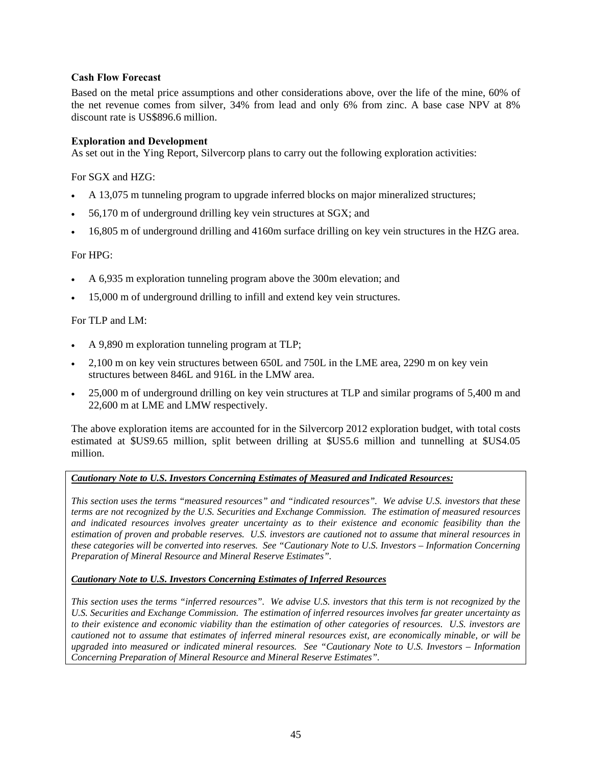## **Cash Flow Forecast**

Based on the metal price assumptions and other considerations above, over the life of the mine, 60% of the net revenue comes from silver, 34% from lead and only 6% from zinc. A base case NPV at 8% discount rate is US\$896.6 million.

### **Exploration and Development**

As set out in the Ying Report, Silvercorp plans to carry out the following exploration activities:

For SGX and HZG:

- A 13,075 m tunneling program to upgrade inferred blocks on major mineralized structures;
- 56,170 m of underground drilling key vein structures at SGX; and
- 16,805 m of underground drilling and 4160m surface drilling on key vein structures in the HZG area.

#### For HPG:

- A 6,935 m exploration tunneling program above the 300m elevation; and
- 15,000 m of underground drilling to infill and extend key vein structures.

#### For TLP and LM:

- A 9,890 m exploration tunneling program at TLP;
- 2,100 m on key vein structures between 650L and 750L in the LME area, 2290 m on key vein structures between 846L and 916L in the LMW area.
- 25,000 m of underground drilling on key vein structures at TLP and similar programs of 5,400 m and 22,600 m at LME and LMW respectively.

The above exploration items are accounted for in the Silvercorp 2012 exploration budget, with total costs estimated at \$US9.65 million, split between drilling at \$US5.6 million and tunnelling at \$US4.05 million.

### *Cautionary Note to U.S. Investors Concerning Estimates of Measured and Indicated Resources:*

*This section uses the terms "measured resources" and "indicated resources". We advise U.S. investors that these terms are not recognized by the U.S. Securities and Exchange Commission. The estimation of measured resources and indicated resources involves greater uncertainty as to their existence and economic feasibility than the estimation of proven and probable reserves. U.S. investors are cautioned not to assume that mineral resources in these categories will be converted into reserves. See "Cautionary Note to U.S. Investors – Information Concerning Preparation of Mineral Resource and Mineral Reserve Estimates".* 

#### *Cautionary Note to U.S. Investors Concerning Estimates of Inferred Resources*

*This section uses the terms "inferred resources". We advise U.S. investors that this term is not recognized by the U.S. Securities and Exchange Commission. The estimation of inferred resources involves far greater uncertainty as to their existence and economic viability than the estimation of other categories of resources. U.S. investors are cautioned not to assume that estimates of inferred mineral resources exist, are economically minable, or will be upgraded into measured or indicated mineral resources. See "Cautionary Note to U.S. Investors – Information Concerning Preparation of Mineral Resource and Mineral Reserve Estimates".*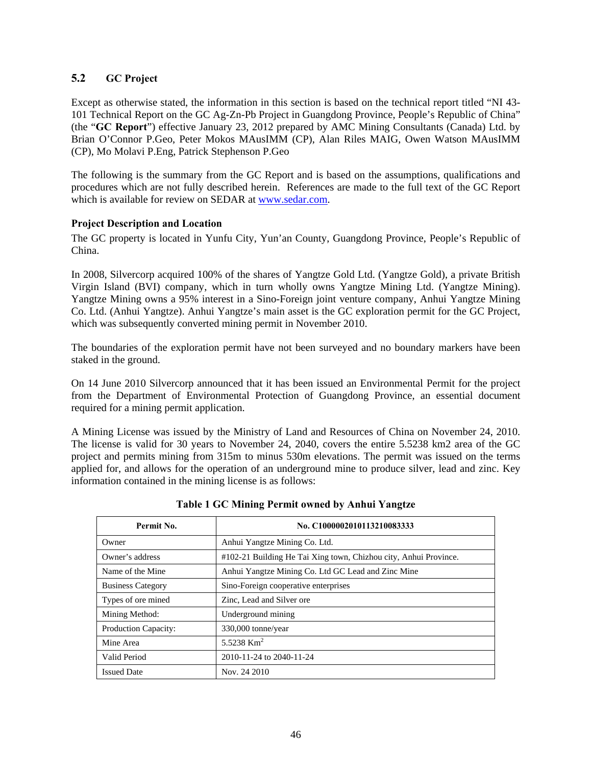## **5.2 GC Project**

Except as otherwise stated, the information in this section is based on the technical report titled "NI 43- 101 Technical Report on the GC Ag-Zn-Pb Project in Guangdong Province, People's Republic of China" (the "**GC Report**") effective January 23, 2012 prepared by AMC Mining Consultants (Canada) Ltd. by Brian O'Connor P.Geo, Peter Mokos MAusIMM (CP), Alan Riles MAIG, Owen Watson MAusIMM (CP), Mo Molavi P.Eng, Patrick Stephenson P.Geo

The following is the summary from the GC Report and is based on the assumptions, qualifications and procedures which are not fully described herein. References are made to the full text of the GC Report which is available for review on SEDAR at www.sedar.com.

### **Project Description and Location**

The GC property is located in Yunfu City, Yun'an County, Guangdong Province, People's Republic of China.

In 2008, Silvercorp acquired 100% of the shares of Yangtze Gold Ltd. (Yangtze Gold), a private British Virgin Island (BVI) company, which in turn wholly owns Yangtze Mining Ltd. (Yangtze Mining). Yangtze Mining owns a 95% interest in a Sino-Foreign joint venture company, Anhui Yangtze Mining Co. Ltd. (Anhui Yangtze). Anhui Yangtze's main asset is the GC exploration permit for the GC Project, which was subsequently converted mining permit in November 2010.

The boundaries of the exploration permit have not been surveyed and no boundary markers have been staked in the ground.

On 14 June 2010 Silvercorp announced that it has been issued an Environmental Permit for the project from the Department of Environmental Protection of Guangdong Province, an essential document required for a mining permit application.

A Mining License was issued by the Ministry of Land and Resources of China on November 24, 2010. The license is valid for 30 years to November 24, 2040, covers the entire 5.5238 km2 area of the GC project and permits mining from 315m to minus 530m elevations. The permit was issued on the terms applied for, and allows for the operation of an underground mine to produce silver, lead and zinc. Key information contained in the mining license is as follows:

| Permit No.               | No. C1000002010113210083333                                      |
|--------------------------|------------------------------------------------------------------|
| Owner                    | Anhui Yangtze Mining Co. Ltd.                                    |
| Owner's address          | #102-21 Building He Tai Xing town, Chizhou city, Anhui Province. |
| Name of the Mine         | Anhui Yangtze Mining Co. Ltd GC Lead and Zinc Mine               |
| <b>Business Category</b> | Sino-Foreign cooperative enterprises                             |
| Types of ore mined       | Zinc, Lead and Silver ore.                                       |
| Mining Method:           | Underground mining                                               |
| Production Capacity:     | 330,000 tonne/year                                               |
| Mine Area                | 5.5238 $Km^2$                                                    |
| Valid Period             | 2010-11-24 to 2040-11-24                                         |
| <b>Issued Date</b>       | Nov. 24 2010                                                     |

#### **Table 1 GC Mining Permit owned by Anhui Yangtze**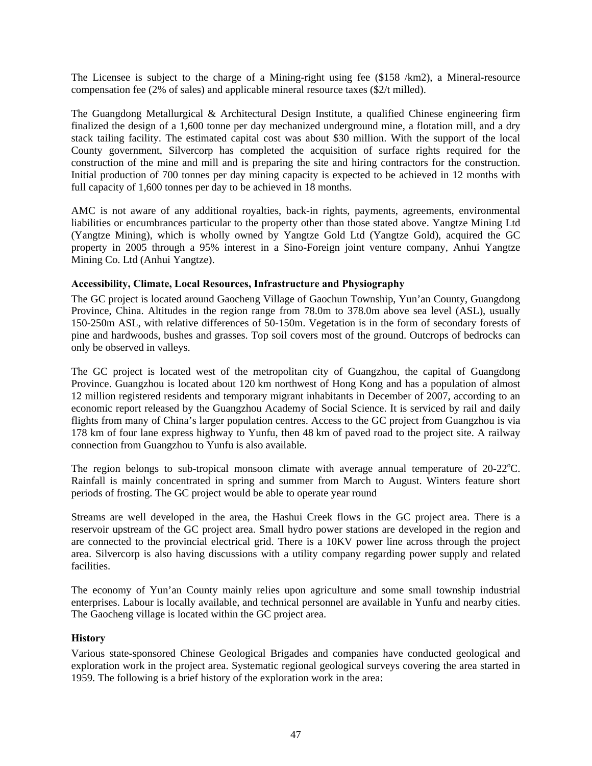The Licensee is subject to the charge of a Mining-right using fee (\$158 /km2), a Mineral-resource compensation fee (2% of sales) and applicable mineral resource taxes (\$2/t milled).

The Guangdong Metallurgical & Architectural Design Institute, a qualified Chinese engineering firm finalized the design of a 1,600 tonne per day mechanized underground mine, a flotation mill, and a dry stack tailing facility. The estimated capital cost was about \$30 million. With the support of the local County government, Silvercorp has completed the acquisition of surface rights required for the construction of the mine and mill and is preparing the site and hiring contractors for the construction. Initial production of 700 tonnes per day mining capacity is expected to be achieved in 12 months with full capacity of 1,600 tonnes per day to be achieved in 18 months.

AMC is not aware of any additional royalties, back-in rights, payments, agreements, environmental liabilities or encumbrances particular to the property other than those stated above. Yangtze Mining Ltd (Yangtze Mining), which is wholly owned by Yangtze Gold Ltd (Yangtze Gold), acquired the GC property in 2005 through a 95% interest in a Sino-Foreign joint venture company, Anhui Yangtze Mining Co. Ltd (Anhui Yangtze).

#### **Accessibility, Climate, Local Resources, Infrastructure and Physiography**

The GC project is located around Gaocheng Village of Gaochun Township, Yun'an County, Guangdong Province, China. Altitudes in the region range from 78.0m to 378.0m above sea level (ASL), usually 150-250m ASL, with relative differences of 50-150m. Vegetation is in the form of secondary forests of pine and hardwoods, bushes and grasses. Top soil covers most of the ground. Outcrops of bedrocks can only be observed in valleys.

The GC project is located west of the metropolitan city of Guangzhou, the capital of Guangdong Province. Guangzhou is located about 120 km northwest of Hong Kong and has a population of almost 12 million registered residents and temporary migrant inhabitants in December of 2007, according to an economic report released by the Guangzhou Academy of Social Science. It is serviced by rail and daily flights from many of China's larger population centres. Access to the GC project from Guangzhou is via 178 km of four lane express highway to Yunfu, then 48 km of paved road to the project site. A railway connection from Guangzhou to Yunfu is also available.

The region belongs to sub-tropical monsoon climate with average annual temperature of  $20-22^{\circ}$ C. Rainfall is mainly concentrated in spring and summer from March to August. Winters feature short periods of frosting. The GC project would be able to operate year round

Streams are well developed in the area, the Hashui Creek flows in the GC project area. There is a reservoir upstream of the GC project area. Small hydro power stations are developed in the region and are connected to the provincial electrical grid. There is a 10KV power line across through the project area. Silvercorp is also having discussions with a utility company regarding power supply and related facilities.

The economy of Yun'an County mainly relies upon agriculture and some small township industrial enterprises. Labour is locally available, and technical personnel are available in Yunfu and nearby cities. The Gaocheng village is located within the GC project area.

#### **History**

Various state-sponsored Chinese Geological Brigades and companies have conducted geological and exploration work in the project area. Systematic regional geological surveys covering the area started in 1959. The following is a brief history of the exploration work in the area: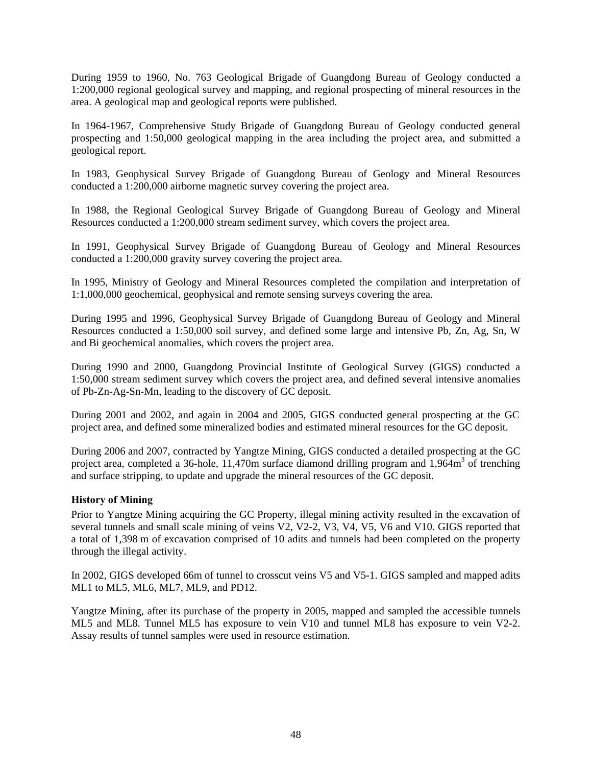During 1959 to 1960, No. 763 Geological Brigade of Guangdong Bureau of Geology conducted a 1:200,000 regional geological survey and mapping, and regional prospecting of mineral resources in the area. A geological map and geological reports were published.

In 1964-1967, Comprehensive Study Brigade of Guangdong Bureau of Geology conducted general prospecting and 1:50,000 geological mapping in the area including the project area, and submitted a geological report.

In 1983, Geophysical Survey Brigade of Guangdong Bureau of Geology and Mineral Resources conducted a 1:200,000 airborne magnetic survey covering the project area.

In 1988, the Regional Geological Survey Brigade of Guangdong Bureau of Geology and Mineral Resources conducted a 1:200,000 stream sediment survey, which covers the project area.

In 1991, Geophysical Survey Brigade of Guangdong Bureau of Geology and Mineral Resources conducted a 1:200,000 gravity survey covering the project area.

In 1995, Ministry of Geology and Mineral Resources completed the compilation and interpretation of 1:1,000,000 geochemical, geophysical and remote sensing surveys covering the area.

During 1995 and 1996, Geophysical Survey Brigade of Guangdong Bureau of Geology and Mineral Resources conducted a 1:50,000 soil survey, and defined some large and intensive Pb, Zn, Ag, Sn, W and Bi geochemical anomalies, which covers the project area.

During 1990 and 2000, Guangdong Provincial Institute of Geological Survey (GIGS) conducted a 1:50,000 stream sediment survey which covers the project area, and defined several intensive anomalies of Pb-Zn-Ag-Sn-Mn, leading to the discovery of GC deposit.

During 2001 and 2002, and again in 2004 and 2005, GIGS conducted general prospecting at the GC project area, and defined some mineralized bodies and estimated mineral resources for the GC deposit.

During 2006 and 2007, contracted by Yangtze Mining, GIGS conducted a detailed prospecting at the GC project area, completed a 36-hole, 11,470m surface diamond drilling program and 1,964m<sup>3</sup> of trenching and surface stripping, to update and upgrade the mineral resources of the GC deposit.

### **History of Mining**

Prior to Yangtze Mining acquiring the GC Property, illegal mining activity resulted in the excavation of several tunnels and small scale mining of veins V2, V2-2, V3, V4, V5, V6 and V10. GIGS reported that a total of 1,398 m of excavation comprised of 10 adits and tunnels had been completed on the property through the illegal activity.

In 2002, GIGS developed 66m of tunnel to crosscut veins V5 and V5-1. GIGS sampled and mapped adits ML1 to ML5, ML6, ML7, ML9, and PD12.

Yangtze Mining, after its purchase of the property in 2005, mapped and sampled the accessible tunnels ML5 and ML8. Tunnel ML5 has exposure to vein V10 and tunnel ML8 has exposure to vein V2-2. Assay results of tunnel samples were used in resource estimation.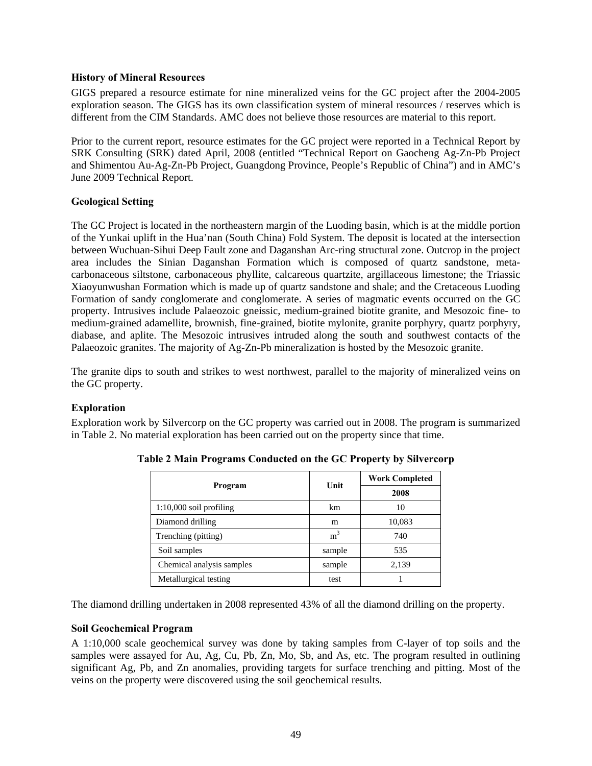### **History of Mineral Resources**

GIGS prepared a resource estimate for nine mineralized veins for the GC project after the 2004-2005 exploration season. The GIGS has its own classification system of mineral resources / reserves which is different from the CIM Standards. AMC does not believe those resources are material to this report.

Prior to the current report, resource estimates for the GC project were reported in a Technical Report by SRK Consulting (SRK) dated April, 2008 (entitled "Technical Report on Gaocheng Ag-Zn-Pb Project and Shimentou Au-Ag-Zn-Pb Project, Guangdong Province, People's Republic of China") and in AMC's June 2009 Technical Report.

## **Geological Setting**

The GC Project is located in the northeastern margin of the Luoding basin, which is at the middle portion of the Yunkai uplift in the Hua'nan (South China) Fold System. The deposit is located at the intersection between Wuchuan-Sihui Deep Fault zone and Daganshan Arc-ring structural zone. Outcrop in the project area includes the Sinian Daganshan Formation which is composed of quartz sandstone, metacarbonaceous siltstone, carbonaceous phyllite, calcareous quartzite, argillaceous limestone; the Triassic Xiaoyunwushan Formation which is made up of quartz sandstone and shale; and the Cretaceous Luoding Formation of sandy conglomerate and conglomerate. A series of magmatic events occurred on the GC property. Intrusives include Palaeozoic gneissic, medium-grained biotite granite, and Mesozoic fine- to medium-grained adamellite, brownish, fine-grained, biotite mylonite, granite porphyry, quartz porphyry, diabase, and aplite. The Mesozoic intrusives intruded along the south and southwest contacts of the Palaeozoic granites. The majority of Ag-Zn-Pb mineralization is hosted by the Mesozoic granite.

The granite dips to south and strikes to west northwest, parallel to the majority of mineralized veins on the GC property.

## **Exploration**

Exploration work by Silvercorp on the GC property was carried out in 2008. The program is summarized in Table 2. No material exploration has been carried out on the property since that time.

|                           |                | <b>Work Completed</b> |
|---------------------------|----------------|-----------------------|
| Program                   | Unit           | 2008                  |
| 1:10,000 soil profiling   | km             | 10                    |
| Diamond drilling          | m              | 10,083                |
| Trenching (pitting)       | m <sup>3</sup> | 740                   |
| Soil samples              | sample         | 535                   |
| Chemical analysis samples | sample         | 2,139                 |
| Metallurgical testing     | test           |                       |

**Table 2 Main Programs Conducted on the GC Property by Silvercorp** 

The diamond drilling undertaken in 2008 represented 43% of all the diamond drilling on the property.

### **Soil Geochemical Program**

A 1:10,000 scale geochemical survey was done by taking samples from C-layer of top soils and the samples were assayed for Au, Ag, Cu, Pb, Zn, Mo, Sb, and As, etc. The program resulted in outlining significant Ag, Pb, and Zn anomalies, providing targets for surface trenching and pitting. Most of the veins on the property were discovered using the soil geochemical results.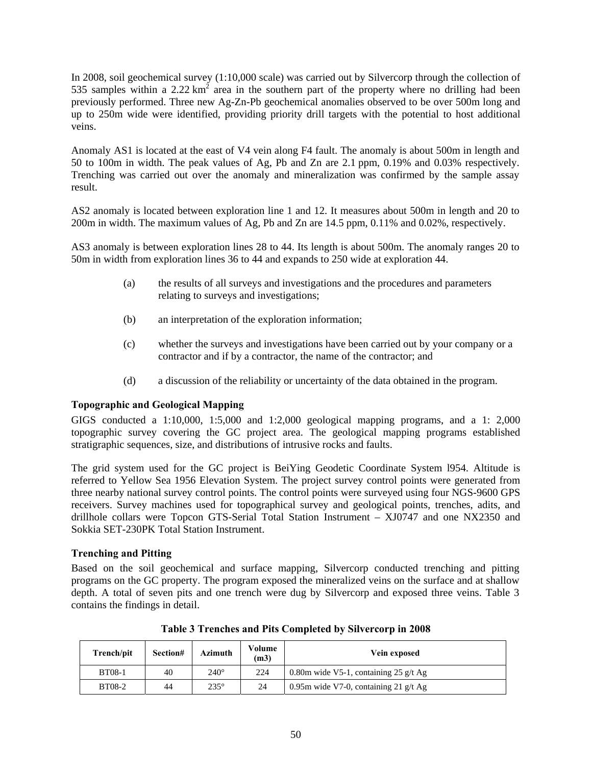In 2008, soil geochemical survey (1:10,000 scale) was carried out by Silvercorp through the collection of 535 samples within a 2.22  $km^2$  area in the southern part of the property where no drilling had been previously performed. Three new Ag-Zn-Pb geochemical anomalies observed to be over 500m long and up to 250m wide were identified, providing priority drill targets with the potential to host additional veins.

Anomaly AS1 is located at the east of V4 vein along F4 fault. The anomaly is about 500m in length and 50 to 100m in width. The peak values of Ag, Pb and Zn are 2.1 ppm, 0.19% and 0.03% respectively. Trenching was carried out over the anomaly and mineralization was confirmed by the sample assay result.

AS2 anomaly is located between exploration line 1 and 12. It measures about 500m in length and 20 to 200m in width. The maximum values of Ag, Pb and Zn are 14.5 ppm, 0.11% and 0.02%, respectively.

AS3 anomaly is between exploration lines 28 to 44. Its length is about 500m. The anomaly ranges 20 to 50m in width from exploration lines 36 to 44 and expands to 250 wide at exploration 44.

- (a) the results of all surveys and investigations and the procedures and parameters relating to surveys and investigations;
- (b) an interpretation of the exploration information;
- (c) whether the surveys and investigations have been carried out by your company or a contractor and if by a contractor, the name of the contractor; and
- (d) a discussion of the reliability or uncertainty of the data obtained in the program.

### **Topographic and Geological Mapping**

GIGS conducted a 1:10,000, 1:5,000 and 1:2,000 geological mapping programs, and a 1: 2,000 topographic survey covering the GC project area. The geological mapping programs established stratigraphic sequences, size, and distributions of intrusive rocks and faults.

The grid system used for the GC project is BeiYing Geodetic Coordinate System l954. Altitude is referred to Yellow Sea 1956 Elevation System. The project survey control points were generated from three nearby national survey control points. The control points were surveyed using four NGS-9600 GPS receivers. Survey machines used for topographical survey and geological points, trenches, adits, and drillhole collars were Topcon GTS-Serial Total Station Instrument – XJ0747 and one NX2350 and Sokkia SET-230PK Total Station Instrument.

### **Trenching and Pitting**

Based on the soil geochemical and surface mapping, Silvercorp conducted trenching and pitting programs on the GC property. The program exposed the mineralized veins on the surface and at shallow depth. A total of seven pits and one trench were dug by Silvercorp and exposed three veins. Table 3 contains the findings in detail.

| Trench/pit    | Section# | Azimuth     | Volume<br>(m3)                                 | Vein exposed |  |
|---------------|----------|-------------|------------------------------------------------|--------------|--|
| <b>BT08-1</b> | 40       | $240^\circ$ | 224<br>0.80m wide V5-1, containing 25 $g/t$ Ag |              |  |
| <b>BT08-2</b> | 44       | $235^\circ$ | 24<br>0.95m wide V7-0, containing 21 $g/t$ Ag  |              |  |

**Table 3 Trenches and Pits Completed by Silvercorp in 2008**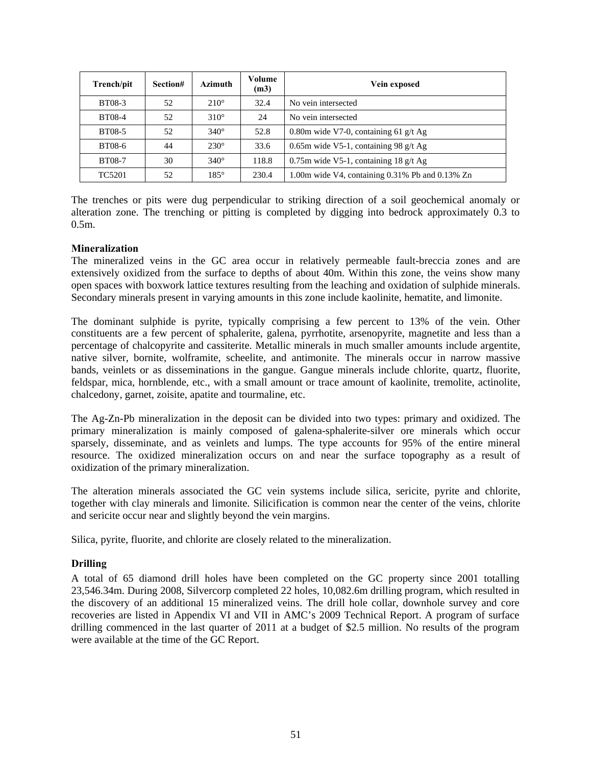| Trench/pit    | Section# | <b>Azimuth</b> | Volume<br>(m3) | Vein exposed                                                  |
|---------------|----------|----------------|----------------|---------------------------------------------------------------|
| <b>BT08-3</b> | 52       | $210^\circ$    | 32.4           | No vein intersected                                           |
| <b>BT08-4</b> | 52       | $310^\circ$    | 24             | No vein intersected                                           |
| <b>BT08-5</b> | 52       | $340^\circ$    | 52.8           | 0.80m wide V7-0, containing 61 $g/t$ Ag                       |
| <b>BT08-6</b> | 44       | $230^\circ$    | 33.6           | 0.65m wide V5-1, containing 98 $g/t$ Ag                       |
| <b>BT08-7</b> | 30       | $340^\circ$    | 118.8          | 0.75m wide V5-1, containing $18 \frac{\text{g}}{\text{t}}$ Ag |
| <b>TC5201</b> | 52       | $185^\circ$    | 230.4          | 1.00m wide V4, containing 0.31% Pb and 0.13% Zn               |

The trenches or pits were dug perpendicular to striking direction of a soil geochemical anomaly or alteration zone. The trenching or pitting is completed by digging into bedrock approximately 0.3 to 0.5m.

### **Mineralization**

The mineralized veins in the GC area occur in relatively permeable fault-breccia zones and are extensively oxidized from the surface to depths of about 40m. Within this zone, the veins show many open spaces with boxwork lattice textures resulting from the leaching and oxidation of sulphide minerals. Secondary minerals present in varying amounts in this zone include kaolinite, hematite, and limonite.

The dominant sulphide is pyrite, typically comprising a few percent to 13% of the vein. Other constituents are a few percent of sphalerite, galena, pyrrhotite, arsenopyrite, magnetite and less than a percentage of chalcopyrite and cassiterite. Metallic minerals in much smaller amounts include argentite, native silver, bornite, wolframite, scheelite, and antimonite. The minerals occur in narrow massive bands, veinlets or as disseminations in the gangue. Gangue minerals include chlorite, quartz, fluorite, feldspar, mica, hornblende, etc., with a small amount or trace amount of kaolinite, tremolite, actinolite, chalcedony, garnet, zoisite, apatite and tourmaline, etc.

The Ag-Zn-Pb mineralization in the deposit can be divided into two types: primary and oxidized. The primary mineralization is mainly composed of galena-sphalerite-silver ore minerals which occur sparsely, disseminate, and as veinlets and lumps. The type accounts for 95% of the entire mineral resource. The oxidized mineralization occurs on and near the surface topography as a result of oxidization of the primary mineralization.

The alteration minerals associated the GC vein systems include silica, sericite, pyrite and chlorite, together with clay minerals and limonite. Silicification is common near the center of the veins, chlorite and sericite occur near and slightly beyond the vein margins.

Silica, pyrite, fluorite, and chlorite are closely related to the mineralization.

## **Drilling**

A total of 65 diamond drill holes have been completed on the GC property since 2001 totalling 23,546.34m. During 2008, Silvercorp completed 22 holes, 10,082.6m drilling program, which resulted in the discovery of an additional 15 mineralized veins. The drill hole collar, downhole survey and core recoveries are listed in Appendix VI and VII in AMC's 2009 Technical Report. A program of surface drilling commenced in the last quarter of 2011 at a budget of \$2.5 million. No results of the program were available at the time of the GC Report.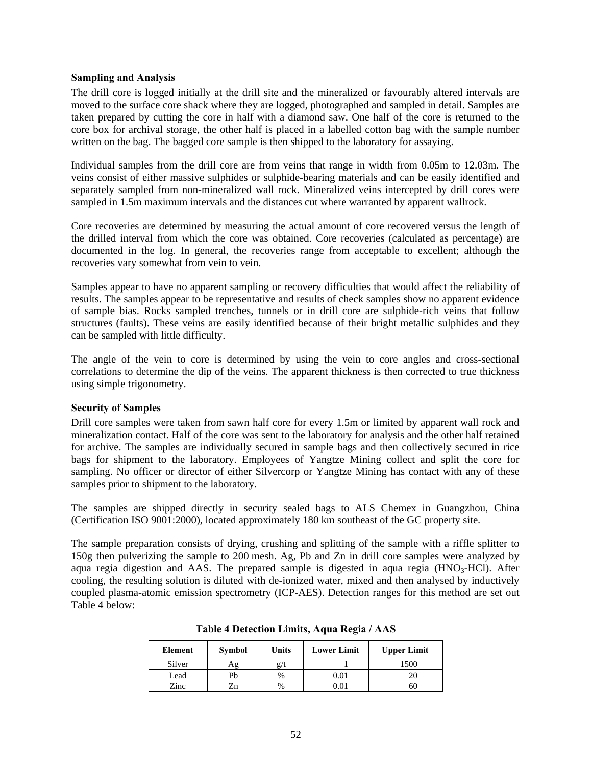### **Sampling and Analysis**

The drill core is logged initially at the drill site and the mineralized or favourably altered intervals are moved to the surface core shack where they are logged, photographed and sampled in detail. Samples are taken prepared by cutting the core in half with a diamond saw. One half of the core is returned to the core box for archival storage, the other half is placed in a labelled cotton bag with the sample number written on the bag. The bagged core sample is then shipped to the laboratory for assaying.

Individual samples from the drill core are from veins that range in width from 0.05m to 12.03m. The veins consist of either massive sulphides or sulphide-bearing materials and can be easily identified and separately sampled from non-mineralized wall rock. Mineralized veins intercepted by drill cores were sampled in 1.5m maximum intervals and the distances cut where warranted by apparent wallrock.

Core recoveries are determined by measuring the actual amount of core recovered versus the length of the drilled interval from which the core was obtained. Core recoveries (calculated as percentage) are documented in the log. In general, the recoveries range from acceptable to excellent; although the recoveries vary somewhat from vein to vein.

Samples appear to have no apparent sampling or recovery difficulties that would affect the reliability of results. The samples appear to be representative and results of check samples show no apparent evidence of sample bias. Rocks sampled trenches, tunnels or in drill core are sulphide-rich veins that follow structures (faults). These veins are easily identified because of their bright metallic sulphides and they can be sampled with little difficulty.

The angle of the vein to core is determined by using the vein to core angles and cross-sectional correlations to determine the dip of the veins. The apparent thickness is then corrected to true thickness using simple trigonometry.

#### **Security of Samples**

Drill core samples were taken from sawn half core for every 1.5m or limited by apparent wall rock and mineralization contact. Half of the core was sent to the laboratory for analysis and the other half retained for archive. The samples are individually secured in sample bags and then collectively secured in rice bags for shipment to the laboratory. Employees of Yangtze Mining collect and split the core for sampling. No officer or director of either Silvercorp or Yangtze Mining has contact with any of these samples prior to shipment to the laboratory.

The samples are shipped directly in security sealed bags to ALS Chemex in Guangzhou, China (Certification ISO 9001:2000), located approximately 180 km southeast of the GC property site.

The sample preparation consists of drying, crushing and splitting of the sample with a riffle splitter to 150g then pulverizing the sample to 200 mesh. Ag, Pb and Zn in drill core samples were analyzed by aqua regia digestion and AAS. The prepared sample is digested in aqua regia (HNO<sub>3</sub>-HCl). After cooling, the resulting solution is diluted with de-ionized water, mixed and then analysed by inductively coupled plasma-atomic emission spectrometry (ICP-AES). Detection ranges for this method are set out Table 4 below:

| Element | <b>Symbol</b> | Units | <b>Lower Limit</b> | <b>Upper Limit</b> |
|---------|---------------|-------|--------------------|--------------------|
| Silver  | Аg            | 2/1   |                    | 1500               |
| Lead    | Pb            | $\%$  | $\rm 0.01$         |                    |
| Zinc    | ∠n            | %     | 0.01               | 60                 |

**Table 4 Detection Limits, Aqua Regia / AAS**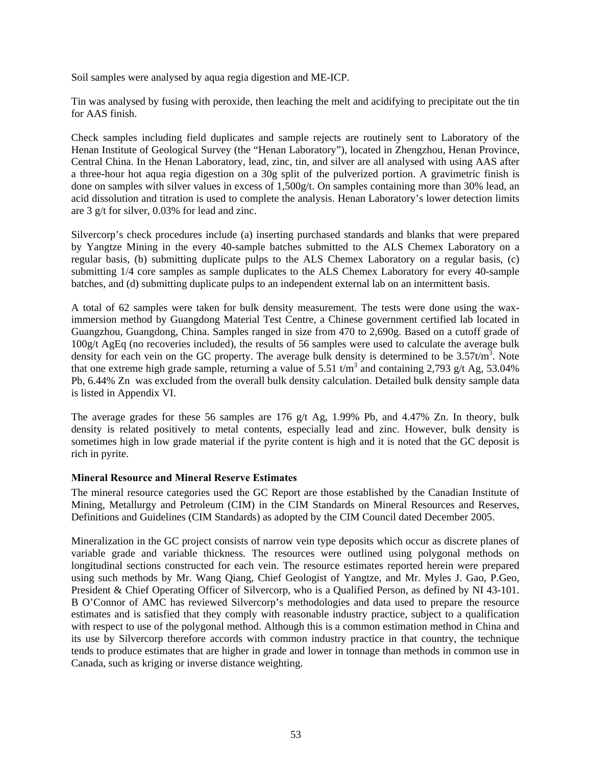Soil samples were analysed by aqua regia digestion and ME-ICP.

Tin was analysed by fusing with peroxide, then leaching the melt and acidifying to precipitate out the tin for AAS finish.

Check samples including field duplicates and sample rejects are routinely sent to Laboratory of the Henan Institute of Geological Survey (the "Henan Laboratory"), located in Zhengzhou, Henan Province, Central China. In the Henan Laboratory, lead, zinc, tin, and silver are all analysed with using AAS after a three-hour hot aqua regia digestion on a 30g split of the pulverized portion. A gravimetric finish is done on samples with silver values in excess of 1,500g/t. On samples containing more than 30% lead, an acid dissolution and titration is used to complete the analysis. Henan Laboratory's lower detection limits are 3 g/t for silver, 0.03% for lead and zinc.

Silvercorp's check procedures include (a) inserting purchased standards and blanks that were prepared by Yangtze Mining in the every 40-sample batches submitted to the ALS Chemex Laboratory on a regular basis, (b) submitting duplicate pulps to the ALS Chemex Laboratory on a regular basis, (c) submitting  $1/4$  core samples as sample duplicates to the ALS Chemex Laboratory for every 40-sample batches, and (d) submitting duplicate pulps to an independent external lab on an intermittent basis.

A total of 62 samples were taken for bulk density measurement. The tests were done using the waximmersion method by Guangdong Material Test Centre, a Chinese government certified lab located in Guangzhou, Guangdong, China. Samples ranged in size from 470 to 2,690g. Based on a cutoff grade of 100g/t AgEq (no recoveries included), the results of 56 samples were used to calculate the average bulk density for each vein on the GC property. The average bulk density is determined to be  $3.57t/m^3$ . Note that one extreme high grade sample, returning a value of 5.51  $t/m<sup>3</sup>$  and containing 2,793 g/t Ag, 53.04% Pb, 6.44% Zn was excluded from the overall bulk density calculation. Detailed bulk density sample data is listed in Appendix VI.

The average grades for these 56 samples are 176 g/t Ag, 1.99% Pb, and 4.47% Zn. In theory, bulk density is related positively to metal contents, especially lead and zinc. However, bulk density is sometimes high in low grade material if the pyrite content is high and it is noted that the GC deposit is rich in pyrite.

#### **Mineral Resource and Mineral Reserve Estimates**

The mineral resource categories used the GC Report are those established by the Canadian Institute of Mining, Metallurgy and Petroleum (CIM) in the CIM Standards on Mineral Resources and Reserves, Definitions and Guidelines (CIM Standards) as adopted by the CIM Council dated December 2005.

Mineralization in the GC project consists of narrow vein type deposits which occur as discrete planes of variable grade and variable thickness. The resources were outlined using polygonal methods on longitudinal sections constructed for each vein. The resource estimates reported herein were prepared using such methods by Mr. Wang Qiang, Chief Geologist of Yangtze, and Mr. Myles J. Gao, P.Geo, President & Chief Operating Officer of Silvercorp, who is a Qualified Person, as defined by NI 43-101. B O'Connor of AMC has reviewed Silvercorp's methodologies and data used to prepare the resource estimates and is satisfied that they comply with reasonable industry practice, subject to a qualification with respect to use of the polygonal method. Although this is a common estimation method in China and its use by Silvercorp therefore accords with common industry practice in that country, the technique tends to produce estimates that are higher in grade and lower in tonnage than methods in common use in Canada, such as kriging or inverse distance weighting.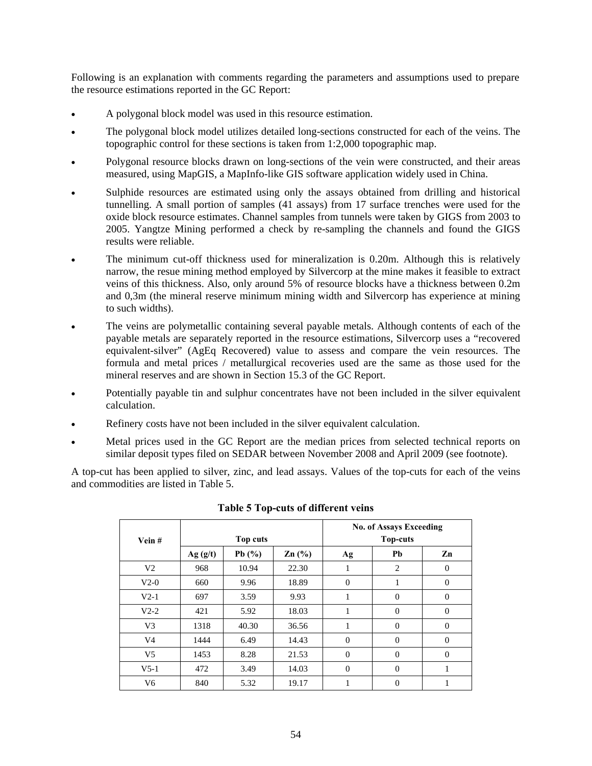Following is an explanation with comments regarding the parameters and assumptions used to prepare the resource estimations reported in the GC Report:

- A polygonal block model was used in this resource estimation.
- The polygonal block model utilizes detailed long-sections constructed for each of the veins. The topographic control for these sections is taken from 1:2,000 topographic map.
- Polygonal resource blocks drawn on long-sections of the vein were constructed, and their areas measured, using MapGIS, a MapInfo-like GIS software application widely used in China.
- Sulphide resources are estimated using only the assays obtained from drilling and historical tunnelling. A small portion of samples (41 assays) from 17 surface trenches were used for the oxide block resource estimates. Channel samples from tunnels were taken by GIGS from 2003 to 2005. Yangtze Mining performed a check by re-sampling the channels and found the GIGS results were reliable.
- The minimum cut-off thickness used for mineralization is 0.20m. Although this is relatively narrow, the resue mining method employed by Silvercorp at the mine makes it feasible to extract veins of this thickness. Also, only around 5% of resource blocks have a thickness between 0.2m and 0,3m (the mineral reserve minimum mining width and Silvercorp has experience at mining to such widths).
- The veins are polymetallic containing several payable metals. Although contents of each of the payable metals are separately reported in the resource estimations, Silvercorp uses a "recovered equivalent-silver" (AgEq Recovered) value to assess and compare the vein resources. The formula and metal prices / metallurgical recoveries used are the same as those used for the mineral reserves and are shown in Section 15.3 of the GC Report.
- Potentially payable tin and sulphur concentrates have not been included in the silver equivalent calculation.
- Refinery costs have not been included in the silver equivalent calculation.
- Metal prices used in the GC Report are the median prices from selected technical reports on similar deposit types filed on SEDAR between November 2008 and April 2009 (see footnote).

A top-cut has been applied to silver, zinc, and lead assays. Values of the top-cuts for each of the veins and commodities are listed in Table 5.

| Vein#          |         | Top cuts |                   |                | <b>No. of Assays Exceeding</b><br><b>Top-cuts</b> |              |
|----------------|---------|----------|-------------------|----------------|---------------------------------------------------|--------------|
|                | Ag(g/t) | Pb $(%$  | $\mathbf{Zn}$ (%) | Ag             | Pb                                                | Zn           |
| V <sub>2</sub> | 968     | 10.94    | 22.30             | 1              | 2                                                 | $\Omega$     |
| $V2-0$         | 660     | 9.96     | 18.89             | $\theta$       | 1                                                 | $\Omega$     |
| $V2-1$         | 697     | 3.59     | 9.93              | 1              | $\Omega$                                          | $\Omega$     |
| $V2-2$         | 421     | 5.92     | 18.03             | 1              | $\overline{0}$                                    | $\mathbf{0}$ |
| V <sub>3</sub> | 1318    | 40.30    | 36.56             | 1              | $\overline{0}$                                    | $\mathbf{0}$ |
| V <sub>4</sub> | 1444    | 6.49     | 14.43             | $\overline{0}$ | $\overline{0}$                                    | $\mathbf{0}$ |
| V <sub>5</sub> | 1453    | 8.28     | 21.53             | $\overline{0}$ | $\overline{0}$                                    | $\mathbf{0}$ |
| $V5-1$         | 472     | 3.49     | 14.03             | $\overline{0}$ | $\overline{0}$                                    | 1            |
| V <sub>6</sub> | 840     | 5.32     | 19.17             | 1              | $\overline{0}$                                    | 1            |

### **Table 5 Top-cuts of different veins**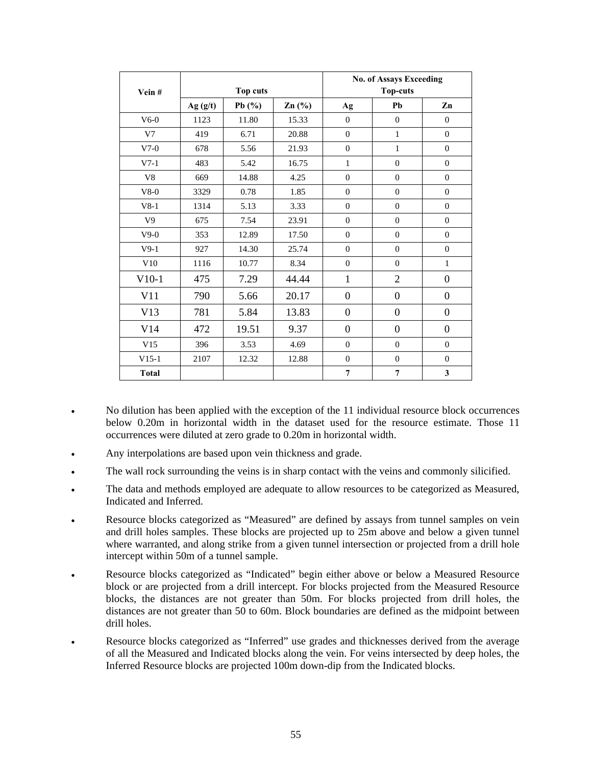| Vein#          | Top cuts |            |       |                  | <b>No. of Assays Exceeding</b><br><b>Top-cuts</b> |                  |
|----------------|----------|------------|-------|------------------|---------------------------------------------------|------------------|
|                | Ag(g/t)  | Pb $(\% )$ | Zn(%) | Ag               | Pb                                                | Zn               |
| $V6-0$         | 1123     | 11.80      | 15.33 | $\theta$         | $\overline{0}$                                    | $\mathbf{0}$     |
| V7             | 419      | 6.71       | 20.88 | $\boldsymbol{0}$ | $\mathbf{1}$                                      | $\boldsymbol{0}$ |
| $V7-0$         | 678      | 5.56       | 21.93 | $\overline{0}$   | $\mathbf{1}$                                      | $\overline{0}$   |
| $V7-1$         | 483      | 5.42       | 16.75 | $\mathbf{1}$     | $\overline{0}$                                    | $\mathbf{0}$     |
| V8             | 669      | 14.88      | 4.25  | $\overline{0}$   | $\overline{0}$                                    | $\mathbf{0}$     |
| $V8-0$         | 3329     | 0.78       | 1.85  | $\overline{0}$   | $\overline{0}$                                    | $\mathbf{0}$     |
| $V8-1$         | 1314     | 5.13       | 3.33  | $\overline{0}$   | $\overline{0}$                                    | $\mathbf{0}$     |
| V <sub>9</sub> | 675      | 7.54       | 23.91 | $\Omega$         | $\theta$                                          | $\mathbf{0}$     |
| $V9-0$         | 353      | 12.89      | 17.50 | $\overline{0}$   | $\overline{0}$                                    | $\overline{0}$   |
| $V9-1$         | 927      | 14.30      | 25.74 | $\theta$         | $\overline{0}$                                    | $\mathbf{0}$     |
| V10            | 1116     | 10.77      | 8.34  | $\theta$         | $\overline{0}$                                    | $\mathbf{1}$     |
| $V10-1$        | 475      | 7.29       | 44.44 | $\mathbf{1}$     | $\overline{2}$                                    | $\boldsymbol{0}$ |
| V11            | 790      | 5.66       | 20.17 | $\boldsymbol{0}$ | $\boldsymbol{0}$                                  | $\boldsymbol{0}$ |
| V13            | 781      | 5.84       | 13.83 | $\boldsymbol{0}$ | $\boldsymbol{0}$                                  | $\boldsymbol{0}$ |
| V14            | 472      | 19.51      | 9.37  | $\boldsymbol{0}$ | $\theta$                                          | $\boldsymbol{0}$ |
| V15            | 396      | 3.53       | 4.69  | $\overline{0}$   | $\mathbf{0}$                                      | $\mathbf{0}$     |
| $V15-1$        | 2107     | 12.32      | 12.88 | $\theta$         | $\overline{0}$                                    | $\mathbf{0}$     |
| <b>Total</b>   |          |            |       | 7                | $\overline{7}$                                    | $\mathbf{3}$     |

- No dilution has been applied with the exception of the 11 individual resource block occurrences below 0.20m in horizontal width in the dataset used for the resource estimate. Those 11 occurrences were diluted at zero grade to 0.20m in horizontal width.
- Any interpolations are based upon vein thickness and grade.
- The wall rock surrounding the veins is in sharp contact with the veins and commonly silicified.
- The data and methods employed are adequate to allow resources to be categorized as Measured, Indicated and Inferred.
- Resource blocks categorized as "Measured" are defined by assays from tunnel samples on vein and drill holes samples. These blocks are projected up to 25m above and below a given tunnel where warranted, and along strike from a given tunnel intersection or projected from a drill hole intercept within 50m of a tunnel sample.
- Resource blocks categorized as "Indicated" begin either above or below a Measured Resource block or are projected from a drill intercept. For blocks projected from the Measured Resource blocks, the distances are not greater than 50m. For blocks projected from drill holes, the distances are not greater than 50 to 60m. Block boundaries are defined as the midpoint between drill holes.
- Resource blocks categorized as "Inferred" use grades and thicknesses derived from the average of all the Measured and Indicated blocks along the vein. For veins intersected by deep holes, the Inferred Resource blocks are projected 100m down-dip from the Indicated blocks.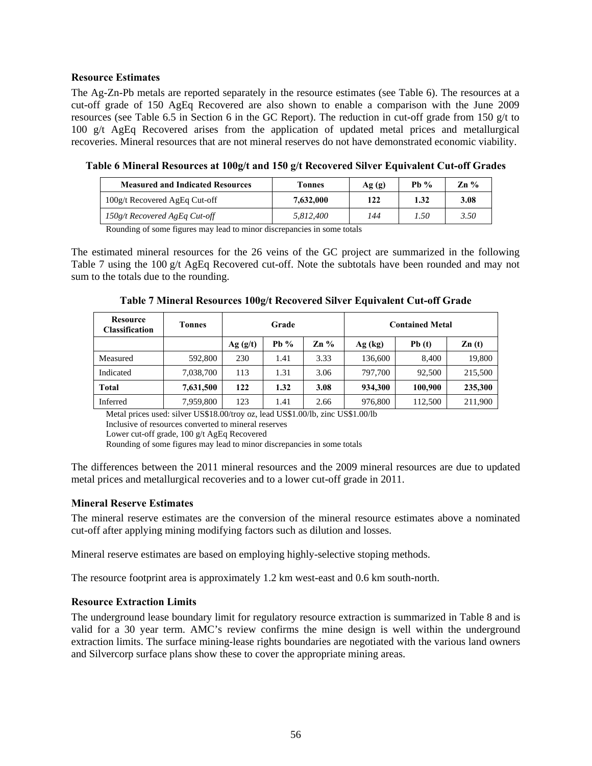#### **Resource Estimates**

The Ag-Zn-Pb metals are reported separately in the resource estimates (see Table 6). The resources at a cut-off grade of 150 AgEq Recovered are also shown to enable a comparison with the June 2009 resources (see Table 6.5 in Section 6 in the GC Report). The reduction in cut-off grade from 150 g/t to 100  $g/t$  AgEq Recovered arises from the application of updated metal prices and metallurgical recoveries. Mineral resources that are not mineral reserves do not have demonstrated economic viability.

| <b>Measured and Indicated Resources</b> | Tonnes    | Ag(g) | Ph $\%$ | Zn % |
|-----------------------------------------|-----------|-------|---------|------|
| 100g/t Recovered AgEq Cut-off           | 7,632,000 | 122   | 1.32    | 3.08 |
| $150g/t$ Recovered AgEq Cut-off         | 5.812.400 | 144   | 1.50    | 3.50 |

**Table 6 Mineral Resources at 100g/t and 150 g/t Recovered Silver Equivalent Cut-off Grades** 

Rounding of some figures may lead to minor discrepancies in some totals

The estimated mineral resources for the 26 veins of the GC project are summarized in the following Table 7 using the 100 g/t AgEq Recovered cut-off. Note the subtotals have been rounded and may not sum to the totals due to the rounding.

| Table 7 Mineral Resources 100g/t Recovered Silver Equivalent Cut-off Grade |  |
|----------------------------------------------------------------------------|--|
|                                                                            |  |

| <b>Resource</b><br><b>Classification</b> | <b>Tonnes</b> | Grade   |        | <b>Contained Metal</b>    |         |         |                   |
|------------------------------------------|---------------|---------|--------|---------------------------|---------|---------|-------------------|
|                                          |               | Ag(g/t) | Pb $%$ | $\mathbb{Z} \mathbf{n}$ % | Ag (kg) | Pb(t)   | $\mathbf{Zn}$ (t) |
| Measured                                 | 592,800       | 230     | 1.41   | 3.33                      | 136,600 | 8.400   | 19,800            |
| Indicated                                | 7,038,700     | 113     | 1.31   | 3.06                      | 797,700 | 92,500  | 215,500           |
| <b>Total</b>                             | 7,631,500     | 122     | 1.32   | 3.08                      | 934,300 | 100,900 | 235,300           |
| Inferred                                 | 7,959,800     | 123     | 1.41   | 2.66                      | 976,800 | 112,500 | 211,900           |

Metal prices used: silver US\$18.00/troy oz, lead US\$1.00/lb, zinc US\$1.00/lb

Inclusive of resources converted to mineral reserves

Lower cut-off grade, 100 g/t AgEq Recovered

Rounding of some figures may lead to minor discrepancies in some totals

The differences between the 2011 mineral resources and the 2009 mineral resources are due to updated metal prices and metallurgical recoveries and to a lower cut-off grade in 2011.

#### **Mineral Reserve Estimates**

The mineral reserve estimates are the conversion of the mineral resource estimates above a nominated cut-off after applying mining modifying factors such as dilution and losses.

Mineral reserve estimates are based on employing highly-selective stoping methods.

The resource footprint area is approximately 1.2 km west-east and 0.6 km south-north.

#### **Resource Extraction Limits**

The underground lease boundary limit for regulatory resource extraction is summarized in Table 8 and is valid for a 30 year term. AMC's review confirms the mine design is well within the underground extraction limits. The surface mining-lease rights boundaries are negotiated with the various land owners and Silvercorp surface plans show these to cover the appropriate mining areas.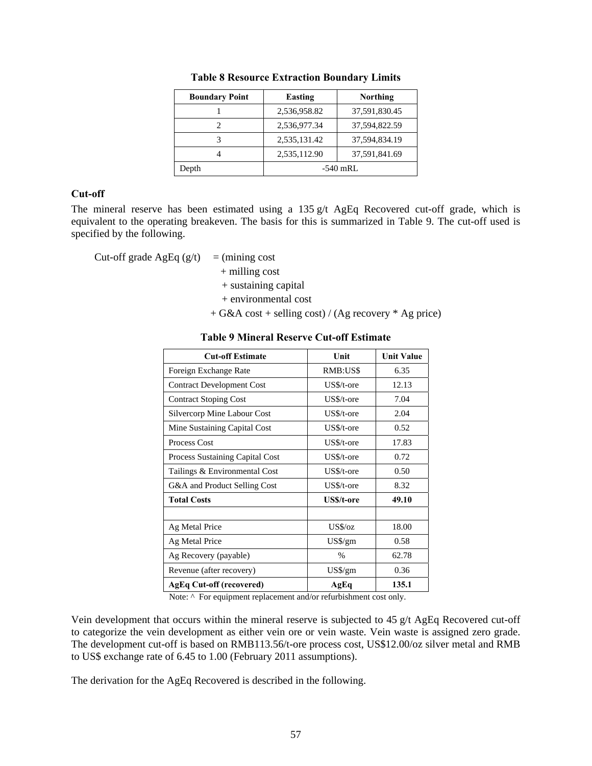| <b>Boundary Point</b> | Easting      | <b>Northing</b> |  |
|-----------------------|--------------|-----------------|--|
|                       | 2,536,958.82 | 37,591,830.45   |  |
| 2                     | 2,536,977.34 | 37,594,822.59   |  |
|                       | 2,535,131.42 | 37,594,834.19   |  |
|                       | 2,535,112.90 | 37,591,841.69   |  |
| Depth                 | $-540$ mRL   |                 |  |

**Table 8 Resource Extraction Boundary Limits** 

#### **Cut-off**

The mineral reserve has been estimated using a 135 g/t AgEq Recovered cut-off grade, which is equivalent to the operating breakeven. The basis for this is summarized in Table 9. The cut-off used is specified by the following.

Cut-off grade AgEq  $(g/t)$  = (mining cost

+ milling cost

+ sustaining capital

- + environmental cost
- + G&A cost + selling cost) / (Ag recovery \* Ag price)

#### **Table 9 Mineral Reserve Cut-off Estimate**

| <b>Cut-off Estimate</b>            | Unit             | <b>Unit Value</b> |
|------------------------------------|------------------|-------------------|
| Foreign Exchange Rate              | RMB:US\$         | 6.35              |
| <b>Contract Development Cost</b>   | US\$/t-ore       | 12.13             |
| <b>Contract Stoping Cost</b>       | $US\$ /t-ore     | 7.04              |
| <b>Silvercorp Mine Labour Cost</b> | US\$/t-ore       | 2.04              |
| Mine Sustaining Capital Cost       | US\$/t-ore       | 0.52              |
| Process Cost                       | $US\$ /t-ore     | 17.83             |
| Process Sustaining Capital Cost    | $US\$ /t-ore     | 0.72              |
| Tailings & Environmental Cost      | US\$/t-ore       | 0.50              |
| G&A and Product Selling Cost       | $US\$ /t-ore     | 8.32              |
| <b>Total Costs</b>                 | US\$/t-ore       | 49.10             |
|                                    |                  |                   |
| Ag Metal Price                     | US\$/oz          | 18.00             |
| Ag Metal Price                     | $US\$ /gm        | 0.58              |
| Ag Recovery (payable)              | %                | 62.78             |
| Revenue (after recovery)           | $US\frac{g}{gm}$ | 0.36              |
| <b>AgEq Cut-off (recovered)</b>    | AgEq             | 135.1             |

Note: ^ For equipment replacement and/or refurbishment cost only.

Vein development that occurs within the mineral reserve is subjected to 45 g/t AgEq Recovered cut-off to categorize the vein development as either vein ore or vein waste. Vein waste is assigned zero grade. The development cut-off is based on RMB113.56/t-ore process cost, US\$12.00/oz silver metal and RMB to US\$ exchange rate of 6.45 to 1.00 (February 2011 assumptions).

The derivation for the AgEq Recovered is described in the following.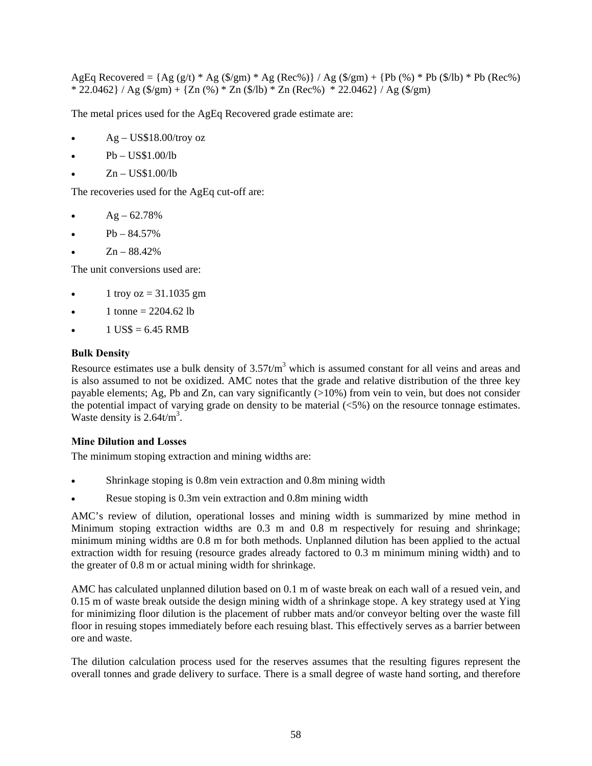AgEq Recovered =  ${Ag (g/t) * Ag ($/gm) * Ag (Rec%) } / Ag ($/gm) + {Pb (%) * Pb ($/b) * Pb (Rec%) }$ \* 22.0462} / Ag (\$/gm) + {Zn (%) \* Zn (\$/lb) \* Zn (Rec%) \* 22.0462} / Ag (\$/gm)

The metal prices used for the AgEq Recovered grade estimate are:

- Ag US\$18.00/troy oz
- Pb US\$1.00/lb
- Zn US\$1.00/lb

The recoveries used for the AgEq cut-off are:

- $Ag 62.78%$
- Pb 84.57%
- Zn 88.42%

The unit conversions used are:

- $1 \text{ troy oz} = 31.1035 \text{ gm}$
- 1 tonne =  $2204.62$  lb
- $1$  US\$ = 6.45 RMB

#### **Bulk Density**

Resource estimates use a bulk density of  $3.57t/m<sup>3</sup>$  which is assumed constant for all veins and areas and is also assumed to not be oxidized. AMC notes that the grade and relative distribution of the three key payable elements; Ag, Pb and Zn, can vary significantly (>10%) from vein to vein, but does not consider the potential impact of varying grade on density to be material  $\langle 5\% \rangle$  on the resource tonnage estimates. Waste density is  $2.64t/m^3$ .

#### **Mine Dilution and Losses**

The minimum stoping extraction and mining widths are:

- Shrinkage stoping is 0.8m vein extraction and 0.8m mining width
- Resue stoping is 0.3m vein extraction and 0.8m mining width

AMC's review of dilution, operational losses and mining width is summarized by mine method in Minimum stoping extraction widths are 0.3 m and 0.8 m respectively for resuing and shrinkage; minimum mining widths are 0.8 m for both methods. Unplanned dilution has been applied to the actual extraction width for resuing (resource grades already factored to 0.3 m minimum mining width) and to the greater of 0.8 m or actual mining width for shrinkage.

AMC has calculated unplanned dilution based on 0.1 m of waste break on each wall of a resued vein, and 0.15 m of waste break outside the design mining width of a shrinkage stope. A key strategy used at Ying for minimizing floor dilution is the placement of rubber mats and/or conveyor belting over the waste fill floor in resuing stopes immediately before each resuing blast. This effectively serves as a barrier between ore and waste.

The dilution calculation process used for the reserves assumes that the resulting figures represent the overall tonnes and grade delivery to surface. There is a small degree of waste hand sorting, and therefore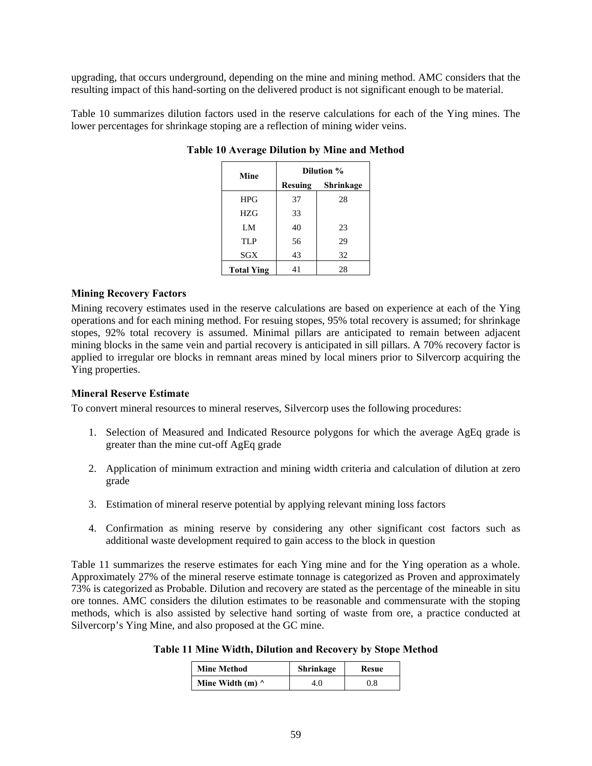upgrading, that occurs underground, depending on the mine and mining method. AMC considers that the resulting impact of this hand-sorting on the delivered product is not significant enough to be material.

Table 10 summarizes dilution factors used in the reserve calculations for each of the Ying mines. The lower percentages for shrinkage stoping are a reflection of mining wider veins.

| Mine              |                | Dilution % |
|-------------------|----------------|------------|
|                   | <b>Resuing</b> | Shrinkage  |
| <b>HPG</b>        | 37             | 28         |
| HZG               | 33             |            |
| LM                | 40             | 23         |
| TLP               | 56             | 29         |
| SGX               | 43             | 32         |
| <b>Total Ying</b> | 41             | 28         |

**Table 10 Average Dilution by Mine and Method** 

#### **Mining Recovery Factors**

Mining recovery estimates used in the reserve calculations are based on experience at each of the Ying operations and for each mining method. For resuing stopes, 95% total recovery is assumed; for shrinkage stopes, 92% total recovery is assumed. Minimal pillars are anticipated to remain between adjacent mining blocks in the same vein and partial recovery is anticipated in sill pillars. A 70% recovery factor is applied to irregular ore blocks in remnant areas mined by local miners prior to Silvercorp acquiring the Ying properties.

#### **Mineral Reserve Estimate**

To convert mineral resources to mineral reserves, Silvercorp uses the following procedures:

- 1. Selection of Measured and Indicated Resource polygons for which the average AgEq grade is greater than the mine cut-off AgEq grade
- 2. Application of minimum extraction and mining width criteria and calculation of dilution at zero grade
- 3. Estimation of mineral reserve potential by applying relevant mining loss factors
- 4. Confirmation as mining reserve by considering any other significant cost factors such as additional waste development required to gain access to the block in question

Table 11 summarizes the reserve estimates for each Ying mine and for the Ying operation as a whole. Approximately 27% of the mineral reserve estimate tonnage is categorized as Proven and approximately 73% is categorized as Probable. Dilution and recovery are stated as the percentage of the mineable in situ ore tonnes. AMC considers the dilution estimates to be reasonable and commensurate with the stoping methods, which is also assisted by selective hand sorting of waste from ore, a practice conducted at Silvercorp's Ying Mine, and also proposed at the GC mine.

**Table 11 Mine Width, Dilution and Recovery by Stope Method** 

| <b>Mine Method</b>      | Shrinkage | Resue |
|-------------------------|-----------|-------|
| Mine Width (m) $\wedge$ | 4.0       | 0.8   |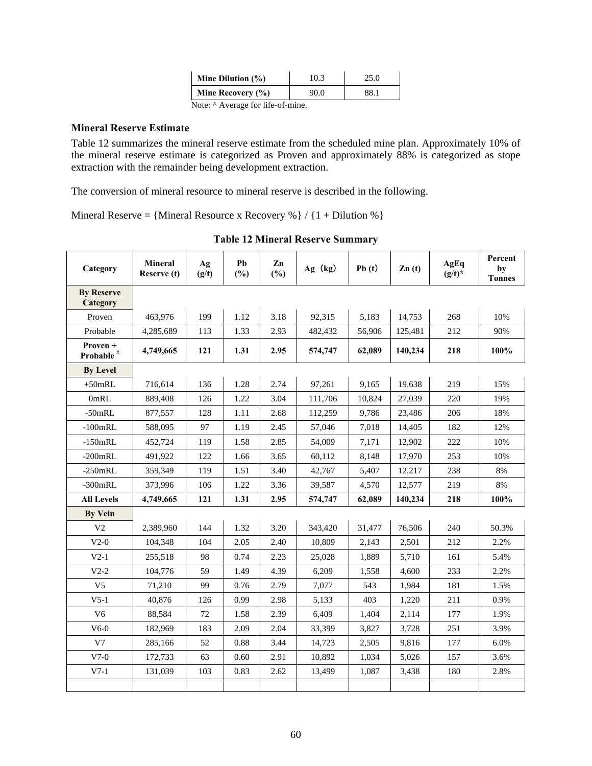| Mine Dilution $(\% )$ | 10.3 | 25.0 |
|-----------------------|------|------|
| Mine Recovery (%)     | 90.0 | 88.1 |
| <b>AT. AA</b>         |      |      |

Note: ^ Average for life-of-mine.

#### **Mineral Reserve Estimate**

Table 12 summarizes the mineral reserve estimate from the scheduled mine plan. Approximately 10% of the mineral reserve estimate is categorized as Proven and approximately 88% is categorized as stope extraction with the remainder being development extraction.

The conversion of mineral resource to mineral reserve is described in the following.

Mineral Reserve = {Mineral Resource x Recovery %} / { $1 + 1$  Dilution %}

| Category                          | <b>Mineral</b><br>Reserve (t) | Ag<br>(g/t) | Pb<br>(%) | Zn<br>(%) | Ag (kg) | Pb(t)  | $\mathbf{Zn}$ (t) | AgEq<br>$(g/t)^*$ | Percent<br>by<br><b>Tonnes</b> |
|-----------------------------------|-------------------------------|-------------|-----------|-----------|---------|--------|-------------------|-------------------|--------------------------------|
| <b>By Reserve</b><br>Category     |                               |             |           |           |         |        |                   |                   |                                |
| Proven                            | 463,976                       | 199         | 1.12      | 3.18      | 92,315  | 5,183  | 14,753            | 268               | 10%                            |
| Probable                          | 4,285,689                     | 113         | 1.33      | 2.93      | 482,432 | 56,906 | 125,481           | 212               | 90%                            |
| Proven +<br>Probable <sup>#</sup> | 4,749,665                     | 121         | 1.31      | 2.95      | 574,747 | 62,089 | 140,234           | 218               | 100%                           |
| <b>By Level</b>                   |                               |             |           |           |         |        |                   |                   |                                |
| $+50$ mRL                         | 716,614                       | 136         | 1.28      | 2.74      | 97,261  | 9.165  | 19,638            | 219               | 15%                            |
| 0mRL                              | 889,408                       | 126         | 1.22      | 3.04      | 111,706 | 10,824 | 27.039            | 220               | 19%                            |
| $-50$ mRL                         | 877,557                       | 128         | 1.11      | 2.68      | 112,259 | 9,786  | 23,486            | 206               | 18%                            |
| $-100$ m $RL$                     | 588,095                       | 97          | 1.19      | 2.45      | 57,046  | 7,018  | 14,405            | 182               | 12%                            |
| $-150$ mRL                        | 452,724                       | 119         | 1.58      | 2.85      | 54,009  | 7,171  | 12,902            | 222               | 10%                            |
| $-200$ mRL                        | 491,922                       | 122         | 1.66      | 3.65      | 60,112  | 8,148  | 17,970            | 253               | 10%                            |
| $-250$ mRL                        | 359,349                       | 119         | 1.51      | 3.40      | 42,767  | 5,407  | 12,217            | 238               | 8%                             |
| $-300$ mRL                        | 373,996                       | 106         | 1.22      | 3.36      | 39,587  | 4,570  | 12,577            | 219               | 8%                             |
| <b>All Levels</b>                 | 4,749,665                     | 121         | 1.31      | 2.95      | 574,747 | 62,089 | 140,234           | 218               | 100%                           |
| <b>By Vein</b>                    |                               |             |           |           |         |        |                   |                   |                                |
| V <sub>2</sub>                    | 2,389,960                     | 144         | 1.32      | 3.20      | 343,420 | 31,477 | 76,506            | 240               | 50.3%                          |
| $V2-0$                            | 104,348                       | 104         | 2.05      | 2.40      | 10,809  | 2,143  | 2,501             | 212               | 2.2%                           |
| $V2-1$                            | 255,518                       | 98          | 0.74      | 2.23      | 25,028  | 1,889  | 5,710             | 161               | 5.4%                           |
| $V2-2$                            | 104,776                       | 59          | 1.49      | 4.39      | 6,209   | 1,558  | 4,600             | 233               | 2.2%                           |
| V <sub>5</sub>                    | 71,210                        | 99          | 0.76      | 2.79      | 7,077   | 543    | 1,984             | 181               | 1.5%                           |
| $V5-1$                            | 40.876                        | 126         | 0.99      | 2.98      | 5,133   | 403    | 1,220             | 211               | 0.9%                           |
| V <sub>6</sub>                    | 88,584                        | 72          | 1.58      | 2.39      | 6,409   | 1,404  | 2,114             | 177               | 1.9%                           |
| $V6-0$                            | 182,969                       | 183         | 2.09      | 2.04      | 33,399  | 3,827  | 3,728             | 251               | 3.9%                           |
| V7                                | 285,166                       | 52          | 0.88      | 3.44      | 14,723  | 2,505  | 9,816             | 177               | 6.0%                           |
| $V7-0$                            | 172,733                       | 63          | 0.60      | 2.91      | 10,892  | 1,034  | 5,026             | 157               | 3.6%                           |
| $V7-1$                            | 131.039                       | 103         | 0.83      | 2.62      | 13,499  | 1,087  | 3,438             | 180               | 2.8%                           |
|                                   |                               |             |           |           |         |        |                   |                   |                                |

**Table 12 Mineral Reserve Summary**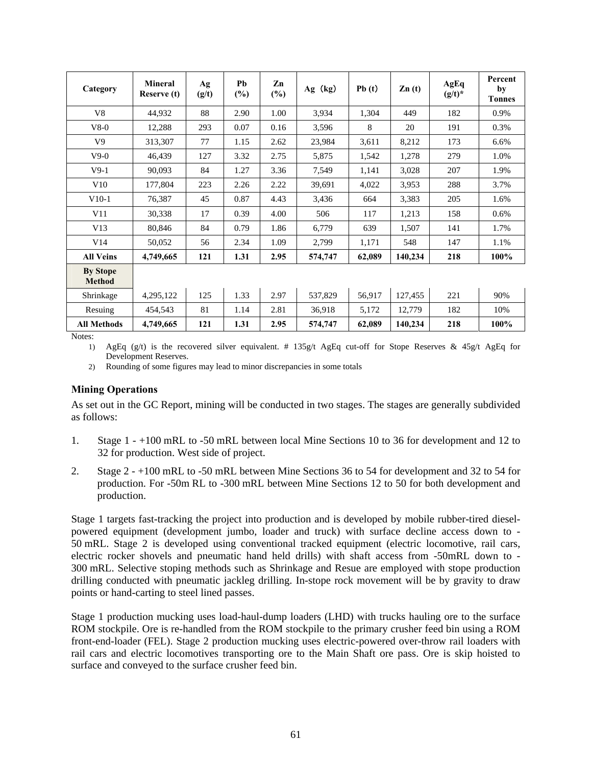| Category                         | Mineral<br>Reserve (t) | Ag<br>(g/t) | Pb<br>$(\%)$ | Zn<br>$(\%)$ | Ag (kg) | Pb(t)  | $\mathbf{Zn}$ (t) | AgEq<br>$(g/t)^*$ | Percent<br>by<br><b>Tonnes</b> |
|----------------------------------|------------------------|-------------|--------------|--------------|---------|--------|-------------------|-------------------|--------------------------------|
| V8                               | 44,932                 | 88          | 2.90         | 1.00         | 3,934   | 1,304  | 449               | 182               | 0.9%                           |
| $V8-0$                           | 12,288                 | 293         | 0.07         | 0.16         | 3,596   | 8      | 20                | 191               | 0.3%                           |
| V <sub>9</sub>                   | 313,307                | 77          | 1.15         | 2.62         | 23,984  | 3,611  | 8,212             | 173               | 6.6%                           |
| $V9-0$                           | 46,439                 | 127         | 3.32         | 2.75         | 5,875   | 1,542  | 1,278             | 279               | 1.0%                           |
| $V9-1$                           | 90,093                 | 84          | 1.27         | 3.36         | 7,549   | 1,141  | 3,028             | 207               | 1.9%                           |
| V10                              | 177,804                | 223         | 2.26         | 2.22         | 39,691  | 4,022  | 3,953             | 288               | 3.7%                           |
| $V10-1$                          | 76,387                 | 45          | 0.87         | 4.43         | 3,436   | 664    | 3,383             | 205               | 1.6%                           |
| V11                              | 30,338                 | 17          | 0.39         | 4.00         | 506     | 117    | 1,213             | 158               | 0.6%                           |
| V13                              | 80,846                 | 84          | 0.79         | 1.86         | 6,779   | 639    | 1,507             | 141               | 1.7%                           |
| V14                              | 50,052                 | 56          | 2.34         | 1.09         | 2,799   | 1,171  | 548               | 147               | 1.1%                           |
| <b>All Veins</b>                 | 4,749,665              | 121         | 1.31         | 2.95         | 574,747 | 62,089 | 140,234           | 218               | 100%                           |
| <b>By Stope</b><br><b>Method</b> |                        |             |              |              |         |        |                   |                   |                                |
| Shrinkage                        | 4,295,122              | 125         | 1.33         | 2.97         | 537,829 | 56,917 | 127,455           | 221               | 90%                            |
| Resuing                          | 454,543                | 81          | 1.14         | 2.81         | 36,918  | 5,172  | 12,779            | 182               | 10%                            |
| <b>All Methods</b>               | 4,749,665              | 121         | 1.31         | 2.95         | 574,747 | 62,089 | 140,234           | 218               | 100%                           |

Notes:

1) AgEq (g/t) is the recovered silver equivalent. # 135g/t AgEq cut-off for Stope Reserves & 45g/t AgEq for Development Reserves.

2) Rounding of some figures may lead to minor discrepancies in some totals

#### **Mining Operations**

As set out in the GC Report, mining will be conducted in two stages. The stages are generally subdivided as follows:

- 1. Stage 1 +100 mRL to -50 mRL between local Mine Sections 10 to 36 for development and 12 to 32 for production. West side of project.
- 2. Stage 2 +100 mRL to -50 mRL between Mine Sections 36 to 54 for development and 32 to 54 for production. For -50m RL to -300 mRL between Mine Sections 12 to 50 for both development and production.

Stage 1 targets fast-tracking the project into production and is developed by mobile rubber-tired dieselpowered equipment (development jumbo, loader and truck) with surface decline access down to - 50 mRL. Stage 2 is developed using conventional tracked equipment (electric locomotive, rail cars, electric rocker shovels and pneumatic hand held drills) with shaft access from -50mRL down to - 300 mRL. Selective stoping methods such as Shrinkage and Resue are employed with stope production drilling conducted with pneumatic jackleg drilling. In-stope rock movement will be by gravity to draw points or hand-carting to steel lined passes.

Stage 1 production mucking uses load-haul-dump loaders (LHD) with trucks hauling ore to the surface ROM stockpile. Ore is re-handled from the ROM stockpile to the primary crusher feed bin using a ROM front-end-loader (FEL). Stage 2 production mucking uses electric-powered over-throw rail loaders with rail cars and electric locomotives transporting ore to the Main Shaft ore pass. Ore is skip hoisted to surface and conveyed to the surface crusher feed bin.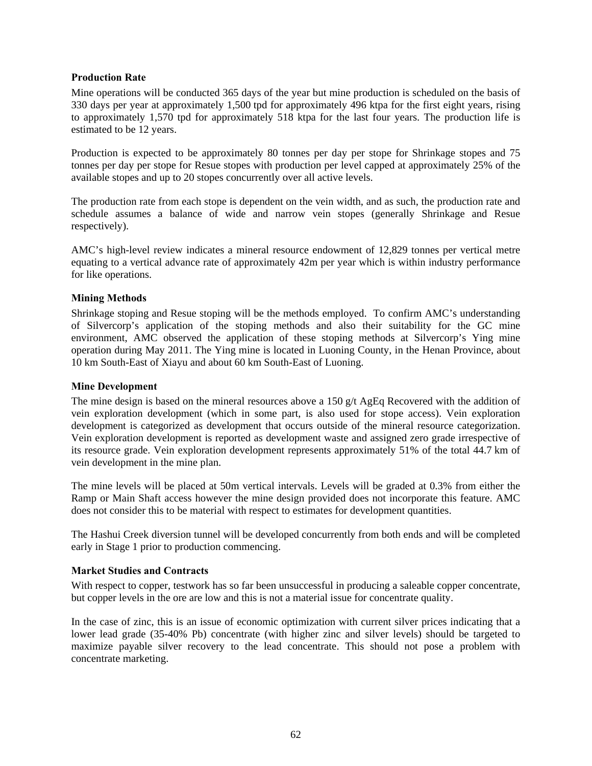### **Production Rate**

Mine operations will be conducted 365 days of the year but mine production is scheduled on the basis of 330 days per year at approximately 1,500 tpd for approximately 496 ktpa for the first eight years, rising to approximately 1,570 tpd for approximately 518 ktpa for the last four years. The production life is estimated to be 12 years.

Production is expected to be approximately 80 tonnes per day per stope for Shrinkage stopes and 75 tonnes per day per stope for Resue stopes with production per level capped at approximately 25% of the available stopes and up to 20 stopes concurrently over all active levels.

The production rate from each stope is dependent on the vein width, and as such, the production rate and schedule assumes a balance of wide and narrow vein stopes (generally Shrinkage and Resue respectively).

AMC's high-level review indicates a mineral resource endowment of 12,829 tonnes per vertical metre equating to a vertical advance rate of approximately 42m per year which is within industry performance for like operations.

#### **Mining Methods**

Shrinkage stoping and Resue stoping will be the methods employed. To confirm AMC's understanding of Silvercorp's application of the stoping methods and also their suitability for the GC mine environment, AMC observed the application of these stoping methods at Silvercorp's Ying mine operation during May 2011. The Ying mine is located in Luoning County, in the Henan Province, about 10 km South-East of Xiayu and about 60 km South-East of Luoning.

#### **Mine Development**

The mine design is based on the mineral resources above a 150 g/t AgEq Recovered with the addition of vein exploration development (which in some part, is also used for stope access). Vein exploration development is categorized as development that occurs outside of the mineral resource categorization. Vein exploration development is reported as development waste and assigned zero grade irrespective of its resource grade. Vein exploration development represents approximately 51% of the total 44.7 km of vein development in the mine plan.

The mine levels will be placed at 50m vertical intervals. Levels will be graded at 0.3% from either the Ramp or Main Shaft access however the mine design provided does not incorporate this feature. AMC does not consider this to be material with respect to estimates for development quantities.

The Hashui Creek diversion tunnel will be developed concurrently from both ends and will be completed early in Stage 1 prior to production commencing.

### **Market Studies and Contracts**

With respect to copper, testwork has so far been unsuccessful in producing a saleable copper concentrate, but copper levels in the ore are low and this is not a material issue for concentrate quality.

In the case of zinc, this is an issue of economic optimization with current silver prices indicating that a lower lead grade (35-40% Pb) concentrate (with higher zinc and silver levels) should be targeted to maximize payable silver recovery to the lead concentrate. This should not pose a problem with concentrate marketing.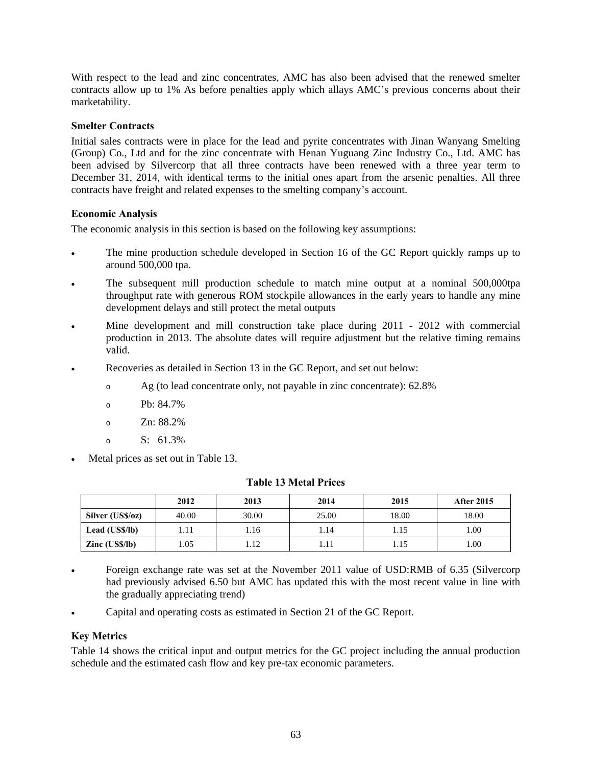With respect to the lead and zinc concentrates, AMC has also been advised that the renewed smelter contracts allow up to 1% As before penalties apply which allays AMC's previous concerns about their marketability.

### **Smelter Contracts**

Initial sales contracts were in place for the lead and pyrite concentrates with Jinan Wanyang Smelting (Group) Co., Ltd and for the zinc concentrate with Henan Yuguang Zinc Industry Co., Ltd. AMC has been advised by Silvercorp that all three contracts have been renewed with a three year term to December 31, 2014, with identical terms to the initial ones apart from the arsenic penalties. All three contracts have freight and related expenses to the smelting company's account.

#### **Economic Analysis**

The economic analysis in this section is based on the following key assumptions:

- The mine production schedule developed in Section 16 of the GC Report quickly ramps up to around 500,000 tpa.
- The subsequent mill production schedule to match mine output at a nominal 500,000tpa throughput rate with generous ROM stockpile allowances in the early years to handle any mine development delays and still protect the metal outputs
- Mine development and mill construction take place during 2011 2012 with commercial production in 2013. The absolute dates will require adjustment but the relative timing remains valid.
- Recoveries as detailed in Section 13 in the GC Report, and set out below:
	- o Ag (to lead concentrate only, not payable in zinc concentrate): 62.8%
	- o Pb: 84.7%
	- o Zn: 88.2%
	- $\circ$  S: 61.3%
- Metal prices as set out in Table 13.

|                         | 2012  | 2013  | 2014  | 2015  | <b>After 2015</b> |
|-------------------------|-------|-------|-------|-------|-------------------|
| Silver (US\$/oz)        | 40.00 | 30.00 | 25.00 | 18.00 | 18.00             |
| Lead (US\$/lb)          | 1.11  | 1.16  | 1.14  | l.15  | 1.00              |
| $\text{Zinc}$ (US\$/lb) | l.05  | 1.12  | 1.11  | l.15  | 1.00              |

#### **Table 13 Metal Prices**

- Foreign exchange rate was set at the November 2011 value of USD:RMB of 6.35 (Silvercorp had previously advised 6.50 but AMC has updated this with the most recent value in line with the gradually appreciating trend)
- Capital and operating costs as estimated in Section 21 of the GC Report.

### **Key Metrics**

Table 14 shows the critical input and output metrics for the GC project including the annual production schedule and the estimated cash flow and key pre-tax economic parameters.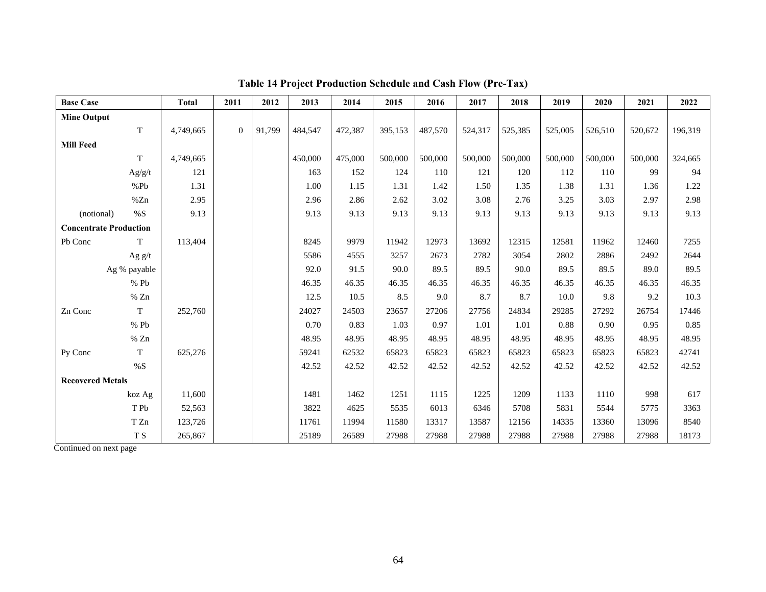| <b>Base Case</b>              |              | <b>Total</b> | 2011     | 2012   | 2013    | 2014    | 2015    | 2016    | 2017    | 2018    | 2019    | 2020    | 2021    | 2022    |
|-------------------------------|--------------|--------------|----------|--------|---------|---------|---------|---------|---------|---------|---------|---------|---------|---------|
| <b>Mine Output</b>            |              |              |          |        |         |         |         |         |         |         |         |         |         |         |
|                               | T            | 4,749,665    | $\Omega$ | 91,799 | 484,547 | 472,387 | 395,153 | 487,570 | 524,317 | 525,385 | 525,005 | 526,510 | 520,672 | 196,319 |
| <b>Mill Feed</b>              |              |              |          |        |         |         |         |         |         |         |         |         |         |         |
|                               | T            | 4,749,665    |          |        | 450,000 | 475,000 | 500,000 | 500,000 | 500,000 | 500,000 | 500,000 | 500,000 | 500,000 | 324,665 |
|                               | Ag/g/t       | 121          |          |        | 163     | 152     | 124     | 110     | 121     | 120     | 112     | 110     | 99      | 94      |
|                               | %Pb          | 1.31         |          |        | 1.00    | 1.15    | 1.31    | 1.42    | 1.50    | 1.35    | 1.38    | 1.31    | 1.36    | 1.22    |
|                               | %Zn          | 2.95         |          |        | 2.96    | 2.86    | 2.62    | 3.02    | 3.08    | 2.76    | 3.25    | 3.03    | 2.97    | 2.98    |
| (notional)                    | %S           | 9.13         |          |        | 9.13    | 9.13    | 9.13    | 9.13    | 9.13    | 9.13    | 9.13    | 9.13    | 9.13    | 9.13    |
| <b>Concentrate Production</b> |              |              |          |        |         |         |         |         |         |         |         |         |         |         |
| Pb Conc                       | T            | 113,404      |          |        | 8245    | 9979    | 11942   | 12973   | 13692   | 12315   | 12581   | 11962   | 12460   | 7255    |
|                               | Ag $g/t$     |              |          |        | 5586    | 4555    | 3257    | 2673    | 2782    | 3054    | 2802    | 2886    | 2492    | 2644    |
|                               | Ag % payable |              |          |        | 92.0    | 91.5    | 90.0    | 89.5    | 89.5    | 90.0    | 89.5    | 89.5    | 89.0    | 89.5    |
|                               | %Pb          |              |          |        | 46.35   | 46.35   | 46.35   | 46.35   | 46.35   | 46.35   | 46.35   | 46.35   | 46.35   | 46.35   |
|                               | $\%$ Zn      |              |          |        | 12.5    | 10.5    | 8.5     | 9.0     | 8.7     | 8.7     | 10.0    | 9.8     | 9.2     | 10.3    |
| Zn Conc                       | T            | 252,760      |          |        | 24027   | 24503   | 23657   | 27206   | 27756   | 24834   | 29285   | 27292   | 26754   | 17446   |
|                               | %Pb          |              |          |        | 0.70    | 0.83    | 1.03    | 0.97    | 1.01    | 1.01    | 0.88    | 0.90    | 0.95    | 0.85    |
|                               | % $Zn$       |              |          |        | 48.95   | 48.95   | 48.95   | 48.95   | 48.95   | 48.95   | 48.95   | 48.95   | 48.95   | 48.95   |
| Py Conc                       | T            | 625,276      |          |        | 59241   | 62532   | 65823   | 65823   | 65823   | 65823   | 65823   | 65823   | 65823   | 42741   |
|                               | $\% S$       |              |          |        | 42.52   | 42.52   | 42.52   | 42.52   | 42.52   | 42.52   | 42.52   | 42.52   | 42.52   | 42.52   |
| <b>Recovered Metals</b>       |              |              |          |        |         |         |         |         |         |         |         |         |         |         |
|                               | koz Ag       | 11,600       |          |        | 1481    | 1462    | 1251    | 1115    | 1225    | 1209    | 1133    | 1110    | 998     | 617     |
|                               | T Pb         | 52,563       |          |        | 3822    | 4625    | 5535    | 6013    | 6346    | 5708    | 5831    | 5544    | 5775    | 3363    |
|                               | T Zn         | 123,726      |          |        | 11761   | 11994   | 11580   | 13317   | 13587   | 12156   | 14335   | 13360   | 13096   | 8540    |
|                               | T S          | 265,867      |          |        | 25189   | 26589   | 27988   | 27988   | 27988   | 27988   | 27988   | 27988   | 27988   | 18173   |

**Table 14 Project Production Schedule and Cash Flow (Pre-Tax)** 

Continued on next page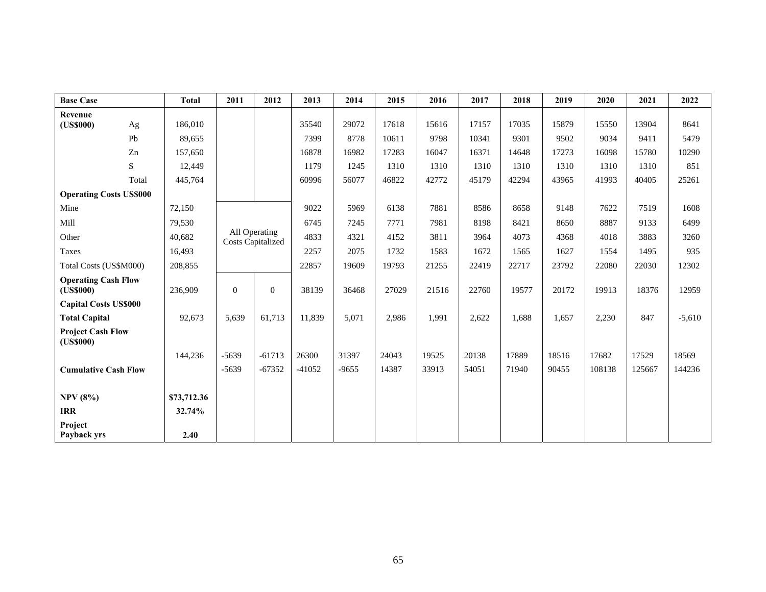| <b>Base Case</b>                        |           | <b>Total</b> | 2011                                      | 2012     | 2013     | 2014    | 2015  | 2016  | 2017  | 2018  | 2019  | 2020   | 2021   | 2022     |
|-----------------------------------------|-----------|--------------|-------------------------------------------|----------|----------|---------|-------|-------|-------|-------|-------|--------|--------|----------|
| Revenue<br>(US\$000)                    | Ag        | 186,010      |                                           |          | 35540    | 29072   | 17618 | 15616 | 17157 | 17035 | 15879 | 15550  | 13904  | 8641     |
|                                         | Pb        | 89,655       |                                           |          | 7399     | 8778    | 10611 | 9798  | 10341 | 9301  | 9502  | 9034   | 9411   | 5479     |
|                                         | Zn        | 157,650      |                                           |          | 16878    | 16982   | 17283 | 16047 | 16371 | 14648 | 17273 | 16098  | 15780  | 10290    |
|                                         | ${\bf S}$ | 12,449       |                                           |          | 1179     | 1245    | 1310  | 1310  | 1310  | 1310  | 1310  | 1310   | 1310   | 851      |
|                                         | Total     | 445,764      |                                           |          | 60996    | 56077   | 46822 | 42772 | 45179 | 42294 | 43965 | 41993  | 40405  | 25261    |
| <b>Operating Costs US\$000</b>          |           |              |                                           |          |          |         |       |       |       |       |       |        |        |          |
| Mine                                    |           | 72,150       |                                           |          | 9022     | 5969    | 6138  | 7881  | 8586  | 8658  | 9148  | 7622   | 7519   | 1608     |
| Mill                                    |           | 79,530       |                                           |          | 6745     | 7245    | 7771  | 7981  | 8198  | 8421  | 8650  | 8887   | 9133   | 6499     |
| Other                                   |           | 40,682       | All Operating<br><b>Costs Capitalized</b> |          | 4833     | 4321    | 4152  | 3811  | 3964  | 4073  | 4368  | 4018   | 3883   | 3260     |
| <b>Taxes</b>                            |           | 16,493       |                                           |          | 2257     | 2075    | 1732  | 1583  | 1672  | 1565  | 1627  | 1554   | 1495   | 935      |
| Total Costs (US\$M000)                  |           | 208,855      |                                           |          | 22857    | 19609   | 19793 | 21255 | 22419 | 22717 | 23792 | 22080  | 22030  | 12302    |
| <b>Operating Cash Flow</b><br>(US\$000) |           | 236,909      | $\overline{0}$                            | $\theta$ | 38139    | 36468   | 27029 | 21516 | 22760 | 19577 | 20172 | 19913  | 18376  | 12959    |
| <b>Capital Costs US\$000</b>            |           |              |                                           |          |          |         |       |       |       |       |       |        |        |          |
| <b>Total Capital</b>                    |           | 92,673       | 5,639                                     | 61,713   | 11,839   | 5,071   | 2,986 | 1,991 | 2,622 | 1,688 | 1,657 | 2,230  | 847    | $-5,610$ |
| <b>Project Cash Flow</b><br>(US\$000)   |           |              |                                           |          |          |         |       |       |       |       |       |        |        |          |
|                                         |           | 144,236      | $-5639$                                   | $-61713$ | 26300    | 31397   | 24043 | 19525 | 20138 | 17889 | 18516 | 17682  | 17529  | 18569    |
| <b>Cumulative Cash Flow</b>             |           |              | $-5639$                                   | $-67352$ | $-41052$ | $-9655$ | 14387 | 33913 | 54051 | 71940 | 90455 | 108138 | 125667 | 144236   |
| <b>NPV</b> (8%)                         |           | \$73,712.36  |                                           |          |          |         |       |       |       |       |       |        |        |          |
| <b>IRR</b>                              |           | 32.74%       |                                           |          |          |         |       |       |       |       |       |        |        |          |
| Project<br>Payback yrs                  |           | 2.40         |                                           |          |          |         |       |       |       |       |       |        |        |          |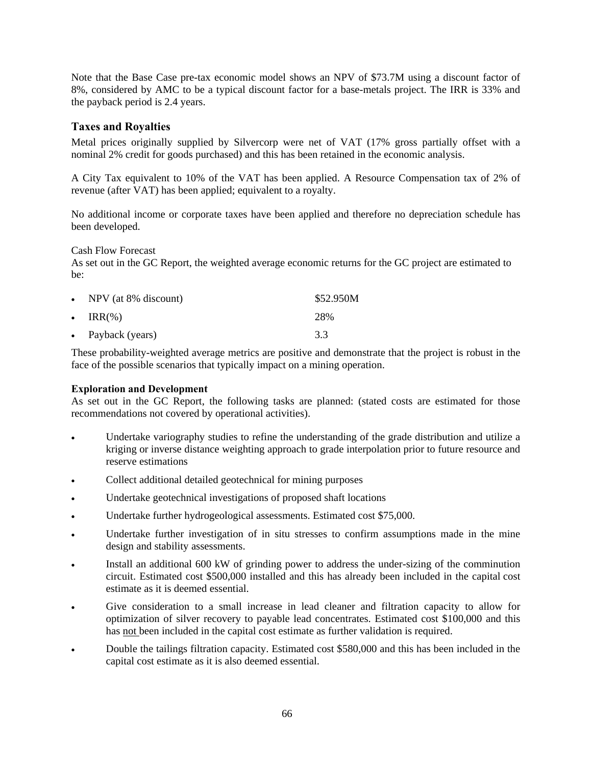Note that the Base Case pre-tax economic model shows an NPV of \$73.7M using a discount factor of 8%, considered by AMC to be a typical discount factor for a base-metals project. The IRR is 33% and the payback period is 2.4 years.

### **Taxes and Royalties**

Metal prices originally supplied by Silvercorp were net of VAT (17% gross partially offset with a nominal 2% credit for goods purchased) and this has been retained in the economic analysis.

A City Tax equivalent to 10% of the VAT has been applied. A Resource Compensation tax of 2% of revenue (after VAT) has been applied; equivalent to a royalty.

No additional income or corporate taxes have been applied and therefore no depreciation schedule has been developed.

Cash Flow Forecast

As set out in the GC Report, the weighted average economic returns for the GC project are estimated to be:

| • NPV (at $8\%$ discount) | \$52.950M |
|---------------------------|-----------|
| $\cdot$ IRR $(\% )$       | 28%       |
| • Payback (years)         | 3.3       |

These probability-weighted average metrics are positive and demonstrate that the project is robust in the face of the possible scenarios that typically impact on a mining operation.

### **Exploration and Development**

As set out in the GC Report, the following tasks are planned: (stated costs are estimated for those recommendations not covered by operational activities).

- Undertake variography studies to refine the understanding of the grade distribution and utilize a kriging or inverse distance weighting approach to grade interpolation prior to future resource and reserve estimations
- Collect additional detailed geotechnical for mining purposes
- Undertake geotechnical investigations of proposed shaft locations
- Undertake further hydrogeological assessments. Estimated cost \$75,000.
- Undertake further investigation of in situ stresses to confirm assumptions made in the mine design and stability assessments.
- Install an additional 600 kW of grinding power to address the under-sizing of the comminution circuit. Estimated cost \$500,000 installed and this has already been included in the capital cost estimate as it is deemed essential.
- Give consideration to a small increase in lead cleaner and filtration capacity to allow for optimization of silver recovery to payable lead concentrates. Estimated cost \$100,000 and this has not been included in the capital cost estimate as further validation is required.
- Double the tailings filtration capacity. Estimated cost \$580,000 and this has been included in the capital cost estimate as it is also deemed essential.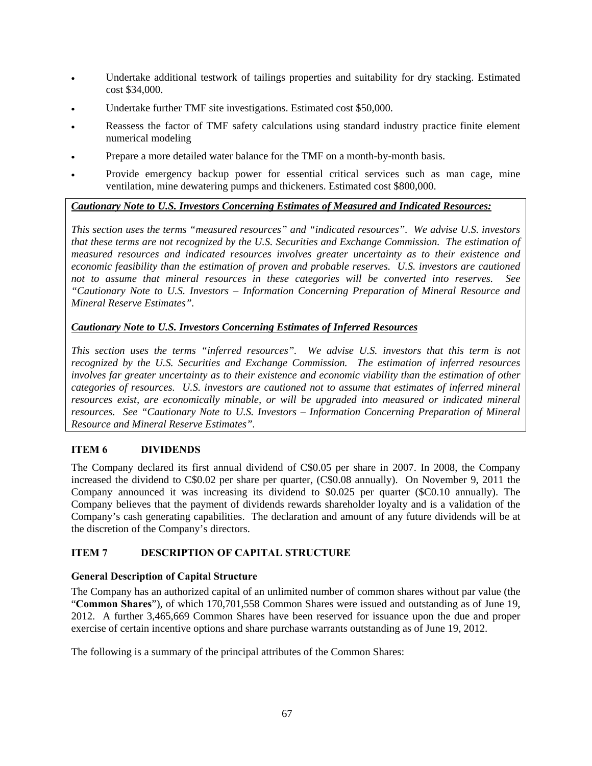- Undertake additional testwork of tailings properties and suitability for dry stacking. Estimated cost \$34,000.
- Undertake further TMF site investigations. Estimated cost \$50,000.
- Reassess the factor of TMF safety calculations using standard industry practice finite element numerical modeling
- Prepare a more detailed water balance for the TMF on a month-by-month basis.
- Provide emergency backup power for essential critical services such as man cage, mine ventilation, mine dewatering pumps and thickeners. Estimated cost \$800,000.

## *Cautionary Note to U.S. Investors Concerning Estimates of Measured and Indicated Resources:*

*This section uses the terms "measured resources" and "indicated resources". We advise U.S. investors that these terms are not recognized by the U.S. Securities and Exchange Commission. The estimation of measured resources and indicated resources involves greater uncertainty as to their existence and economic feasibility than the estimation of proven and probable reserves. U.S. investors are cautioned not to assume that mineral resources in these categories will be converted into reserves. See "Cautionary Note to U.S. Investors – Information Concerning Preparation of Mineral Resource and Mineral Reserve Estimates".* 

## *Cautionary Note to U.S. Investors Concerning Estimates of Inferred Resources*

*This section uses the terms "inferred resources". We advise U.S. investors that this term is not recognized by the U.S. Securities and Exchange Commission. The estimation of inferred resources involves far greater uncertainty as to their existence and economic viability than the estimation of other categories of resources. U.S. investors are cautioned not to assume that estimates of inferred mineral resources exist, are economically minable, or will be upgraded into measured or indicated mineral resources. See "Cautionary Note to U.S. Investors – Information Concerning Preparation of Mineral Resource and Mineral Reserve Estimates".* 

## **ITEM 6 DIVIDENDS**

The Company declared its first annual dividend of C\$0.05 per share in 2007. In 2008, the Company increased the dividend to C\$0.02 per share per quarter, (C\$0.08 annually). On November 9, 2011 the Company announced it was increasing its dividend to \$0.025 per quarter (\$C0.10 annually). The Company believes that the payment of dividends rewards shareholder loyalty and is a validation of the Company's cash generating capabilities. The declaration and amount of any future dividends will be at the discretion of the Company's directors.

## **ITEM 7 DESCRIPTION OF CAPITAL STRUCTURE**

### **General Description of Capital Structure**

The Company has an authorized capital of an unlimited number of common shares without par value (the "**Common Shares**"), of which 170,701,558 Common Shares were issued and outstanding as of June 19, 2012. A further 3,465,669 Common Shares have been reserved for issuance upon the due and proper exercise of certain incentive options and share purchase warrants outstanding as of June 19, 2012.

The following is a summary of the principal attributes of the Common Shares: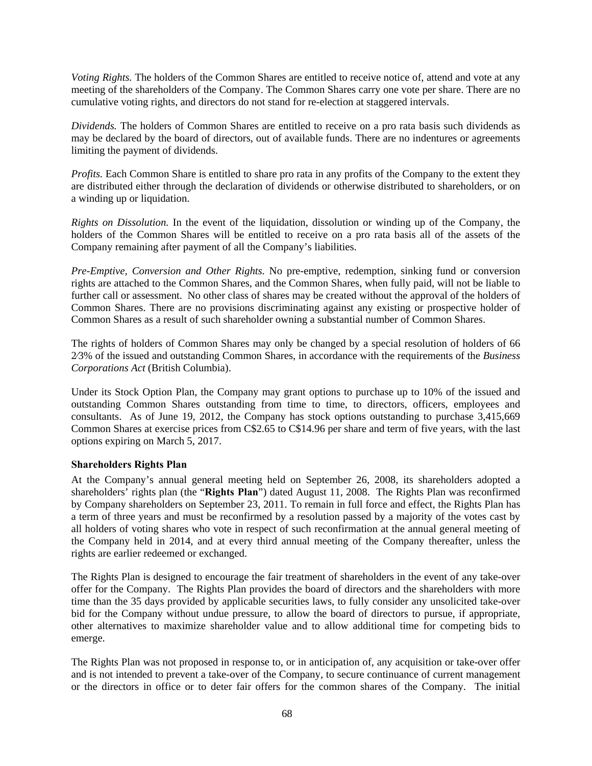*Voting Rights.* The holders of the Common Shares are entitled to receive notice of, attend and vote at any meeting of the shareholders of the Company. The Common Shares carry one vote per share. There are no cumulative voting rights, and directors do not stand for re-election at staggered intervals.

*Dividends.* The holders of Common Shares are entitled to receive on a pro rata basis such dividends as may be declared by the board of directors, out of available funds. There are no indentures or agreements limiting the payment of dividends.

*Profits.* Each Common Share is entitled to share pro rata in any profits of the Company to the extent they are distributed either through the declaration of dividends or otherwise distributed to shareholders, or on a winding up or liquidation.

*Rights on Dissolution.* In the event of the liquidation, dissolution or winding up of the Company, the holders of the Common Shares will be entitled to receive on a pro rata basis all of the assets of the Company remaining after payment of all the Company's liabilities.

*Pre-Emptive, Conversion and Other Rights.* No pre-emptive, redemption, sinking fund or conversion rights are attached to the Common Shares, and the Common Shares, when fully paid, will not be liable to further call or assessment. No other class of shares may be created without the approval of the holders of Common Shares. There are no provisions discriminating against any existing or prospective holder of Common Shares as a result of such shareholder owning a substantial number of Common Shares.

The rights of holders of Common Shares may only be changed by a special resolution of holders of 66 2⁄3% of the issued and outstanding Common Shares, in accordance with the requirements of the *Business Corporations Act* (British Columbia).

Under its Stock Option Plan, the Company may grant options to purchase up to 10% of the issued and outstanding Common Shares outstanding from time to time, to directors, officers, employees and consultants. As of June 19, 2012, the Company has stock options outstanding to purchase 3,415,669 Common Shares at exercise prices from C\$2.65 to C\$14.96 per share and term of five years, with the last options expiring on March 5, 2017.

### **Shareholders Rights Plan**

At the Company's annual general meeting held on September 26, 2008, its shareholders adopted a shareholders' rights plan (the "**Rights Plan**") dated August 11, 2008. The Rights Plan was reconfirmed by Company shareholders on September 23, 2011. To remain in full force and effect, the Rights Plan has a term of three years and must be reconfirmed by a resolution passed by a majority of the votes cast by all holders of voting shares who vote in respect of such reconfirmation at the annual general meeting of the Company held in 2014, and at every third annual meeting of the Company thereafter, unless the rights are earlier redeemed or exchanged.

The Rights Plan is designed to encourage the fair treatment of shareholders in the event of any take-over offer for the Company. The Rights Plan provides the board of directors and the shareholders with more time than the 35 days provided by applicable securities laws, to fully consider any unsolicited take-over bid for the Company without undue pressure, to allow the board of directors to pursue, if appropriate, other alternatives to maximize shareholder value and to allow additional time for competing bids to emerge.

The Rights Plan was not proposed in response to, or in anticipation of, any acquisition or take-over offer and is not intended to prevent a take-over of the Company, to secure continuance of current management or the directors in office or to deter fair offers for the common shares of the Company. The initial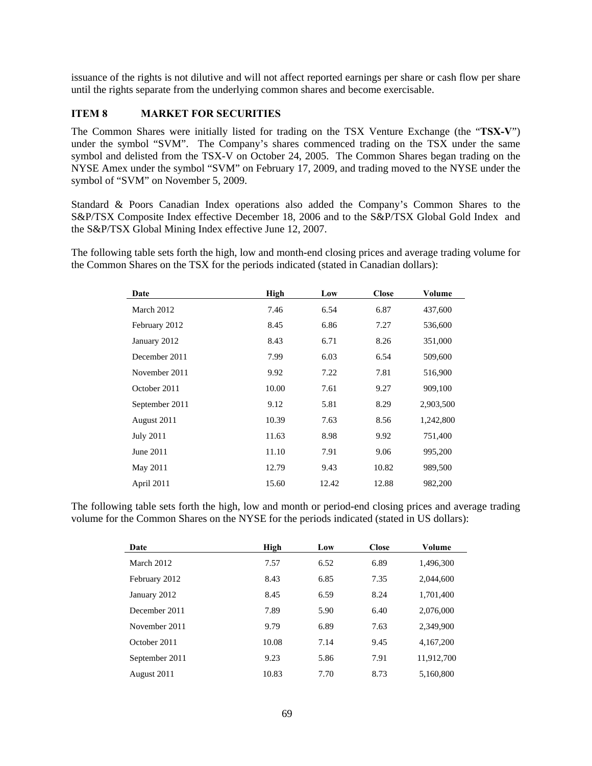issuance of the rights is not dilutive and will not affect reported earnings per share or cash flow per share until the rights separate from the underlying common shares and become exercisable.

### **ITEM 8 MARKET FOR SECURITIES**

The Common Shares were initially listed for trading on the TSX Venture Exchange (the "**TSX-V**") under the symbol "SVM". The Company's shares commenced trading on the TSX under the same symbol and delisted from the TSX-V on October 24, 2005. The Common Shares began trading on the NYSE Amex under the symbol "SVM" on February 17, 2009, and trading moved to the NYSE under the symbol of "SVM" on November 5, 2009.

Standard & Poors Canadian Index operations also added the Company's Common Shares to the S&P/TSX Composite Index effective December 18, 2006 and to the S&P/TSX Global Gold Index and the S&P/TSX Global Mining Index effective June 12, 2007.

The following table sets forth the high, low and month-end closing prices and average trading volume for the Common Shares on the TSX for the periods indicated (stated in Canadian dollars):

| Date             | <b>High</b> | Low   | <b>Close</b> | Volume    |
|------------------|-------------|-------|--------------|-----------|
| March 2012       | 7.46        | 6.54  | 6.87         | 437,600   |
| February 2012    | 8.45        | 6.86  | 7.27         | 536,600   |
| January 2012     | 8.43        | 6.71  | 8.26         | 351,000   |
| December 2011    | 7.99        | 6.03  | 6.54         | 509,600   |
| November 2011    | 9.92        | 7.22  | 7.81         | 516,900   |
| October 2011     | 10.00       | 7.61  | 9.27         | 909,100   |
| September 2011   | 9.12        | 5.81  | 8.29         | 2,903,500 |
| August 2011      | 10.39       | 7.63  | 8.56         | 1,242,800 |
| <b>July 2011</b> | 11.63       | 8.98  | 9.92         | 751,400   |
| June 2011        | 11.10       | 7.91  | 9.06         | 995,200   |
| May 2011         | 12.79       | 9.43  | 10.82        | 989,500   |
| April 2011       | 15.60       | 12.42 | 12.88        | 982,200   |

The following table sets forth the high, low and month or period-end closing prices and average trading volume for the Common Shares on the NYSE for the periods indicated (stated in US dollars):

| Date           | High  | Low  | <b>Close</b> | Volume     |
|----------------|-------|------|--------------|------------|
| March 2012     | 7.57  | 6.52 | 6.89         | 1,496,300  |
| February 2012  | 8.43  | 6.85 | 7.35         | 2.044,600  |
| January 2012   | 8.45  | 6.59 | 8.24         | 1,701,400  |
| December 2011  | 7.89  | 5.90 | 6.40         | 2,076,000  |
| November 2011  | 9.79  | 6.89 | 7.63         | 2.349.900  |
| October 2011   | 10.08 | 7.14 | 9.45         | 4.167.200  |
| September 2011 | 9.23  | 5.86 | 7.91         | 11.912.700 |
| August 2011    | 10.83 | 7.70 | 8.73         | 5.160.800  |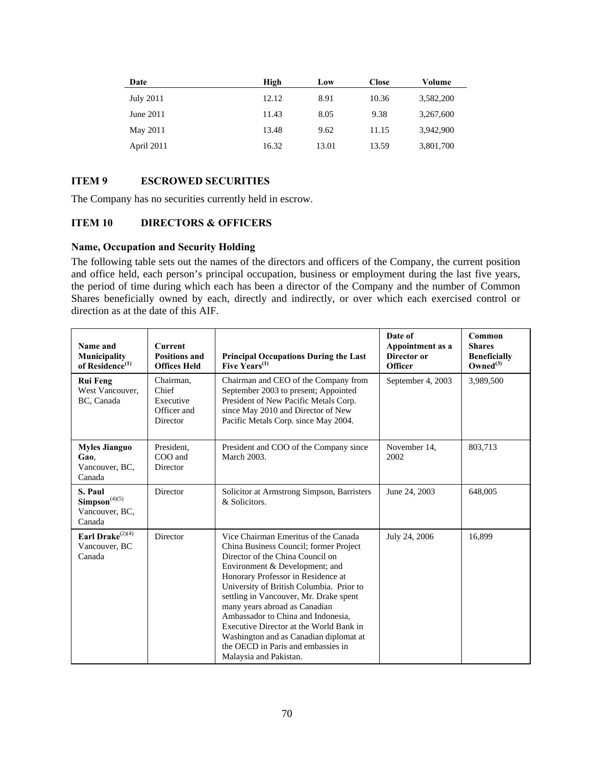| Date       | High  | Low   | <b>Close</b> | Volume    |
|------------|-------|-------|--------------|-----------|
| July 2011  | 12.12 | 8.91  | 10.36        | 3,582,200 |
| June 2011  | 11.43 | 8.05  | 9.38         | 3,267,600 |
| May 2011   | 13.48 | 9.62  | 11.15        | 3,942,900 |
| April 2011 | 16.32 | 13.01 | 13.59        | 3,801,700 |

## **ITEM 9 ESCROWED SECURITIES**

The Company has no securities currently held in escrow.

### **ITEM 10 DIRECTORS & OFFICERS**

### **Name, Occupation and Security Holding**

The following table sets out the names of the directors and officers of the Company, the current position and office held, each person's principal occupation, business or employment during the last five years, the period of time during which each has been a director of the Company and the number of Common Shares beneficially owned by each, directly and indirectly, or over which each exercised control or direction as at the date of this AIF.

| Name and<br>Municipality<br>of Residence $^{(1)}$         | <b>Current</b><br><b>Positions and</b><br><b>Offices Held</b> | <b>Principal Occupations During the Last</b><br>Five Years <sup>(1)</sup>                                                                                                                                                                                                                                                                                                                                                                                                                                    | Date of<br>Appointment as a<br>Director or<br><b>Officer</b> | Common<br><b>Shares</b><br><b>Beneficially</b><br>Owned $^{(3)}$ |
|-----------------------------------------------------------|---------------------------------------------------------------|--------------------------------------------------------------------------------------------------------------------------------------------------------------------------------------------------------------------------------------------------------------------------------------------------------------------------------------------------------------------------------------------------------------------------------------------------------------------------------------------------------------|--------------------------------------------------------------|------------------------------------------------------------------|
| <b>Rui Feng</b><br>West Vancouver.<br>BC, Canada          | Chairman,<br>Chief<br>Executive<br>Officer and<br>Director    | Chairman and CEO of the Company from<br>September 2003 to present; Appointed<br>President of New Pacific Metals Corp.<br>since May 2010 and Director of New<br>Pacific Metals Corp. since May 2004.                                                                                                                                                                                                                                                                                                          | September 4, 2003                                            | 3,989,500                                                        |
| <b>Myles Jianguo</b><br>Gao.<br>Vancouver, BC,<br>Canada  | President,<br>COO and<br>Director                             | President and COO of the Company since<br>March 2003.                                                                                                                                                                                                                                                                                                                                                                                                                                                        | November 14,<br>2002                                         | 803,713                                                          |
| S. Paul<br>$Simpson^{(4)(5)}$<br>Vancouver, BC,<br>Canada | Director                                                      | Solicitor at Armstrong Simpson, Barristers<br>& Solicitors.                                                                                                                                                                                                                                                                                                                                                                                                                                                  | June 24, 2003                                                | 648,005                                                          |
| Earl Drake $^{(2)(4)}$<br>Vancouver, BC<br>Canada         | Director                                                      | Vice Chairman Emeritus of the Canada<br>China Business Council; former Project<br>Director of the China Council on<br>Environment & Development; and<br>Honorary Professor in Residence at<br>University of British Columbia. Prior to<br>settling in Vancouver, Mr. Drake spent<br>many years abroad as Canadian<br>Ambassador to China and Indonesia.<br>Executive Director at the World Bank in<br>Washington and as Canadian diplomat at<br>the OECD in Paris and embassies in<br>Malaysia and Pakistan. | July 24, 2006                                                | 16,899                                                           |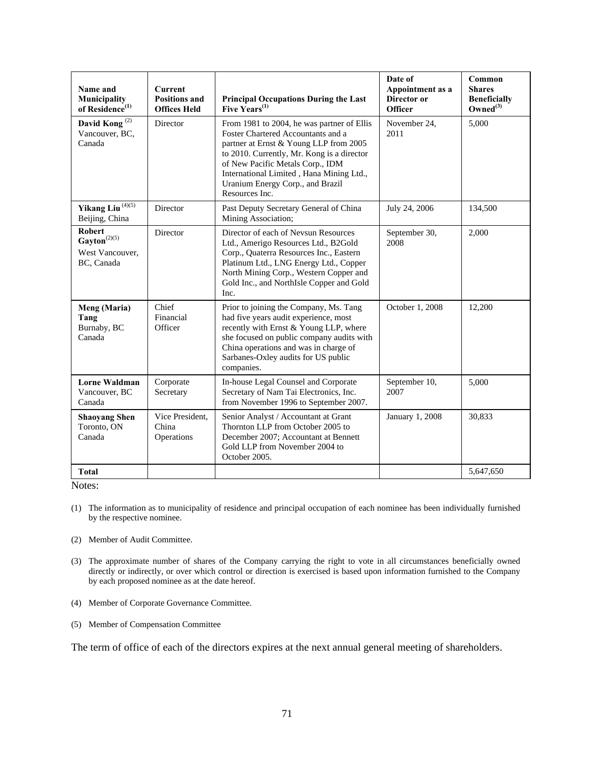| Name and<br>Municipality<br>of Residence <sup>(1)</sup>                      | <b>Current</b><br><b>Positions and</b><br><b>Offices Held</b> | <b>Principal Occupations During the Last</b><br>Five $\tilde{\mathrm{Y}}$ ears <sup>(1)</sup>                                                                                                                                                                                                                  | Date of<br>Appointment as a<br>Director or<br><b>Officer</b> | Common<br><b>Shares</b><br><b>Beneficially</b><br>Owned $^{(3)}$ |
|------------------------------------------------------------------------------|---------------------------------------------------------------|----------------------------------------------------------------------------------------------------------------------------------------------------------------------------------------------------------------------------------------------------------------------------------------------------------------|--------------------------------------------------------------|------------------------------------------------------------------|
| David Kong <sup>(2)</sup><br>Vancouver, BC,<br>Canada                        | Director                                                      | From 1981 to 2004, he was partner of Ellis<br>Foster Chartered Accountants and a<br>partner at Ernst & Young LLP from 2005<br>to 2010. Currently, Mr. Kong is a director<br>of New Pacific Metals Corp., IDM<br>International Limited, Hana Mining Ltd.,<br>Uranium Energy Corp., and Brazil<br>Resources Inc. | November 24,<br>2011                                         | 5,000                                                            |
| Yikang Liu $^{(4)(5)}$<br>Beijing, China                                     | Director                                                      | Past Deputy Secretary General of China<br>Mining Association;                                                                                                                                                                                                                                                  | July 24, 2006                                                | 134,500                                                          |
| <b>Robert</b><br>$\textbf{Gayton}^{(2)(5)}$<br>West Vancouver.<br>BC, Canada | Director                                                      | Director of each of Nevsun Resources<br>Ltd., Amerigo Resources Ltd., B2Gold<br>Corp., Quaterra Resources Inc., Eastern<br>Platinum Ltd., LNG Energy Ltd., Copper<br>North Mining Corp., Western Copper and<br>Gold Inc., and NorthIsle Copper and Gold<br>Inc.                                                | September 30,<br>2008                                        | 2,000                                                            |
| Meng (Maria)<br>Tang<br>Burnaby, BC<br>Canada                                | Chief<br>Financial<br>Officer                                 | Prior to joining the Company, Ms. Tang<br>had five years audit experience, most<br>recently with Ernst & Young LLP, where<br>she focused on public company audits with<br>China operations and was in charge of<br>Sarbanes-Oxley audits for US public<br>companies.                                           | October 1, 2008                                              | 12,200                                                           |
| <b>Lorne Waldman</b><br>Vancouver, BC<br>Canada                              | Corporate<br>Secretary                                        | In-house Legal Counsel and Corporate<br>Secretary of Nam Tai Electronics, Inc.<br>from November 1996 to September 2007.                                                                                                                                                                                        | September 10,<br>2007                                        | 5,000                                                            |
| <b>Shaoyang Shen</b><br>Toronto, ON<br>Canada                                | Vice President,<br>China<br>Operations                        | Senior Analyst / Accountant at Grant<br>Thornton LLP from October 2005 to<br>December 2007; Accountant at Bennett<br>Gold LLP from November 2004 to<br>October 2005.                                                                                                                                           | January 1, 2008                                              | 30,833                                                           |
| <b>Total</b>                                                                 |                                                               |                                                                                                                                                                                                                                                                                                                |                                                              | 5,647,650                                                        |

Notes:

- (1) The information as to municipality of residence and principal occupation of each nominee has been individually furnished by the respective nominee.
- (2) Member of Audit Committee.
- (3) The approximate number of shares of the Company carrying the right to vote in all circumstances beneficially owned directly or indirectly, or over which control or direction is exercised is based upon information furnished to the Company by each proposed nominee as at the date hereof.
- (4) Member of Corporate Governance Committee.
- (5) Member of Compensation Committee

The term of office of each of the directors expires at the next annual general meeting of shareholders.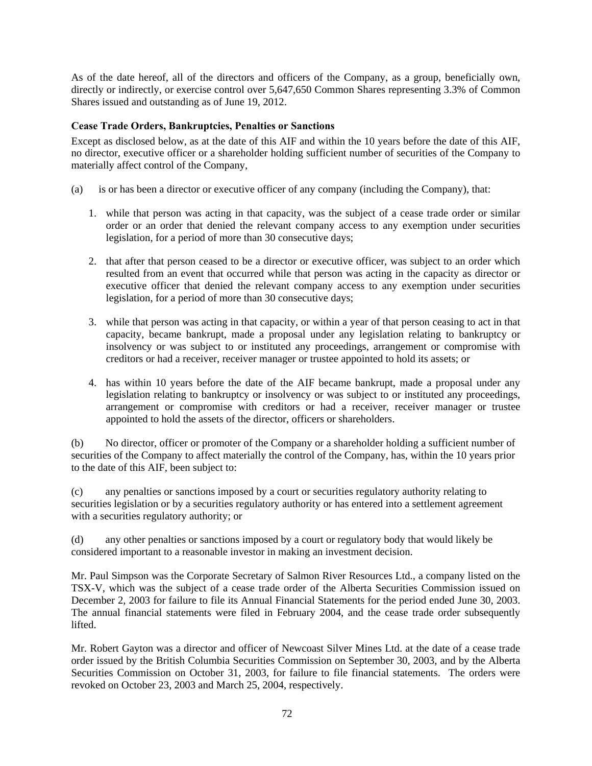As of the date hereof, all of the directors and officers of the Company, as a group, beneficially own, directly or indirectly, or exercise control over 5,647,650 Common Shares representing 3.3% of Common Shares issued and outstanding as of June 19, 2012.

#### **Cease Trade Orders, Bankruptcies, Penalties or Sanctions**

Except as disclosed below, as at the date of this AIF and within the 10 years before the date of this AIF, no director, executive officer or a shareholder holding sufficient number of securities of the Company to materially affect control of the Company,

- (a) is or has been a director or executive officer of any company (including the Company), that:
	- 1. while that person was acting in that capacity, was the subject of a cease trade order or similar order or an order that denied the relevant company access to any exemption under securities legislation, for a period of more than 30 consecutive days;
	- 2. that after that person ceased to be a director or executive officer, was subject to an order which resulted from an event that occurred while that person was acting in the capacity as director or executive officer that denied the relevant company access to any exemption under securities legislation, for a period of more than 30 consecutive days;
	- 3. while that person was acting in that capacity, or within a year of that person ceasing to act in that capacity, became bankrupt, made a proposal under any legislation relating to bankruptcy or insolvency or was subject to or instituted any proceedings, arrangement or compromise with creditors or had a receiver, receiver manager or trustee appointed to hold its assets; or
	- 4. has within 10 years before the date of the AIF became bankrupt, made a proposal under any legislation relating to bankruptcy or insolvency or was subject to or instituted any proceedings, arrangement or compromise with creditors or had a receiver, receiver manager or trustee appointed to hold the assets of the director, officers or shareholders.

(b) No director, officer or promoter of the Company or a shareholder holding a sufficient number of securities of the Company to affect materially the control of the Company, has, within the 10 years prior to the date of this AIF, been subject to:

(c) any penalties or sanctions imposed by a court or securities regulatory authority relating to securities legislation or by a securities regulatory authority or has entered into a settlement agreement with a securities regulatory authority; or

(d) any other penalties or sanctions imposed by a court or regulatory body that would likely be considered important to a reasonable investor in making an investment decision.

Mr. Paul Simpson was the Corporate Secretary of Salmon River Resources Ltd., a company listed on the TSX-V, which was the subject of a cease trade order of the Alberta Securities Commission issued on December 2, 2003 for failure to file its Annual Financial Statements for the period ended June 30, 2003. The annual financial statements were filed in February 2004, and the cease trade order subsequently lifted.

Mr. Robert Gayton was a director and officer of Newcoast Silver Mines Ltd. at the date of a cease trade order issued by the British Columbia Securities Commission on September 30, 2003, and by the Alberta Securities Commission on October 31, 2003, for failure to file financial statements. The orders were revoked on October 23, 2003 and March 25, 2004, respectively.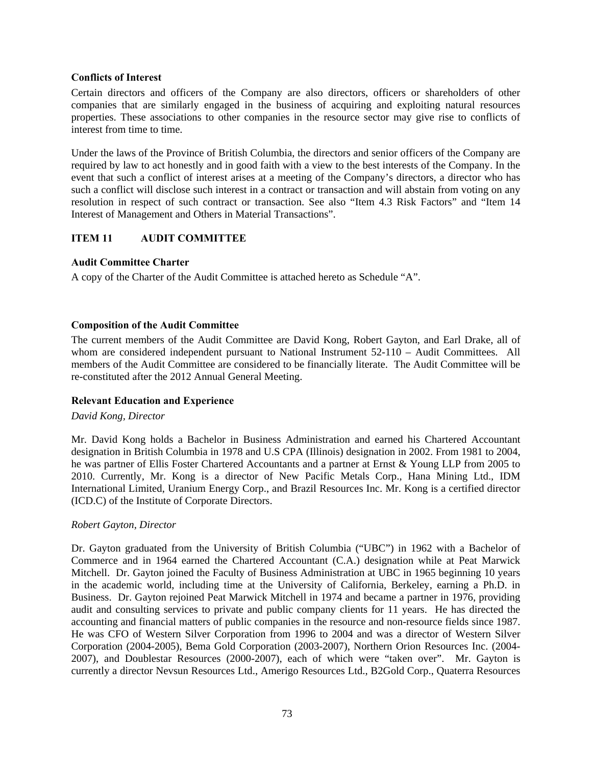## **Conflicts of Interest**

Certain directors and officers of the Company are also directors, officers or shareholders of other companies that are similarly engaged in the business of acquiring and exploiting natural resources properties. These associations to other companies in the resource sector may give rise to conflicts of interest from time to time.

Under the laws of the Province of British Columbia, the directors and senior officers of the Company are required by law to act honestly and in good faith with a view to the best interests of the Company. In the event that such a conflict of interest arises at a meeting of the Company's directors, a director who has such a conflict will disclose such interest in a contract or transaction and will abstain from voting on any resolution in respect of such contract or transaction. See also "Item 4.3 Risk Factors" and "Item 14 Interest of Management and Others in Material Transactions".

# **ITEM 11 AUDIT COMMITTEE**

## **Audit Committee Charter**

A copy of the Charter of the Audit Committee is attached hereto as Schedule "A".

## **Composition of the Audit Committee**

The current members of the Audit Committee are David Kong, Robert Gayton, and Earl Drake, all of whom are considered independent pursuant to National Instrument 52-110 – Audit Committees. All members of the Audit Committee are considered to be financially literate. The Audit Committee will be re-constituted after the 2012 Annual General Meeting.

## **Relevant Education and Experience**

#### *David Kong, Director*

Mr. David Kong holds a Bachelor in Business Administration and earned his Chartered Accountant designation in British Columbia in 1978 and U.S CPA (Illinois) designation in 2002. From 1981 to 2004, he was partner of Ellis Foster Chartered Accountants and a partner at Ernst & Young LLP from 2005 to 2010. Currently, Mr. Kong is a director of New Pacific Metals Corp., Hana Mining Ltd., IDM International Limited, Uranium Energy Corp., and Brazil Resources Inc. Mr. Kong is a certified director (ICD.C) of the Institute of Corporate Directors.

## *Robert Gayton, Director*

Dr. Gayton graduated from the University of British Columbia ("UBC") in 1962 with a Bachelor of Commerce and in 1964 earned the Chartered Accountant (C.A.) designation while at Peat Marwick Mitchell. Dr. Gayton joined the Faculty of Business Administration at UBC in 1965 beginning 10 years in the academic world, including time at the University of California, Berkeley, earning a Ph.D. in Business. Dr. Gayton rejoined Peat Marwick Mitchell in 1974 and became a partner in 1976, providing audit and consulting services to private and public company clients for 11 years. He has directed the accounting and financial matters of public companies in the resource and non-resource fields since 1987. He was CFO of Western Silver Corporation from 1996 to 2004 and was a director of Western Silver Corporation (2004-2005), Bema Gold Corporation (2003-2007), Northern Orion Resources Inc. (2004- 2007), and Doublestar Resources (2000-2007), each of which were "taken over". Mr. Gayton is currently a director Nevsun Resources Ltd., Amerigo Resources Ltd., B2Gold Corp., Quaterra Resources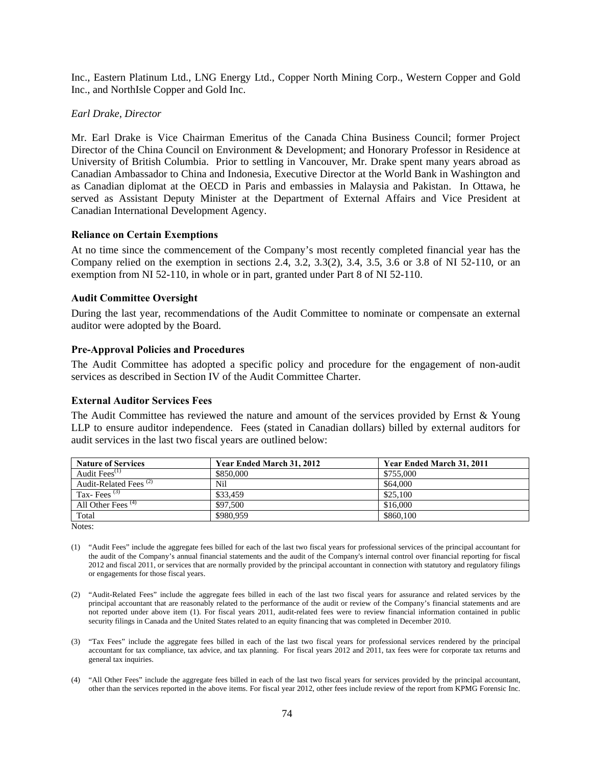Inc., Eastern Platinum Ltd., LNG Energy Ltd., Copper North Mining Corp., Western Copper and Gold Inc., and NorthIsle Copper and Gold Inc.

#### *Earl Drake, Director*

Mr. Earl Drake is Vice Chairman Emeritus of the Canada China Business Council; former Project Director of the China Council on Environment & Development; and Honorary Professor in Residence at University of British Columbia. Prior to settling in Vancouver, Mr. Drake spent many years abroad as Canadian Ambassador to China and Indonesia, Executive Director at the World Bank in Washington and as Canadian diplomat at the OECD in Paris and embassies in Malaysia and Pakistan. In Ottawa, he served as Assistant Deputy Minister at the Department of External Affairs and Vice President at Canadian International Development Agency.

#### **Reliance on Certain Exemptions**

At no time since the commencement of the Company's most recently completed financial year has the Company relied on the exemption in sections 2.4, 3.2, 3.3(2), 3.4, 3.5, 3.6 or 3.8 of NI 52-110, or an exemption from NI 52-110, in whole or in part, granted under Part 8 of NI 52-110.

#### **Audit Committee Oversight**

During the last year, recommendations of the Audit Committee to nominate or compensate an external auditor were adopted by the Board.

#### **Pre-Approval Policies and Procedures**

The Audit Committee has adopted a specific policy and procedure for the engagement of non-audit services as described in Section IV of the Audit Committee Charter.

#### **External Auditor Services Fees**

The Audit Committee has reviewed the nature and amount of the services provided by Ernst & Young LLP to ensure auditor independence. Fees (stated in Canadian dollars) billed by external auditors for audit services in the last two fiscal years are outlined below:

| <b>Nature of Services</b>         | Year Ended March 31, 2012 | Year Ended March 31, 2011 |
|-----------------------------------|---------------------------|---------------------------|
| Audit Fees $(1)$                  | \$850,000                 | \$755,000                 |
| Audit-Related Fees <sup>(2)</sup> | Nil                       | \$64,000                  |
| Tax-Fees $^{(3)}$                 | \$33,459                  | \$25,100                  |
| All Other Fees <sup>(4)</sup>     | \$97,500                  | \$16,000                  |
| Total                             | \$980.959                 | \$860,100                 |

Notes:

- (1) "Audit Fees" include the aggregate fees billed for each of the last two fiscal years for professional services of the principal accountant for the audit of the Company's annual financial statements and the audit of the Company's internal control over financial reporting for fiscal 2012 and fiscal 2011, or services that are normally provided by the principal accountant in connection with statutory and regulatory filings or engagements for those fiscal years.
- (2) "Audit-Related Fees" include the aggregate fees billed in each of the last two fiscal years for assurance and related services by the principal accountant that are reasonably related to the performance of the audit or review of the Company's financial statements and are not reported under above item (1). For fiscal years 2011, audit-related fees were to review financial information contained in public security filings in Canada and the United States related to an equity financing that was completed in December 2010.
- (3) "Tax Fees" include the aggregate fees billed in each of the last two fiscal years for professional services rendered by the principal accountant for tax compliance, tax advice, and tax planning. For fiscal years 2012 and 2011, tax fees were for corporate tax returns and general tax inquiries.
- (4) "All Other Fees" include the aggregate fees billed in each of the last two fiscal years for services provided by the principal accountant, other than the services reported in the above items. For fiscal year 2012, other fees include review of the report from KPMG Forensic Inc.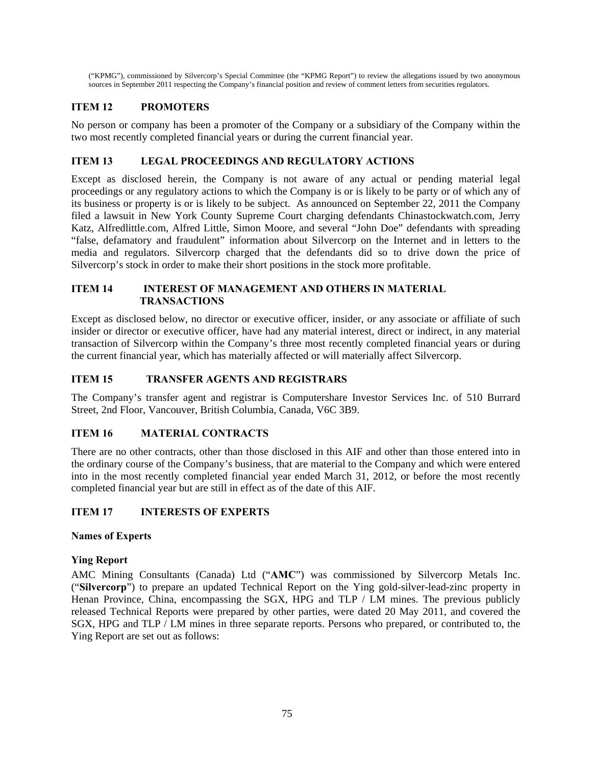("KPMG"), commissioned by Silvercorp's Special Committee (the "KPMG Report") to review the allegations issued by two anonymous sources in September 2011 respecting the Company's financial position and review of comment letters from securities regulators.

# **ITEM 12 PROMOTERS**

No person or company has been a promoter of the Company or a subsidiary of the Company within the two most recently completed financial years or during the current financial year.

## **ITEM 13 LEGAL PROCEEDINGS AND REGULATORY ACTIONS**

Except as disclosed herein, the Company is not aware of any actual or pending material legal proceedings or any regulatory actions to which the Company is or is likely to be party or of which any of its business or property is or is likely to be subject. As announced on September 22, 2011 the Company filed a lawsuit in New York County Supreme Court charging defendants Chinastockwatch.com, Jerry Katz, Alfredlittle.com, Alfred Little, Simon Moore, and several "John Doe" defendants with spreading "false, defamatory and fraudulent" information about Silvercorp on the Internet and in letters to the media and regulators. Silvercorp charged that the defendants did so to drive down the price of Silvercorp's stock in order to make their short positions in the stock more profitable.

## **ITEM 14 INTEREST OF MANAGEMENT AND OTHERS IN MATERIAL TRANSACTIONS**

Except as disclosed below, no director or executive officer, insider, or any associate or affiliate of such insider or director or executive officer, have had any material interest, direct or indirect, in any material transaction of Silvercorp within the Company's three most recently completed financial years or during the current financial year, which has materially affected or will materially affect Silvercorp.

# **ITEM 15 TRANSFER AGENTS AND REGISTRARS**

The Company's transfer agent and registrar is Computershare Investor Services Inc. of 510 Burrard Street, 2nd Floor, Vancouver, British Columbia, Canada, V6C 3B9.

# **ITEM 16 MATERIAL CONTRACTS**

There are no other contracts, other than those disclosed in this AIF and other than those entered into in the ordinary course of the Company's business, that are material to the Company and which were entered into in the most recently completed financial year ended March 31, 2012, or before the most recently completed financial year but are still in effect as of the date of this AIF.

## **ITEM 17 INTERESTS OF EXPERTS**

## **Names of Experts**

## **Ying Report**

AMC Mining Consultants (Canada) Ltd ("**AMC**") was commissioned by Silvercorp Metals Inc. ("**Silvercorp**") to prepare an updated Technical Report on the Ying gold-silver-lead-zinc property in Henan Province, China, encompassing the SGX, HPG and TLP / LM mines. The previous publicly released Technical Reports were prepared by other parties, were dated 20 May 2011, and covered the SGX, HPG and TLP / LM mines in three separate reports. Persons who prepared, or contributed to, the Ying Report are set out as follows: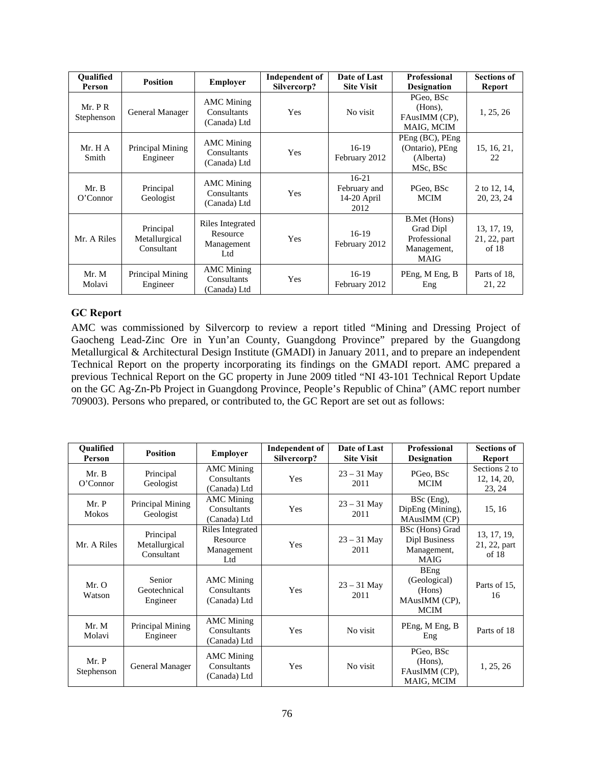| <b>Oualified</b><br>Person | <b>Position</b>                          | <b>Employer</b>                                   | Independent of<br>Silvercorp? | Date of Last<br><b>Site Visit</b>              | <b>Professional</b><br><b>Designation</b>                               | <b>Sections of</b><br><b>Report</b>  |
|----------------------------|------------------------------------------|---------------------------------------------------|-------------------------------|------------------------------------------------|-------------------------------------------------------------------------|--------------------------------------|
| Mr. P R<br>Stephenson      | General Manager                          | <b>AMC</b> Mining<br>Consultants<br>(Canada) Ltd  | Yes                           | No visit                                       | PGeo. BSc<br>(Hons),<br>FAusIMM (CP),<br>MAIG, MCIM                     | 1, 25, 26                            |
| Mr. H A<br>Smith           | Principal Mining<br>Engineer             | <b>AMC</b> Mining<br>Consultants<br>(Canada) Ltd  | <b>Yes</b>                    | $16-19$<br>February 2012                       | PEng (BC), PEng<br>(Ontario), PEng<br>(Alberta)<br>MSc, BSc             | 15, 16, 21,<br>22                    |
| Mr. B<br>O'Connect         | Principal<br>Geologist                   | <b>AMC</b> Mining<br>Consultants<br>(Canada) Ltd  | Yes                           | $16-21$<br>February and<br>14-20 April<br>2012 | PGeo, BSc<br>MCIM                                                       | 2 to 12, 14,<br>20, 23, 24           |
| Mr. A Riles                | Principal<br>Metallurgical<br>Consultant | Riles Integrated<br>Resource<br>Management<br>Ltd | <b>Yes</b>                    | $16-19$<br>February 2012                       | B.Met (Hons)<br>Grad Dipl<br>Professional<br>Management,<br><b>MAIG</b> | 13, 17, 19,<br>21, 22, part<br>of 18 |
| Mr. M<br>Molavi            | Principal Mining<br>Engineer             | <b>AMC</b> Mining<br>Consultants<br>(Canada) Ltd  | Yes                           | $16-19$<br>February 2012                       | PEng, M Eng, B<br>Eng                                                   | Parts of 18,<br>21, 22               |

## **GC Report**

AMC was commissioned by Silvercorp to review a report titled "Mining and Dressing Project of Gaocheng Lead-Zinc Ore in Yun'an County, Guangdong Province" prepared by the Guangdong Metallurgical & Architectural Design Institute (GMADI) in January 2011, and to prepare an independent Technical Report on the property incorporating its findings on the GMADI report. AMC prepared a previous Technical Report on the GC property in June 2009 titled "NI 43-101 Technical Report Update on the GC Ag-Zn-Pb Project in Guangdong Province, People's Republic of China" (AMC report number 709003). Persons who prepared, or contributed to, the GC Report are set out as follows:

| <b>Oualified</b><br>Person | <b>Position</b>                          | <b>Employer</b>                                   | <b>Independent of</b><br>Silvercorp? | Date of Last<br><b>Site Visit</b> | Professional<br><b>Designation</b>                                    | <b>Sections of</b><br>Report           |
|----------------------------|------------------------------------------|---------------------------------------------------|--------------------------------------|-----------------------------------|-----------------------------------------------------------------------|----------------------------------------|
| Mr. B<br>O'Connect         | Principal<br>Geologist                   | <b>AMC</b> Mining<br>Consultants<br>(Canada) Ltd  | Yes                                  | $23 - 31$ May<br>2011             | PGeo, BSc<br><b>MCIM</b>                                              | Sections 2 to<br>12, 14, 20,<br>23, 24 |
| Mr. P<br><b>Mokos</b>      | Principal Mining<br>Geologist            | <b>AMC</b> Mining<br>Consultants<br>(Canada) Ltd  | Yes                                  | $23 - 31$ May<br>2011             | BSc (Eng),<br>DipEng (Mining),<br>MAusIMM (CP)                        | 15, 16                                 |
| Mr. A Riles                | Principal<br>Metallurgical<br>Consultant | Riles Integrated<br>Resource<br>Management<br>Ltd | Yes                                  | $23 - 31$ May<br>2011             | BSc (Hons) Grad<br>Dipl Business<br>Management,<br><b>MAIG</b>        | 13, 17, 19,<br>21, 22, part<br>of 18   |
| Mr. O<br>Watson            | Senior<br>Geotechnical<br>Engineer       | <b>AMC</b> Mining<br>Consultants<br>(Canada) Ltd  | Yes                                  | $23 - 31$ May<br>2011             | <b>BEng</b><br>(Geological)<br>(Hons)<br>MAusIMM (CP),<br><b>MCIM</b> | Parts of 15,<br>16                     |
| Mr. M<br>Molavi            | Principal Mining<br>Engineer             | <b>AMC</b> Mining<br>Consultants<br>(Canada) Ltd  | Yes                                  | No visit                          | PEng, M Eng, B<br>Eng                                                 | Parts of 18                            |
| Mr. P<br>Stephenson        | General Manager                          | <b>AMC</b> Mining<br>Consultants<br>(Canada) Ltd  | Yes                                  | No visit                          | PGeo, BSc<br>(Hons),<br>FAusIMM (CP),<br>MAIG, MCIM                   | 1, 25, 26                              |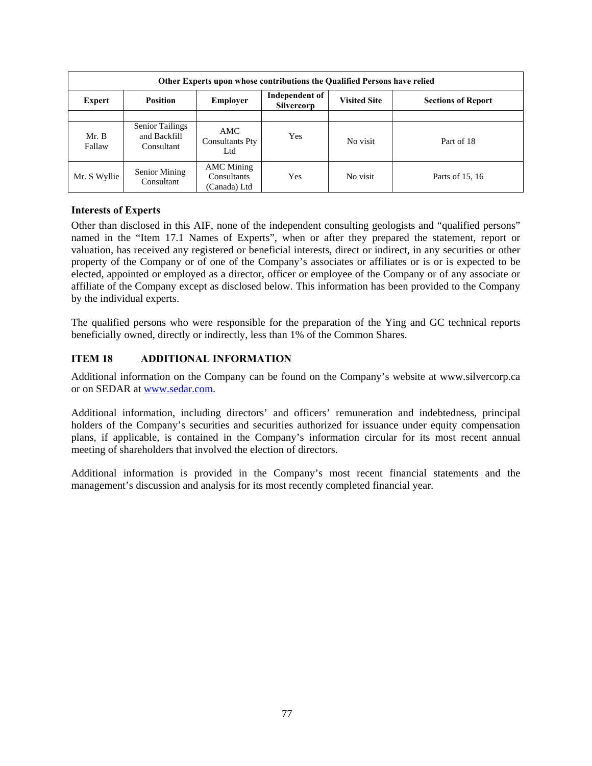| <b>Other Experts upon whose contributions the Qualified Persons have relied</b> |                                                      |                                                  |                                     |                     |                           |  |
|---------------------------------------------------------------------------------|------------------------------------------------------|--------------------------------------------------|-------------------------------------|---------------------|---------------------------|--|
| Expert                                                                          | <b>Position</b>                                      | <b>Employer</b>                                  | Independent of<br><b>Silvercorp</b> | <b>Visited Site</b> | <b>Sections of Report</b> |  |
|                                                                                 |                                                      |                                                  |                                     |                     |                           |  |
| Mr. B<br>Fallaw                                                                 | <b>Senior Tailings</b><br>and Backfill<br>Consultant | <b>AMC</b><br><b>Consultants Pty</b><br>Ltd      | Yes                                 | No visit            | Part of 18                |  |
| Mr. S Wyllie                                                                    | Senior Mining<br>Consultant                          | <b>AMC</b> Mining<br>Consultants<br>(Canada) Ltd | Yes                                 | No visit            | Parts of 15, 16           |  |

## **Interests of Experts**

Other than disclosed in this AIF, none of the independent consulting geologists and "qualified persons" named in the "Item 17.1 Names of Experts", when or after they prepared the statement, report or valuation, has received any registered or beneficial interests, direct or indirect, in any securities or other property of the Company or of one of the Company's associates or affiliates or is or is expected to be elected, appointed or employed as a director, officer or employee of the Company or of any associate or affiliate of the Company except as disclosed below. This information has been provided to the Company by the individual experts.

The qualified persons who were responsible for the preparation of the Ying and GC technical reports beneficially owned, directly or indirectly, less than 1% of the Common Shares.

# **ITEM 18 ADDITIONAL INFORMATION**

Additional information on the Company can be found on the Company's website at www.silvercorp.ca or on SEDAR at www.sedar.com.

Additional information, including directors' and officers' remuneration and indebtedness, principal holders of the Company's securities and securities authorized for issuance under equity compensation plans, if applicable, is contained in the Company's information circular for its most recent annual meeting of shareholders that involved the election of directors.

Additional information is provided in the Company's most recent financial statements and the management's discussion and analysis for its most recently completed financial year.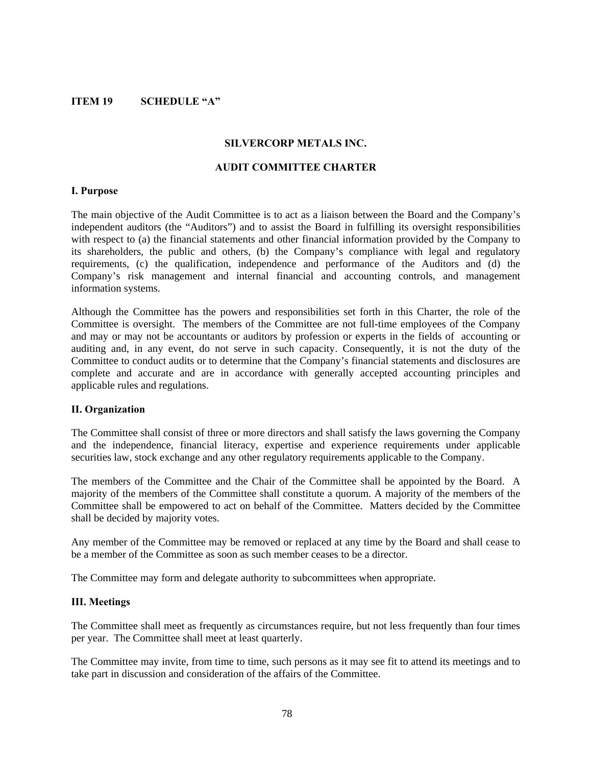### **ITEM 19 SCHEDULE "A"**

#### **SILVERCORP METALS INC.**

### **AUDIT COMMITTEE CHARTER**

#### **I. Purpose**

The main objective of the Audit Committee is to act as a liaison between the Board and the Company's independent auditors (the "Auditors") and to assist the Board in fulfilling its oversight responsibilities with respect to (a) the financial statements and other financial information provided by the Company to its shareholders, the public and others, (b) the Company's compliance with legal and regulatory requirements, (c) the qualification, independence and performance of the Auditors and (d) the Company's risk management and internal financial and accounting controls, and management information systems.

Although the Committee has the powers and responsibilities set forth in this Charter, the role of the Committee is oversight. The members of the Committee are not full-time employees of the Company and may or may not be accountants or auditors by profession or experts in the fields of accounting or auditing and, in any event, do not serve in such capacity. Consequently, it is not the duty of the Committee to conduct audits or to determine that the Company's financial statements and disclosures are complete and accurate and are in accordance with generally accepted accounting principles and applicable rules and regulations.

#### **II. Organization**

The Committee shall consist of three or more directors and shall satisfy the laws governing the Company and the independence, financial literacy, expertise and experience requirements under applicable securities law, stock exchange and any other regulatory requirements applicable to the Company.

The members of the Committee and the Chair of the Committee shall be appointed by the Board. A majority of the members of the Committee shall constitute a quorum. A majority of the members of the Committee shall be empowered to act on behalf of the Committee. Matters decided by the Committee shall be decided by majority votes.

Any member of the Committee may be removed or replaced at any time by the Board and shall cease to be a member of the Committee as soon as such member ceases to be a director.

The Committee may form and delegate authority to subcommittees when appropriate.

#### **III. Meetings**

The Committee shall meet as frequently as circumstances require, but not less frequently than four times per year. The Committee shall meet at least quarterly.

The Committee may invite, from time to time, such persons as it may see fit to attend its meetings and to take part in discussion and consideration of the affairs of the Committee.